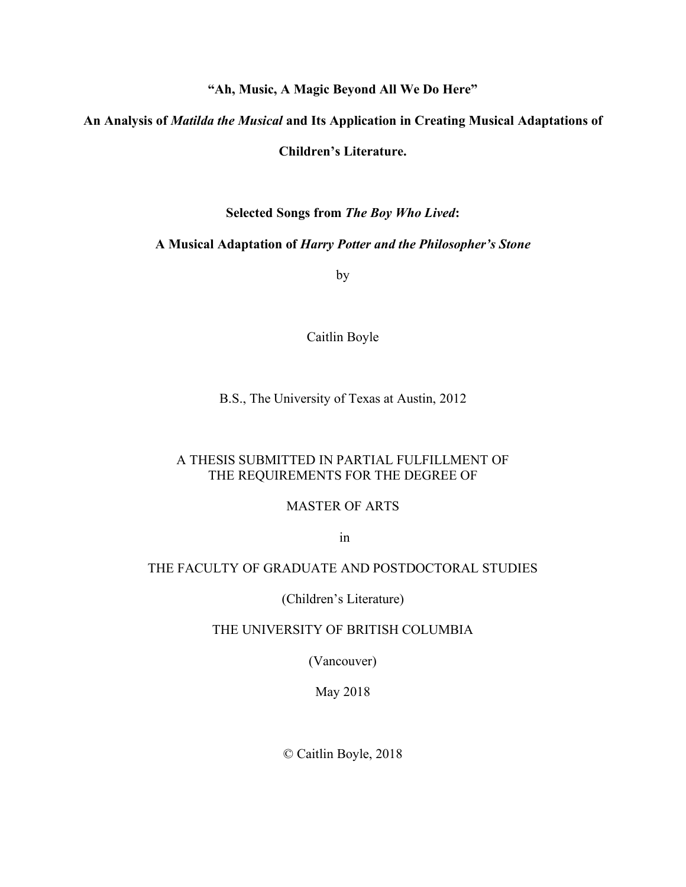### **"Ah, Music, A Magic Beyond All We Do Here"**

## **An Analysis of** *Matilda the Musical* **and Its Application in Creating Musical Adaptations of**

### **Children's Literature.**

### **Selected Songs from** *The Boy Who Lived***:**

### **A Musical Adaptation of** *Harry Potter and the Philosopher's Stone*

by

### Caitlin Boyle

### B.S., The University of Texas at Austin, 2012

### A THESIS SUBMITTED IN PARTIAL FULFILLMENT OF THE REQUIREMENTS FOR THE DEGREE OF

### MASTER OF ARTS

in

## THE FACULTY OF GRADUATE AND POSTDOCTORAL STUDIES

(Children's Literature)

### THE UNIVERSITY OF BRITISH COLUMBIA

(Vancouver)

May 2018

© Caitlin Boyle, 2018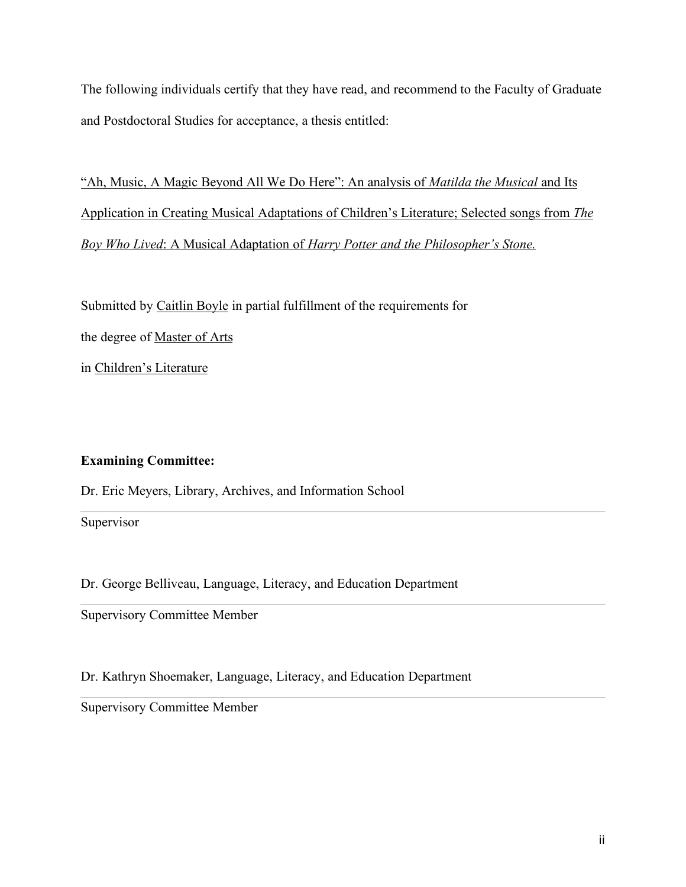The following individuals certify that they have read, and recommend to the Faculty of Graduate and Postdoctoral Studies for acceptance, a thesis entitled:

"Ah, Music, A Magic Beyond All We Do Here": An analysis of *Matilda the Musical* and Its Application in Creating Musical Adaptations of Children's Literature; Selected songs from *The Boy Who Lived*: A Musical Adaptation of *Harry Potter and the Philosopher's Stone.*

Submitted by Caitlin Boyle in partial fulfillment of the requirements for the degree of Master of Arts in Children's Literature

### **Examining Committee:**

Dr. Eric Meyers, Library, Archives, and Information School

Supervisor

Dr. George Belliveau, Language, Literacy, and Education Department

Supervisory Committee Member

Dr. Kathryn Shoemaker, Language, Literacy, and Education Department

Supervisory Committee Member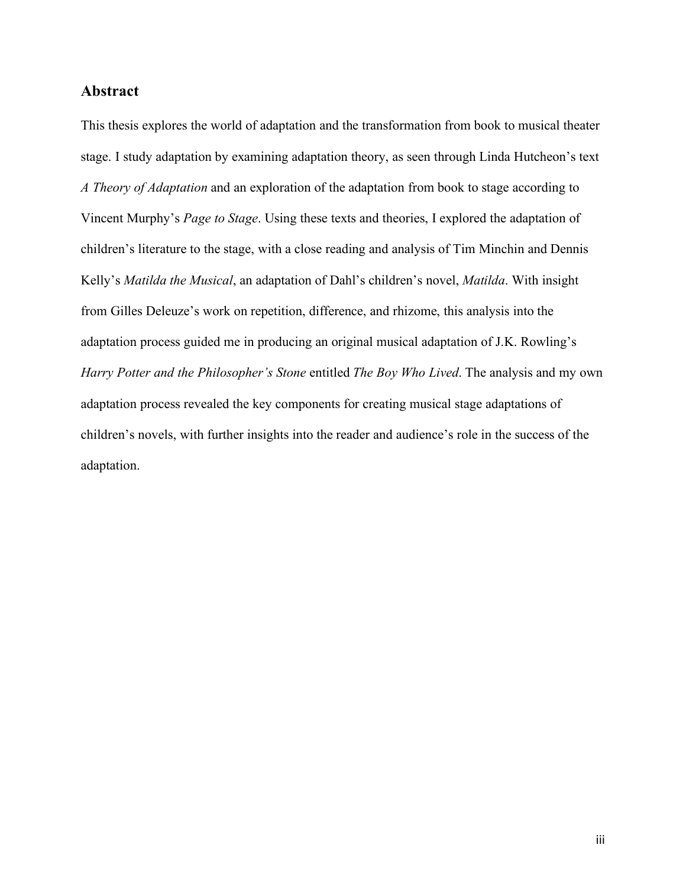### **Abstract**

This thesis explores the world of adaptation and the transformation from book to musical theater stage. I study adaptation by examining adaptation theory, as seen through Linda Hutcheon's text *A Theory of Adaptation* and an exploration of the adaptation from book to stage according to Vincent Murphy's *Page to Stage*. Using these texts and theories, I explored the adaptation of children's literature to the stage, with a close reading and analysis of Tim Minchin and Dennis Kelly's *Matilda the Musical*, an adaptation of Dahl's children's novel, *Matilda*. With insight from Gilles Deleuze's work on repetition, difference, and rhizome, this analysis into the adaptation process guided me in producing an original musical adaptation of J.K. Rowling's *Harry Potter and the Philosopher's Stone* entitled *The Boy Who Lived*. The analysis and my own adaptation process revealed the key components for creating musical stage adaptations of children's novels, with further insights into the reader and audience's role in the success of the adaptation.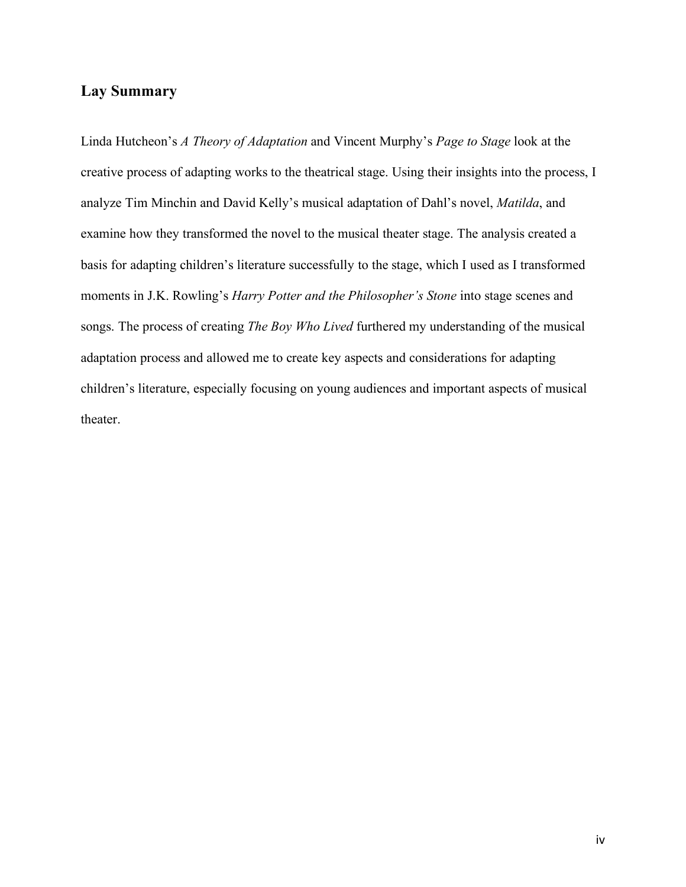# **Lay Summary**

Linda Hutcheon's *A Theory of Adaptation* and Vincent Murphy's *Page to Stage* look at the creative process of adapting works to the theatrical stage. Using their insights into the process, I analyze Tim Minchin and David Kelly's musical adaptation of Dahl's novel, *Matilda*, and examine how they transformed the novel to the musical theater stage. The analysis created a basis for adapting children's literature successfully to the stage, which I used as I transformed moments in J.K. Rowling's *Harry Potter and the Philosopher's Stone* into stage scenes and songs. The process of creating *The Boy Who Lived* furthered my understanding of the musical adaptation process and allowed me to create key aspects and considerations for adapting children's literature, especially focusing on young audiences and important aspects of musical theater.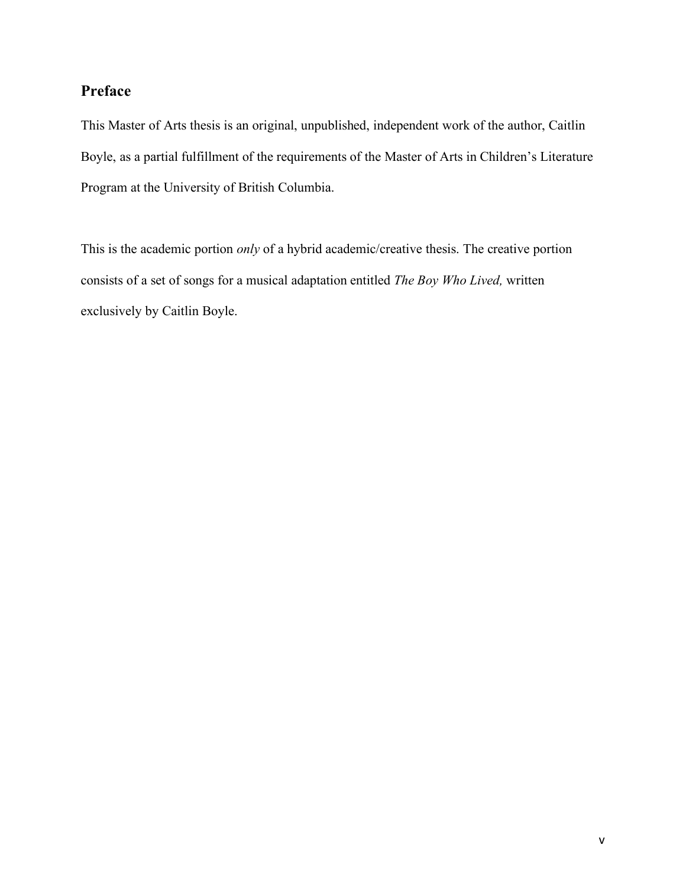# **Preface**

This Master of Arts thesis is an original, unpublished, independent work of the author, Caitlin Boyle, as a partial fulfillment of the requirements of the Master of Arts in Children's Literature Program at the University of British Columbia.

This is the academic portion *only* of a hybrid academic/creative thesis. The creative portion consists of a set of songs for a musical adaptation entitled *The Boy Who Lived,* written exclusively by Caitlin Boyle.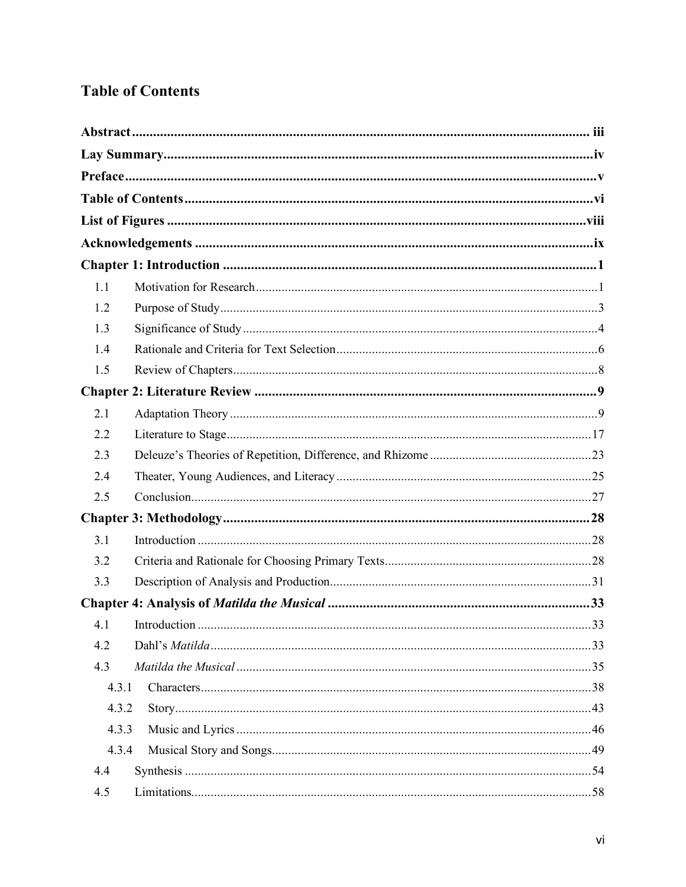# **Table of Contents**

| 1.1   |                     |  |
|-------|---------------------|--|
| 1.2   |                     |  |
| 1.3   |                     |  |
| 1.4   |                     |  |
| 1.5   |                     |  |
|       |                     |  |
| 2.1   |                     |  |
| 2.2   |                     |  |
| 2.3   |                     |  |
| 2.4   |                     |  |
| 2.5   |                     |  |
|       |                     |  |
| 3.1   |                     |  |
| 3.2   |                     |  |
| 3.3   |                     |  |
|       |                     |  |
| 4.1   | <b>Introduction</b> |  |
| 4.2   |                     |  |
| 4.3   |                     |  |
| 4.3.1 |                     |  |
|       | 4.3.2               |  |
|       | 4.3.3               |  |
|       | 4.3.4               |  |
| 4.4   |                     |  |
| 4.5   |                     |  |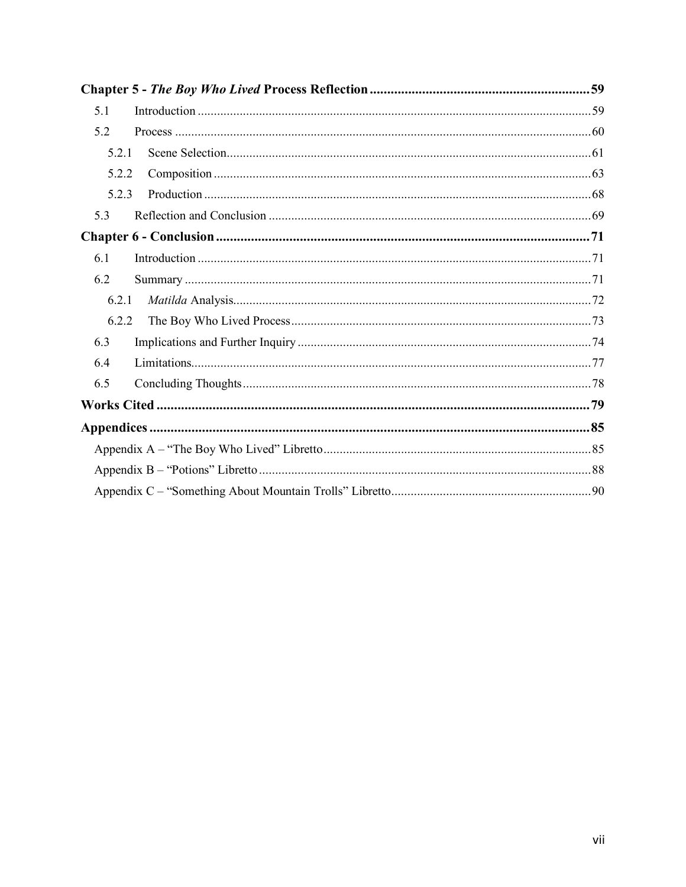| 5.1   |  |  |
|-------|--|--|
| 5.2   |  |  |
| 5.2.1 |  |  |
| 5.2.2 |  |  |
| 5.2.3 |  |  |
| 5.3   |  |  |
|       |  |  |
| 6.1   |  |  |
| 6.2   |  |  |
| 6.2.1 |  |  |
| 6.2.2 |  |  |
| 6.3   |  |  |
| 6.4   |  |  |
| 6.5   |  |  |
|       |  |  |
|       |  |  |
|       |  |  |
|       |  |  |
|       |  |  |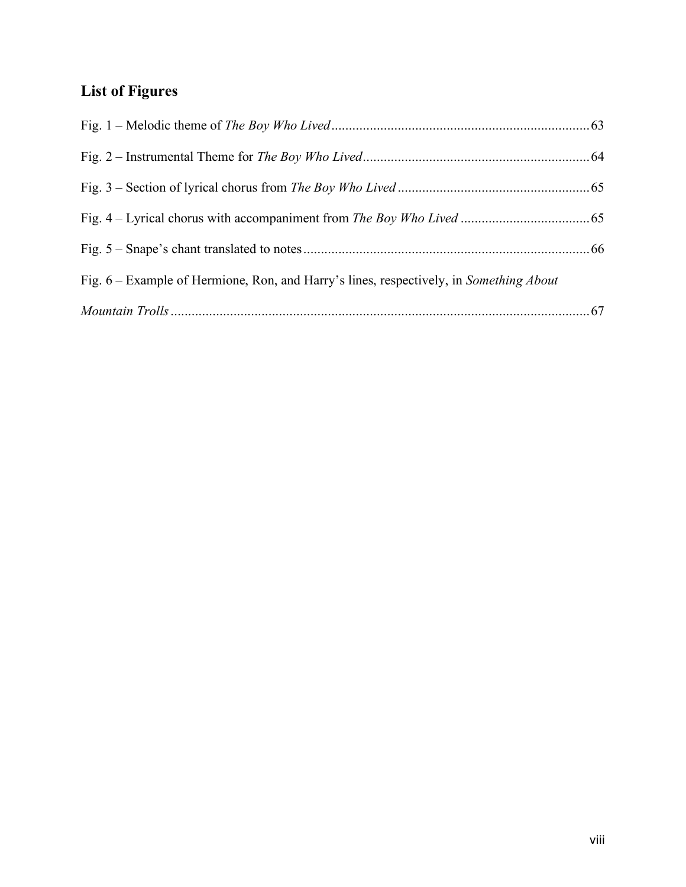# **List of Figures**

| Fig. 6 – Example of Hermione, Ron, and Harry's lines, respectively, in Something About |  |
|----------------------------------------------------------------------------------------|--|
|                                                                                        |  |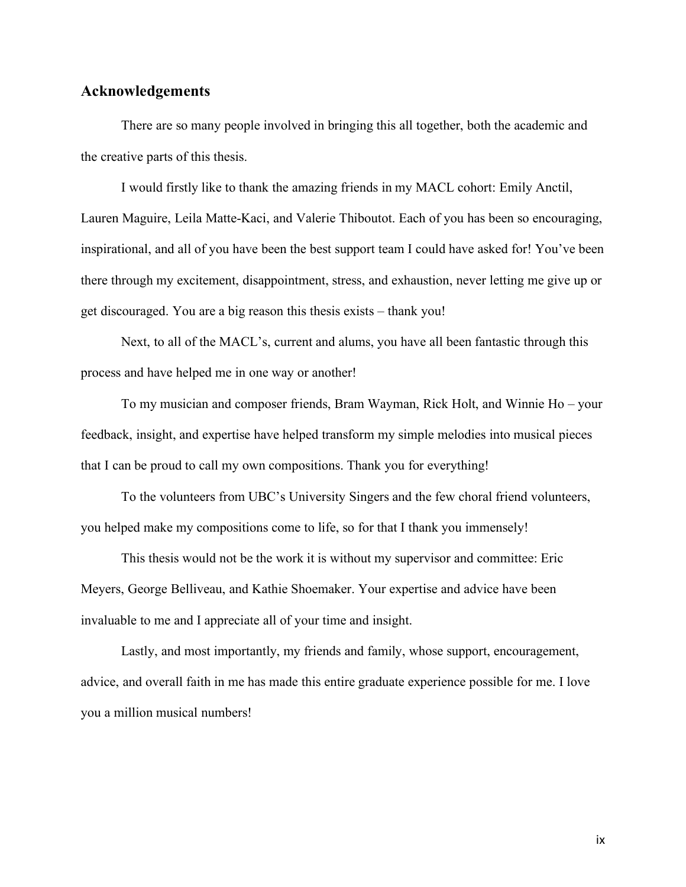### **Acknowledgements**

There are so many people involved in bringing this all together, both the academic and the creative parts of this thesis.

I would firstly like to thank the amazing friends in my MACL cohort: Emily Anctil, Lauren Maguire, Leila Matte-Kaci, and Valerie Thiboutot. Each of you has been so encouraging, inspirational, and all of you have been the best support team I could have asked for! You've been there through my excitement, disappointment, stress, and exhaustion, never letting me give up or get discouraged. You are a big reason this thesis exists – thank you!

Next, to all of the MACL's, current and alums, you have all been fantastic through this process and have helped me in one way or another!

To my musician and composer friends, Bram Wayman, Rick Holt, and Winnie Ho – your feedback, insight, and expertise have helped transform my simple melodies into musical pieces that I can be proud to call my own compositions. Thank you for everything!

To the volunteers from UBC's University Singers and the few choral friend volunteers, you helped make my compositions come to life, so for that I thank you immensely!

This thesis would not be the work it is without my supervisor and committee: Eric Meyers, George Belliveau, and Kathie Shoemaker. Your expertise and advice have been invaluable to me and I appreciate all of your time and insight.

Lastly, and most importantly, my friends and family, whose support, encouragement, advice, and overall faith in me has made this entire graduate experience possible for me. I love you a million musical numbers!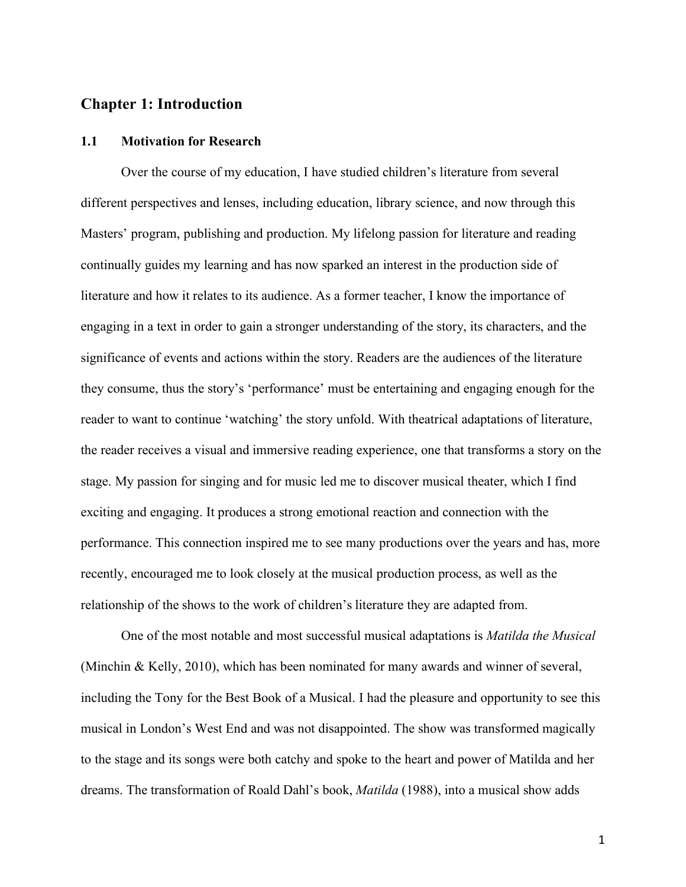## **Chapter 1: Introduction**

#### **1.1 Motivation for Research**

Over the course of my education, I have studied children's literature from several different perspectives and lenses, including education, library science, and now through this Masters' program, publishing and production. My lifelong passion for literature and reading continually guides my learning and has now sparked an interest in the production side of literature and how it relates to its audience. As a former teacher, I know the importance of engaging in a text in order to gain a stronger understanding of the story, its characters, and the significance of events and actions within the story. Readers are the audiences of the literature they consume, thus the story's 'performance' must be entertaining and engaging enough for the reader to want to continue 'watching' the story unfold. With theatrical adaptations of literature, the reader receives a visual and immersive reading experience, one that transforms a story on the stage. My passion for singing and for music led me to discover musical theater, which I find exciting and engaging. It produces a strong emotional reaction and connection with the performance. This connection inspired me to see many productions over the years and has, more recently, encouraged me to look closely at the musical production process, as well as the relationship of the shows to the work of children's literature they are adapted from.

One of the most notable and most successful musical adaptations is *Matilda the Musical* (Minchin & Kelly, 2010), which has been nominated for many awards and winner of several, including the Tony for the Best Book of a Musical. I had the pleasure and opportunity to see this musical in London's West End and was not disappointed. The show was transformed magically to the stage and its songs were both catchy and spoke to the heart and power of Matilda and her dreams. The transformation of Roald Dahl's book, *Matilda* (1988), into a musical show adds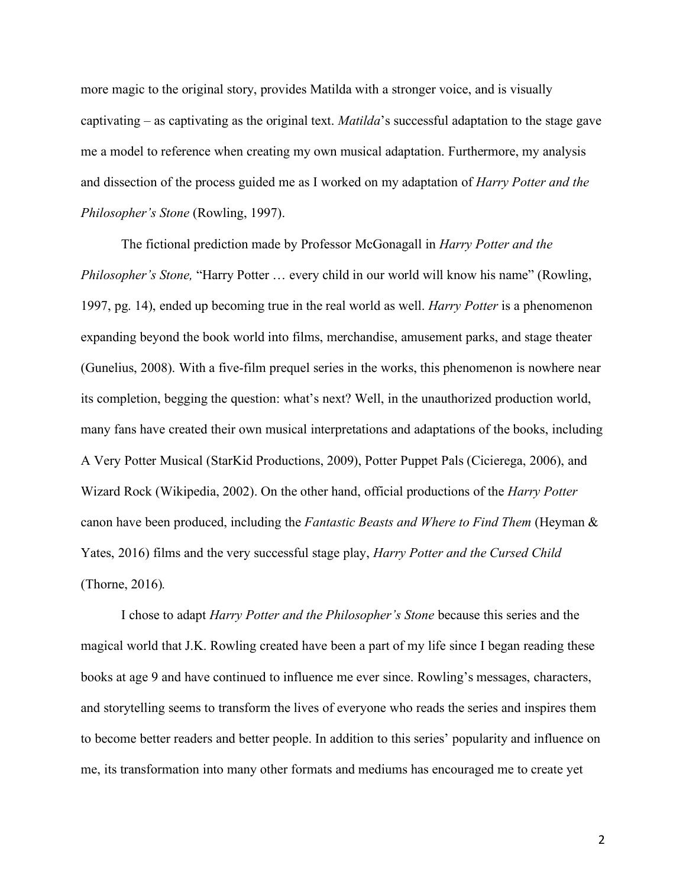more magic to the original story, provides Matilda with a stronger voice, and is visually captivating – as captivating as the original text. *Matilda*'s successful adaptation to the stage gave me a model to reference when creating my own musical adaptation. Furthermore, my analysis and dissection of the process guided me as I worked on my adaptation of *Harry Potter and the Philosopher's Stone* (Rowling, 1997).

The fictional prediction made by Professor McGonagall in *Harry Potter and the Philosopher's Stone,* "Harry Potter … every child in our world will know his name" (Rowling, 1997, pg. 14), ended up becoming true in the real world as well. *Harry Potter* is a phenomenon expanding beyond the book world into films, merchandise, amusement parks, and stage theater (Gunelius, 2008). With a five-film prequel series in the works, this phenomenon is nowhere near its completion, begging the question: what's next? Well, in the unauthorized production world, many fans have created their own musical interpretations and adaptations of the books, including A Very Potter Musical (StarKid Productions, 2009), Potter Puppet Pals (Cicierega, 2006), and Wizard Rock (Wikipedia, 2002). On the other hand, official productions of the *Harry Potter* canon have been produced, including the *Fantastic Beasts and Where to Find Them* (Heyman & Yates, 2016) films and the very successful stage play, *Harry Potter and the Cursed Child* (Thorne, 2016)*.*

I chose to adapt *Harry Potter and the Philosopher's Stone* because this series and the magical world that J.K. Rowling created have been a part of my life since I began reading these books at age 9 and have continued to influence me ever since. Rowling's messages, characters, and storytelling seems to transform the lives of everyone who reads the series and inspires them to become better readers and better people. In addition to this series' popularity and influence on me, its transformation into many other formats and mediums has encouraged me to create yet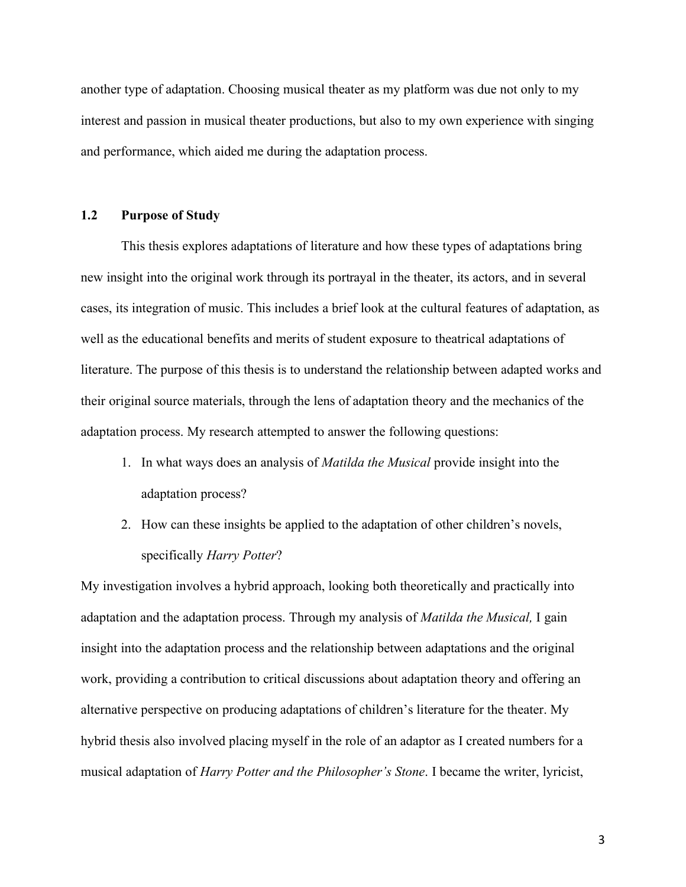another type of adaptation. Choosing musical theater as my platform was due not only to my interest and passion in musical theater productions, but also to my own experience with singing and performance, which aided me during the adaptation process.

### **1.2 Purpose of Study**

This thesis explores adaptations of literature and how these types of adaptations bring new insight into the original work through its portrayal in the theater, its actors, and in several cases, its integration of music. This includes a brief look at the cultural features of adaptation, as well as the educational benefits and merits of student exposure to theatrical adaptations of literature. The purpose of this thesis is to understand the relationship between adapted works and their original source materials, through the lens of adaptation theory and the mechanics of the adaptation process. My research attempted to answer the following questions:

- 1. In what ways does an analysis of *Matilda the Musical* provide insight into the adaptation process?
- 2. How can these insights be applied to the adaptation of other children's novels, specifically *Harry Potter*?

My investigation involves a hybrid approach, looking both theoretically and practically into adaptation and the adaptation process. Through my analysis of *Matilda the Musical,* I gain insight into the adaptation process and the relationship between adaptations and the original work, providing a contribution to critical discussions about adaptation theory and offering an alternative perspective on producing adaptations of children's literature for the theater. My hybrid thesis also involved placing myself in the role of an adaptor as I created numbers for a musical adaptation of *Harry Potter and the Philosopher's Stone*. I became the writer, lyricist,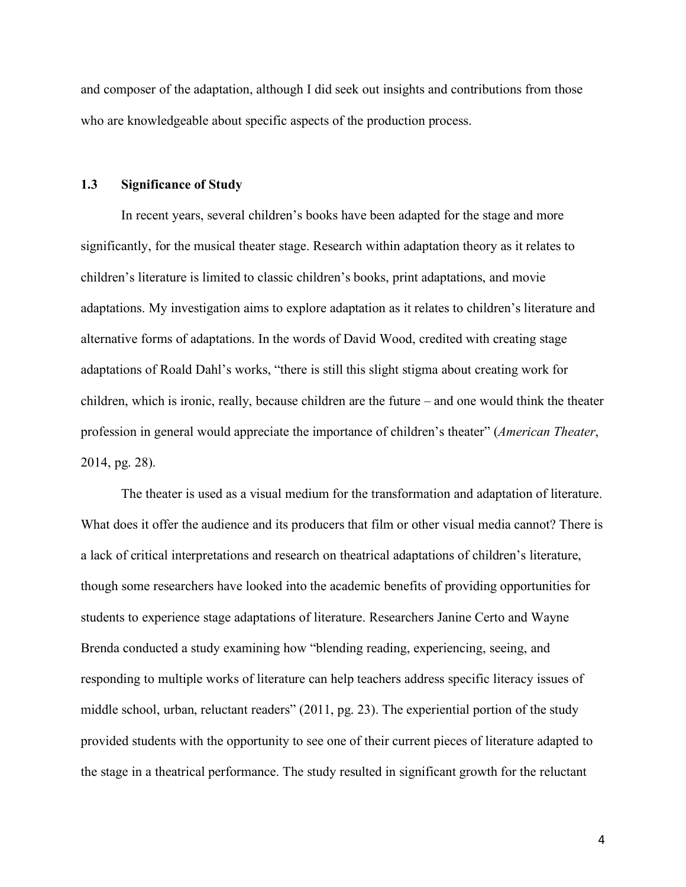and composer of the adaptation, although I did seek out insights and contributions from those who are knowledgeable about specific aspects of the production process.

### **1.3 Significance of Study**

In recent years, several children's books have been adapted for the stage and more significantly, for the musical theater stage. Research within adaptation theory as it relates to children's literature is limited to classic children's books, print adaptations, and movie adaptations. My investigation aims to explore adaptation as it relates to children's literature and alternative forms of adaptations. In the words of David Wood, credited with creating stage adaptations of Roald Dahl's works, "there is still this slight stigma about creating work for children, which is ironic, really, because children are the future – and one would think the theater profession in general would appreciate the importance of children's theater" (*American Theater*, 2014, pg. 28).

The theater is used as a visual medium for the transformation and adaptation of literature. What does it offer the audience and its producers that film or other visual media cannot? There is a lack of critical interpretations and research on theatrical adaptations of children's literature, though some researchers have looked into the academic benefits of providing opportunities for students to experience stage adaptations of literature. Researchers Janine Certo and Wayne Brenda conducted a study examining how "blending reading, experiencing, seeing, and responding to multiple works of literature can help teachers address specific literacy issues of middle school, urban, reluctant readers" (2011, pg. 23). The experiential portion of the study provided students with the opportunity to see one of their current pieces of literature adapted to the stage in a theatrical performance. The study resulted in significant growth for the reluctant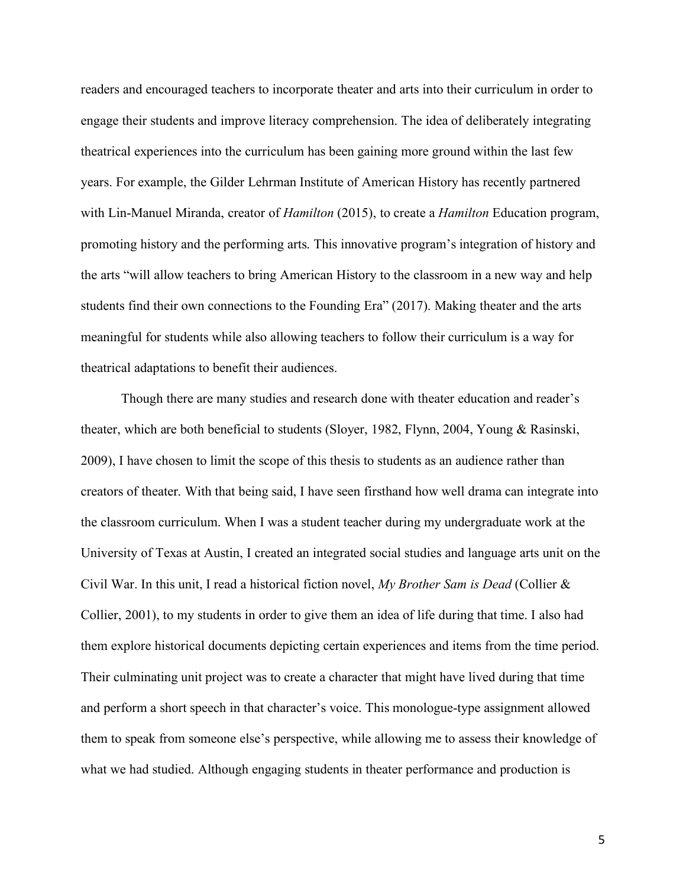readers and encouraged teachers to incorporate theater and arts into their curriculum in order to engage their students and improve literacy comprehension. The idea of deliberately integrating theatrical experiences into the curriculum has been gaining more ground within the last few years. For example, the Gilder Lehrman Institute of American History has recently partnered with Lin-Manuel Miranda, creator of *Hamilton* (2015), to create a *Hamilton* Education program, promoting history and the performing arts. This innovative program's integration of history and the arts "will allow teachers to bring American History to the classroom in a new way and help students find their own connections to the Founding Era" (2017). Making theater and the arts meaningful for students while also allowing teachers to follow their curriculum is a way for theatrical adaptations to benefit their audiences.

Though there are many studies and research done with theater education and reader's theater, which are both beneficial to students (Sloyer, 1982, Flynn, 2004, Young & Rasinski, 2009), I have chosen to limit the scope of this thesis to students as an audience rather than creators of theater. With that being said, I have seen firsthand how well drama can integrate into the classroom curriculum. When I was a student teacher during my undergraduate work at the University of Texas at Austin, I created an integrated social studies and language arts unit on the Civil War. In this unit, I read a historical fiction novel, *My Brother Sam is Dead* (Collier & Collier, 2001), to my students in order to give them an idea of life during that time. I also had them explore historical documents depicting certain experiences and items from the time period. Their culminating unit project was to create a character that might have lived during that time and perform a short speech in that character's voice. This monologue-type assignment allowed them to speak from someone else's perspective, while allowing me to assess their knowledge of what we had studied. Although engaging students in theater performance and production is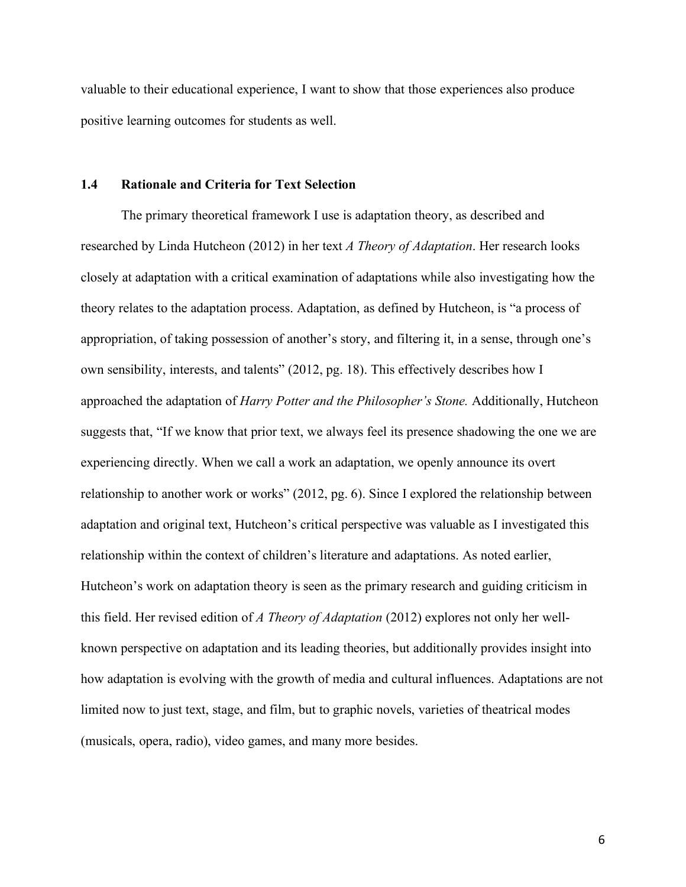valuable to their educational experience, I want to show that those experiences also produce positive learning outcomes for students as well.

### **1.4 Rationale and Criteria for Text Selection**

The primary theoretical framework I use is adaptation theory, as described and researched by Linda Hutcheon (2012) in her text *A Theory of Adaptation*. Her research looks closely at adaptation with a critical examination of adaptations while also investigating how the theory relates to the adaptation process. Adaptation, as defined by Hutcheon, is "a process of appropriation, of taking possession of another's story, and filtering it, in a sense, through one's own sensibility, interests, and talents" (2012, pg. 18). This effectively describes how I approached the adaptation of *Harry Potter and the Philosopher's Stone.* Additionally, Hutcheon suggests that, "If we know that prior text, we always feel its presence shadowing the one we are experiencing directly. When we call a work an adaptation, we openly announce its overt relationship to another work or works" (2012, pg. 6). Since I explored the relationship between adaptation and original text, Hutcheon's critical perspective was valuable as I investigated this relationship within the context of children's literature and adaptations. As noted earlier, Hutcheon's work on adaptation theory is seen as the primary research and guiding criticism in this field. Her revised edition of *A Theory of Adaptation* (2012) explores not only her wellknown perspective on adaptation and its leading theories, but additionally provides insight into how adaptation is evolving with the growth of media and cultural influences. Adaptations are not limited now to just text, stage, and film, but to graphic novels, varieties of theatrical modes (musicals, opera, radio), video games, and many more besides.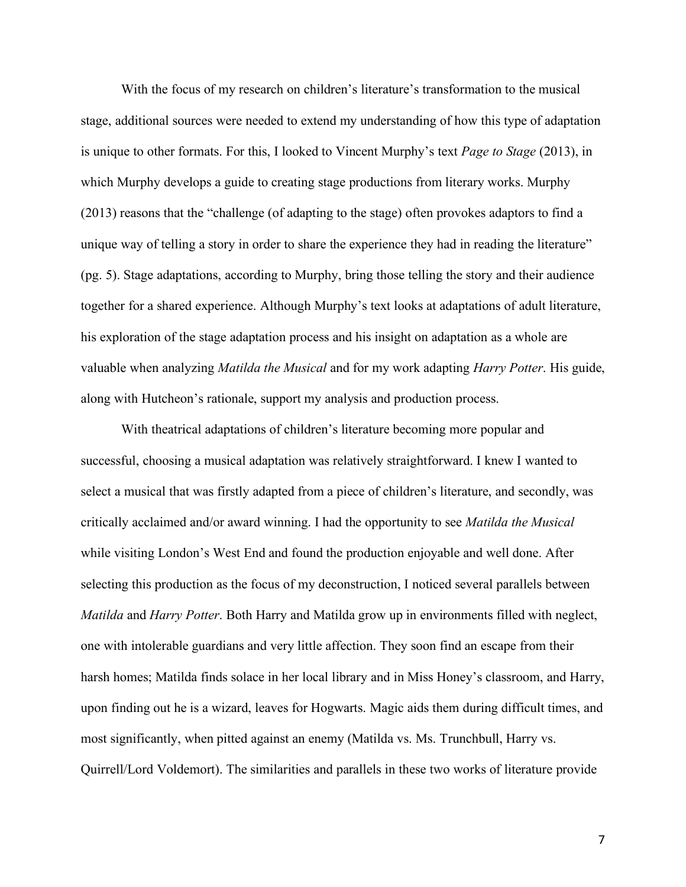With the focus of my research on children's literature's transformation to the musical stage, additional sources were needed to extend my understanding of how this type of adaptation is unique to other formats. For this, I looked to Vincent Murphy's text *Page to Stage* (2013), in which Murphy develops a guide to creating stage productions from literary works. Murphy (2013) reasons that the "challenge (of adapting to the stage) often provokes adaptors to find a unique way of telling a story in order to share the experience they had in reading the literature" (pg. 5). Stage adaptations, according to Murphy, bring those telling the story and their audience together for a shared experience. Although Murphy's text looks at adaptations of adult literature, his exploration of the stage adaptation process and his insight on adaptation as a whole are valuable when analyzing *Matilda the Musical* and for my work adapting *Harry Potter*. His guide, along with Hutcheon's rationale, support my analysis and production process.

With theatrical adaptations of children's literature becoming more popular and successful, choosing a musical adaptation was relatively straightforward. I knew I wanted to select a musical that was firstly adapted from a piece of children's literature, and secondly, was critically acclaimed and/or award winning. I had the opportunity to see *Matilda the Musical* while visiting London's West End and found the production enjoyable and well done. After selecting this production as the focus of my deconstruction, I noticed several parallels between *Matilda* and *Harry Potter*. Both Harry and Matilda grow up in environments filled with neglect, one with intolerable guardians and very little affection. They soon find an escape from their harsh homes; Matilda finds solace in her local library and in Miss Honey's classroom, and Harry, upon finding out he is a wizard, leaves for Hogwarts. Magic aids them during difficult times, and most significantly, when pitted against an enemy (Matilda vs. Ms. Trunchbull, Harry vs. Quirrell/Lord Voldemort). The similarities and parallels in these two works of literature provide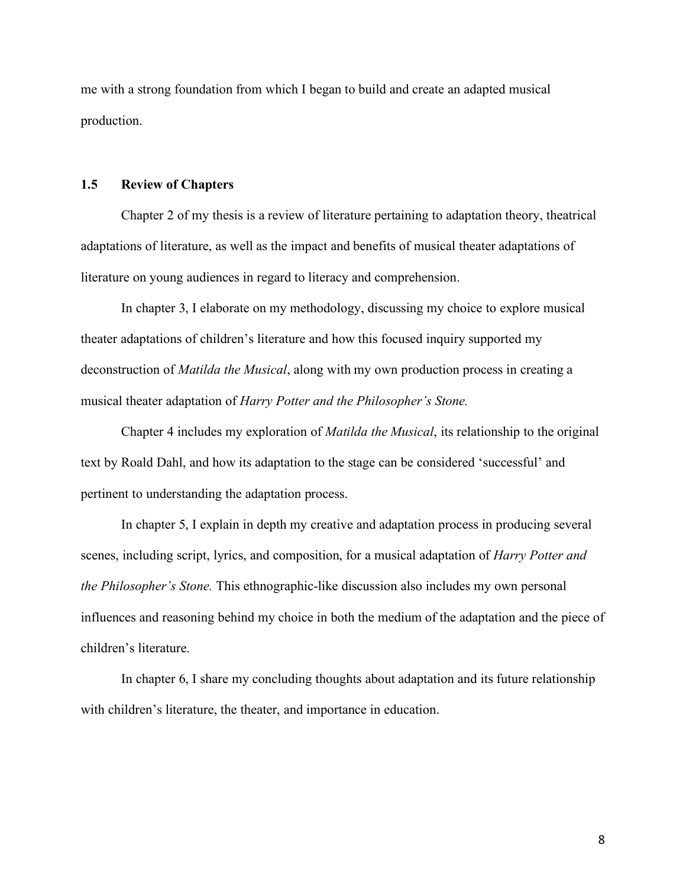me with a strong foundation from which I began to build and create an adapted musical production.

### **1.5 Review of Chapters**

Chapter 2 of my thesis is a review of literature pertaining to adaptation theory, theatrical adaptations of literature, as well as the impact and benefits of musical theater adaptations of literature on young audiences in regard to literacy and comprehension.

In chapter 3, I elaborate on my methodology, discussing my choice to explore musical theater adaptations of children's literature and how this focused inquiry supported my deconstruction of *Matilda the Musical*, along with my own production process in creating a musical theater adaptation of *Harry Potter and the Philosopher's Stone.*

Chapter 4 includes my exploration of *Matilda the Musical*, its relationship to the original text by Roald Dahl, and how its adaptation to the stage can be considered 'successful' and pertinent to understanding the adaptation process.

In chapter 5, I explain in depth my creative and adaptation process in producing several scenes, including script, lyrics, and composition, for a musical adaptation of *Harry Potter and the Philosopher's Stone.* This ethnographic-like discussion also includes my own personal influences and reasoning behind my choice in both the medium of the adaptation and the piece of children's literature.

In chapter 6, I share my concluding thoughts about adaptation and its future relationship with children's literature, the theater, and importance in education.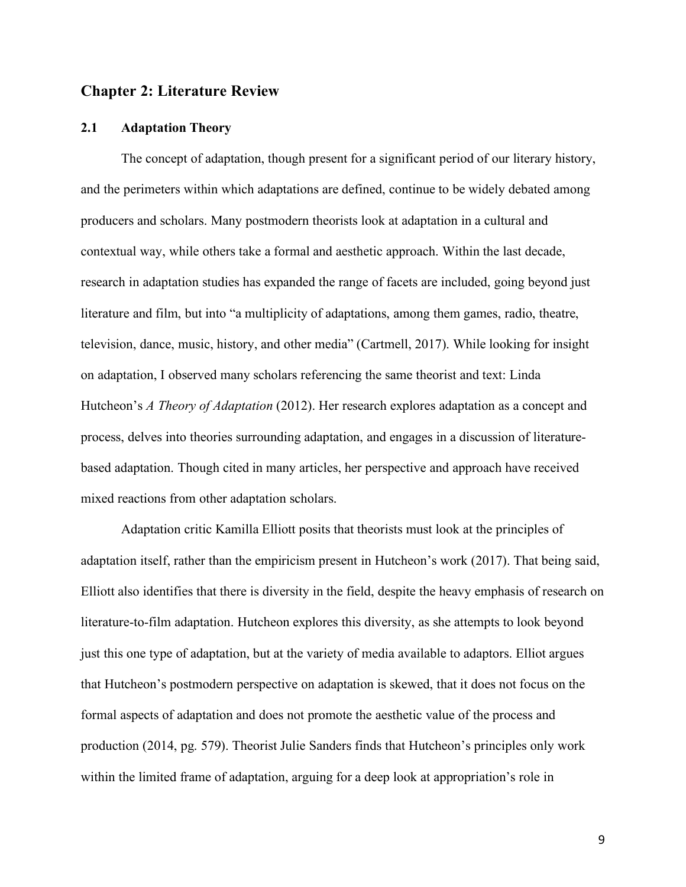### **Chapter 2: Literature Review**

#### **2.1 Adaptation Theory**

The concept of adaptation, though present for a significant period of our literary history, and the perimeters within which adaptations are defined, continue to be widely debated among producers and scholars. Many postmodern theorists look at adaptation in a cultural and contextual way, while others take a formal and aesthetic approach. Within the last decade, research in adaptation studies has expanded the range of facets are included, going beyond just literature and film, but into "a multiplicity of adaptations, among them games, radio, theatre, television, dance, music, history, and other media" (Cartmell, 2017). While looking for insight on adaptation, I observed many scholars referencing the same theorist and text: Linda Hutcheon's *A Theory of Adaptation* (2012). Her research explores adaptation as a concept and process, delves into theories surrounding adaptation, and engages in a discussion of literaturebased adaptation. Though cited in many articles, her perspective and approach have received mixed reactions from other adaptation scholars.

Adaptation critic Kamilla Elliott posits that theorists must look at the principles of adaptation itself, rather than the empiricism present in Hutcheon's work (2017). That being said, Elliott also identifies that there is diversity in the field, despite the heavy emphasis of research on literature-to-film adaptation. Hutcheon explores this diversity, as she attempts to look beyond just this one type of adaptation, but at the variety of media available to adaptors. Elliot argues that Hutcheon's postmodern perspective on adaptation is skewed, that it does not focus on the formal aspects of adaptation and does not promote the aesthetic value of the process and production (2014, pg. 579). Theorist Julie Sanders finds that Hutcheon's principles only work within the limited frame of adaptation, arguing for a deep look at appropriation's role in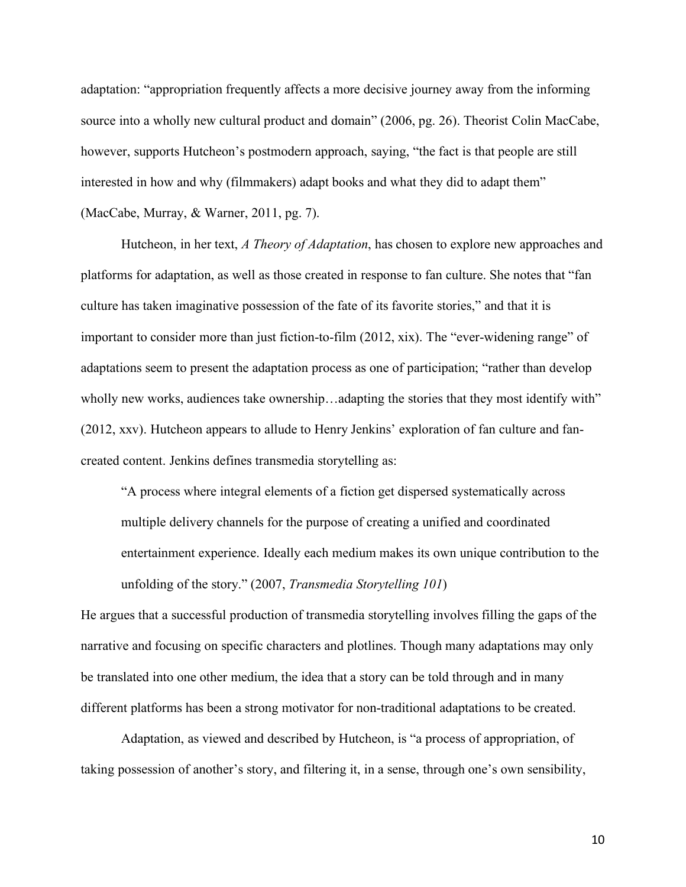adaptation: "appropriation frequently affects a more decisive journey away from the informing source into a wholly new cultural product and domain" (2006, pg. 26). Theorist Colin MacCabe, however, supports Hutcheon's postmodern approach, saying, "the fact is that people are still interested in how and why (filmmakers) adapt books and what they did to adapt them" (MacCabe, Murray, & Warner, 2011, pg. 7).

Hutcheon, in her text, *A Theory of Adaptation*, has chosen to explore new approaches and platforms for adaptation, as well as those created in response to fan culture. She notes that "fan culture has taken imaginative possession of the fate of its favorite stories," and that it is important to consider more than just fiction-to-film (2012, xix). The "ever-widening range" of adaptations seem to present the adaptation process as one of participation; "rather than develop wholly new works, audiences take ownership...adapting the stories that they most identify with" (2012, xxv). Hutcheon appears to allude to Henry Jenkins' exploration of fan culture and fancreated content. Jenkins defines transmedia storytelling as:

"A process where integral elements of a fiction get dispersed systematically across multiple delivery channels for the purpose of creating a unified and coordinated entertainment experience. Ideally each medium makes its own unique contribution to the unfolding of the story." (2007, *Transmedia Storytelling 101*)

He argues that a successful production of transmedia storytelling involves filling the gaps of the narrative and focusing on specific characters and plotlines. Though many adaptations may only be translated into one other medium, the idea that a story can be told through and in many different platforms has been a strong motivator for non-traditional adaptations to be created.

Adaptation, as viewed and described by Hutcheon, is "a process of appropriation, of taking possession of another's story, and filtering it, in a sense, through one's own sensibility,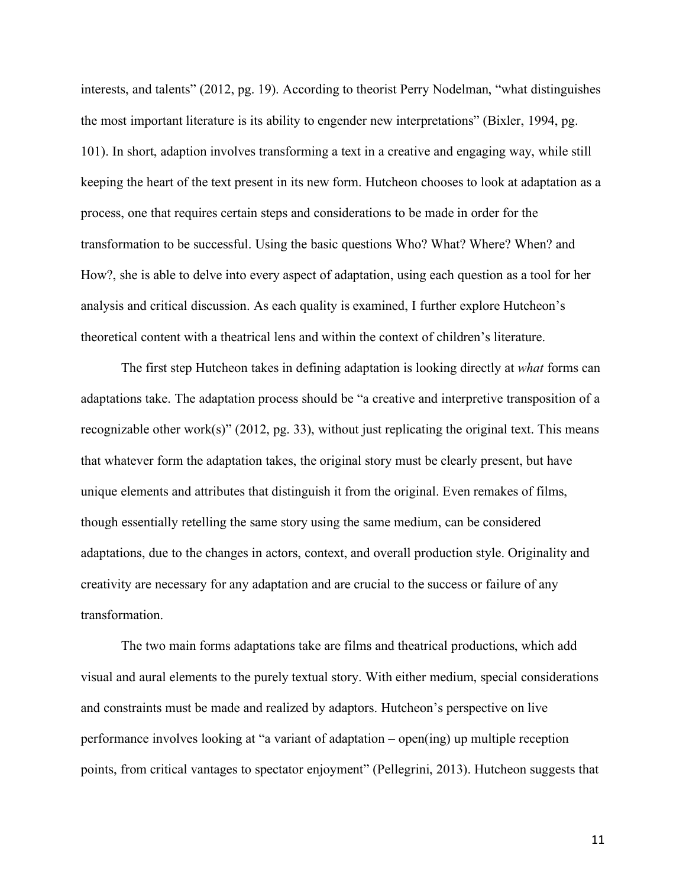interests, and talents" (2012, pg. 19). According to theorist Perry Nodelman, "what distinguishes the most important literature is its ability to engender new interpretations" (Bixler, 1994, pg. 101). In short, adaption involves transforming a text in a creative and engaging way, while still keeping the heart of the text present in its new form. Hutcheon chooses to look at adaptation as a process, one that requires certain steps and considerations to be made in order for the transformation to be successful. Using the basic questions Who? What? Where? When? and How?, she is able to delve into every aspect of adaptation, using each question as a tool for her analysis and critical discussion. As each quality is examined, I further explore Hutcheon's theoretical content with a theatrical lens and within the context of children's literature.

The first step Hutcheon takes in defining adaptation is looking directly at *what* forms can adaptations take. The adaptation process should be "a creative and interpretive transposition of a recognizable other work(s)" (2012, pg. 33), without just replicating the original text. This means that whatever form the adaptation takes, the original story must be clearly present, but have unique elements and attributes that distinguish it from the original. Even remakes of films, though essentially retelling the same story using the same medium, can be considered adaptations, due to the changes in actors, context, and overall production style. Originality and creativity are necessary for any adaptation and are crucial to the success or failure of any transformation.

The two main forms adaptations take are films and theatrical productions, which add visual and aural elements to the purely textual story. With either medium, special considerations and constraints must be made and realized by adaptors. Hutcheon's perspective on live performance involves looking at "a variant of adaptation – open(ing) up multiple reception points, from critical vantages to spectator enjoyment" (Pellegrini, 2013). Hutcheon suggests that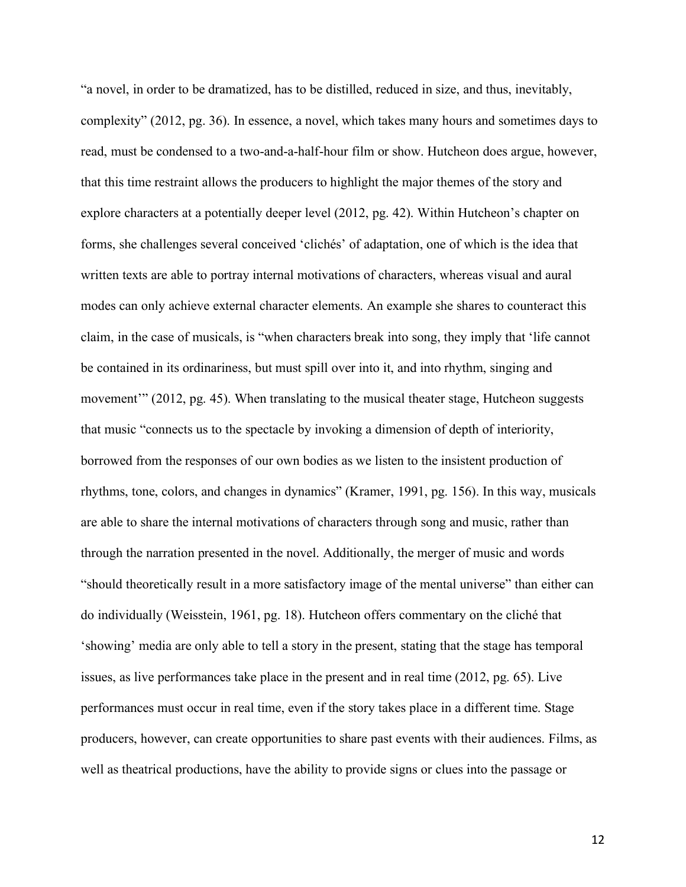"a novel, in order to be dramatized, has to be distilled, reduced in size, and thus, inevitably, complexity" (2012, pg. 36). In essence, a novel, which takes many hours and sometimes days to read, must be condensed to a two-and-a-half-hour film or show. Hutcheon does argue, however, that this time restraint allows the producers to highlight the major themes of the story and explore characters at a potentially deeper level (2012, pg. 42). Within Hutcheon's chapter on forms, she challenges several conceived 'clichés' of adaptation, one of which is the idea that written texts are able to portray internal motivations of characters, whereas visual and aural modes can only achieve external character elements. An example she shares to counteract this claim, in the case of musicals, is "when characters break into song, they imply that 'life cannot be contained in its ordinariness, but must spill over into it, and into rhythm, singing and movement'" (2012, pg. 45). When translating to the musical theater stage, Hutcheon suggests that music "connects us to the spectacle by invoking a dimension of depth of interiority, borrowed from the responses of our own bodies as we listen to the insistent production of rhythms, tone, colors, and changes in dynamics" (Kramer, 1991, pg. 156). In this way, musicals are able to share the internal motivations of characters through song and music, rather than through the narration presented in the novel. Additionally, the merger of music and words "should theoretically result in a more satisfactory image of the mental universe" than either can do individually (Weisstein, 1961, pg. 18). Hutcheon offers commentary on the cliché that 'showing' media are only able to tell a story in the present, stating that the stage has temporal issues, as live performances take place in the present and in real time (2012, pg. 65). Live performances must occur in real time, even if the story takes place in a different time. Stage producers, however, can create opportunities to share past events with their audiences. Films, as well as theatrical productions, have the ability to provide signs or clues into the passage or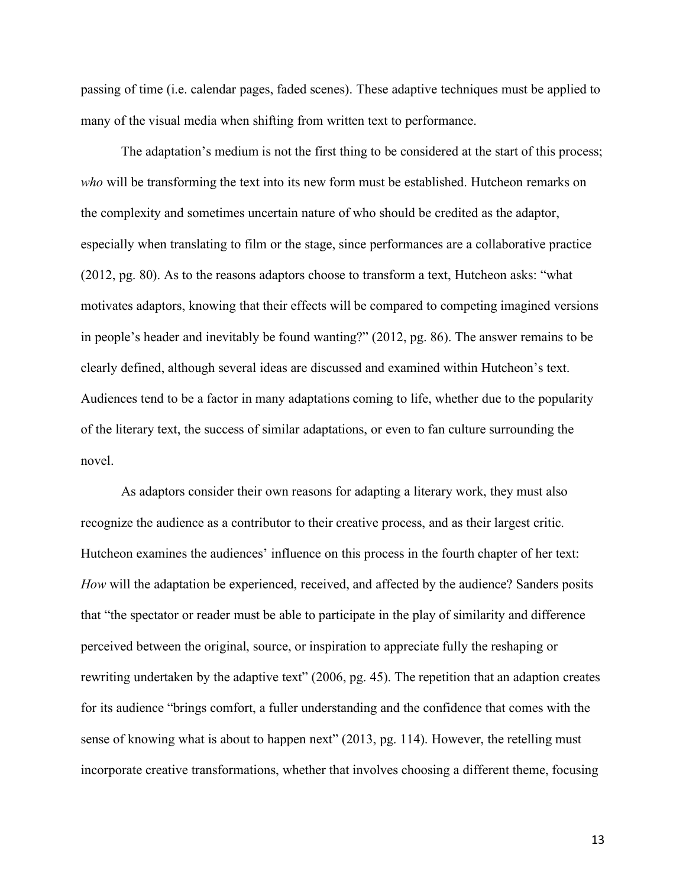passing of time (i.e. calendar pages, faded scenes). These adaptive techniques must be applied to many of the visual media when shifting from written text to performance.

The adaptation's medium is not the first thing to be considered at the start of this process; *who* will be transforming the text into its new form must be established. Hutcheon remarks on the complexity and sometimes uncertain nature of who should be credited as the adaptor, especially when translating to film or the stage, since performances are a collaborative practice (2012, pg. 80). As to the reasons adaptors choose to transform a text, Hutcheon asks: "what motivates adaptors, knowing that their effects will be compared to competing imagined versions in people's header and inevitably be found wanting?" (2012, pg. 86). The answer remains to be clearly defined, although several ideas are discussed and examined within Hutcheon's text. Audiences tend to be a factor in many adaptations coming to life, whether due to the popularity of the literary text, the success of similar adaptations, or even to fan culture surrounding the novel.

As adaptors consider their own reasons for adapting a literary work, they must also recognize the audience as a contributor to their creative process, and as their largest critic. Hutcheon examines the audiences' influence on this process in the fourth chapter of her text: *How* will the adaptation be experienced, received, and affected by the audience? Sanders posits that "the spectator or reader must be able to participate in the play of similarity and difference perceived between the original, source, or inspiration to appreciate fully the reshaping or rewriting undertaken by the adaptive text" (2006, pg. 45). The repetition that an adaption creates for its audience "brings comfort, a fuller understanding and the confidence that comes with the sense of knowing what is about to happen next" (2013, pg. 114). However, the retelling must incorporate creative transformations, whether that involves choosing a different theme, focusing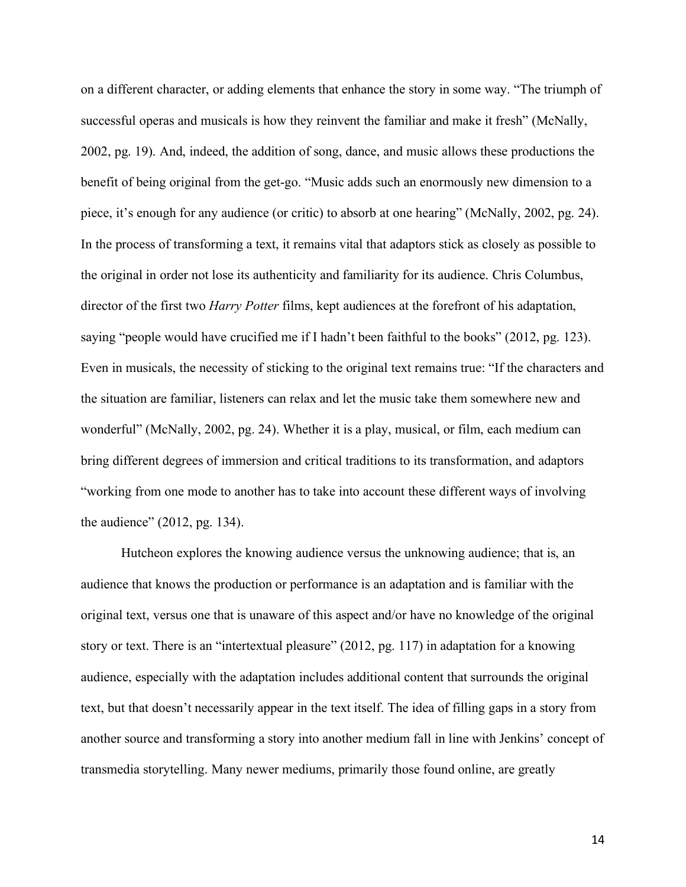on a different character, or adding elements that enhance the story in some way. "The triumph of successful operas and musicals is how they reinvent the familiar and make it fresh" (McNally, 2002, pg. 19). And, indeed, the addition of song, dance, and music allows these productions the benefit of being original from the get-go. "Music adds such an enormously new dimension to a piece, it's enough for any audience (or critic) to absorb at one hearing" (McNally, 2002, pg. 24). In the process of transforming a text, it remains vital that adaptors stick as closely as possible to the original in order not lose its authenticity and familiarity for its audience. Chris Columbus, director of the first two *Harry Potter* films, kept audiences at the forefront of his adaptation, saying "people would have crucified me if I hadn't been faithful to the books" (2012, pg. 123). Even in musicals, the necessity of sticking to the original text remains true: "If the characters and the situation are familiar, listeners can relax and let the music take them somewhere new and wonderful" (McNally, 2002, pg. 24). Whether it is a play, musical, or film, each medium can bring different degrees of immersion and critical traditions to its transformation, and adaptors "working from one mode to another has to take into account these different ways of involving the audience" (2012, pg. 134).

Hutcheon explores the knowing audience versus the unknowing audience; that is, an audience that knows the production or performance is an adaptation and is familiar with the original text, versus one that is unaware of this aspect and/or have no knowledge of the original story or text. There is an "intertextual pleasure" (2012, pg. 117) in adaptation for a knowing audience, especially with the adaptation includes additional content that surrounds the original text, but that doesn't necessarily appear in the text itself. The idea of filling gaps in a story from another source and transforming a story into another medium fall in line with Jenkins' concept of transmedia storytelling. Many newer mediums, primarily those found online, are greatly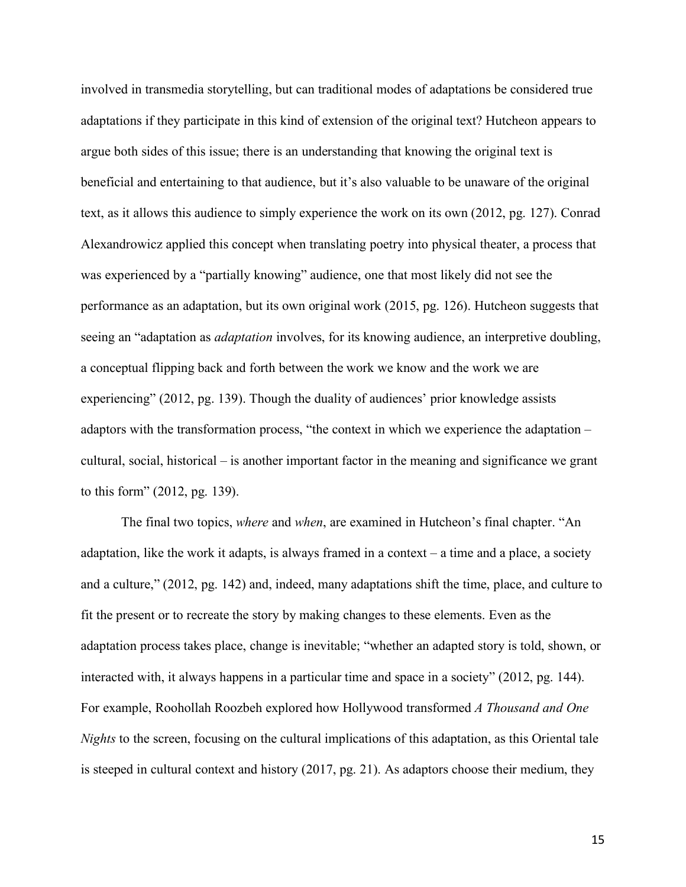involved in transmedia storytelling, but can traditional modes of adaptations be considered true adaptations if they participate in this kind of extension of the original text? Hutcheon appears to argue both sides of this issue; there is an understanding that knowing the original text is beneficial and entertaining to that audience, but it's also valuable to be unaware of the original text, as it allows this audience to simply experience the work on its own (2012, pg. 127). Conrad Alexandrowicz applied this concept when translating poetry into physical theater, a process that was experienced by a "partially knowing" audience, one that most likely did not see the performance as an adaptation, but its own original work (2015, pg. 126). Hutcheon suggests that seeing an "adaptation as *adaptation* involves, for its knowing audience, an interpretive doubling, a conceptual flipping back and forth between the work we know and the work we are experiencing" (2012, pg. 139). Though the duality of audiences' prior knowledge assists adaptors with the transformation process, "the context in which we experience the adaptation – cultural, social, historical – is another important factor in the meaning and significance we grant to this form" (2012, pg. 139).

The final two topics, *where* and *when*, are examined in Hutcheon's final chapter. "An adaptation, like the work it adapts, is always framed in a context  $-$  a time and a place, a society and a culture," (2012, pg. 142) and, indeed, many adaptations shift the time, place, and culture to fit the present or to recreate the story by making changes to these elements. Even as the adaptation process takes place, change is inevitable; "whether an adapted story is told, shown, or interacted with, it always happens in a particular time and space in a society" (2012, pg. 144). For example, Roohollah Roozbeh explored how Hollywood transformed *A Thousand and One Nights* to the screen, focusing on the cultural implications of this adaptation, as this Oriental tale is steeped in cultural context and history (2017, pg. 21). As adaptors choose their medium, they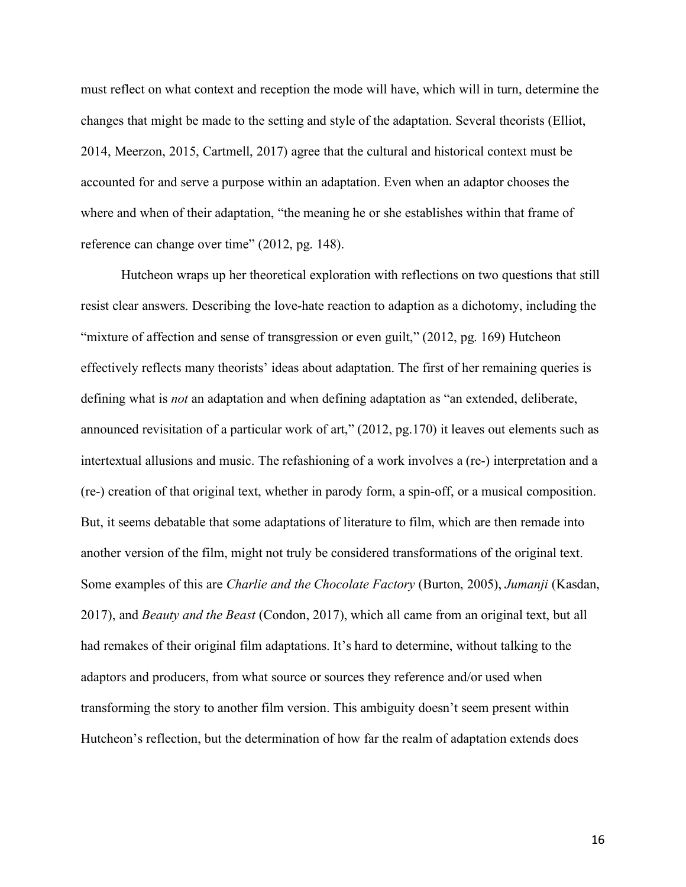must reflect on what context and reception the mode will have, which will in turn, determine the changes that might be made to the setting and style of the adaptation. Several theorists (Elliot, 2014, Meerzon, 2015, Cartmell, 2017) agree that the cultural and historical context must be accounted for and serve a purpose within an adaptation. Even when an adaptor chooses the where and when of their adaptation, "the meaning he or she establishes within that frame of reference can change over time" (2012, pg. 148).

Hutcheon wraps up her theoretical exploration with reflections on two questions that still resist clear answers. Describing the love-hate reaction to adaption as a dichotomy, including the "mixture of affection and sense of transgression or even guilt," (2012, pg. 169) Hutcheon effectively reflects many theorists' ideas about adaptation. The first of her remaining queries is defining what is *not* an adaptation and when defining adaptation as "an extended, deliberate, announced revisitation of a particular work of art," (2012, pg.170) it leaves out elements such as intertextual allusions and music. The refashioning of a work involves a (re-) interpretation and a (re-) creation of that original text, whether in parody form, a spin-off, or a musical composition. But, it seems debatable that some adaptations of literature to film, which are then remade into another version of the film, might not truly be considered transformations of the original text. Some examples of this are *Charlie and the Chocolate Factory* (Burton, 2005), *Jumanji* (Kasdan, 2017), and *Beauty and the Beast* (Condon, 2017), which all came from an original text, but all had remakes of their original film adaptations. It's hard to determine, without talking to the adaptors and producers, from what source or sources they reference and/or used when transforming the story to another film version. This ambiguity doesn't seem present within Hutcheon's reflection, but the determination of how far the realm of adaptation extends does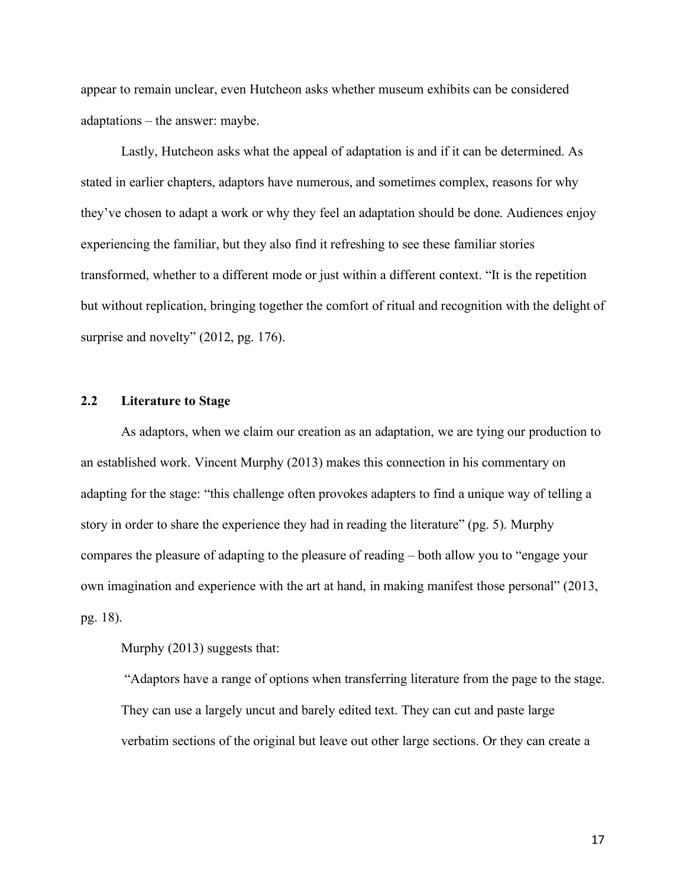appear to remain unclear, even Hutcheon asks whether museum exhibits can be considered adaptations – the answer: maybe.

Lastly, Hutcheon asks what the appeal of adaptation is and if it can be determined. As stated in earlier chapters, adaptors have numerous, and sometimes complex, reasons for why they've chosen to adapt a work or why they feel an adaptation should be done. Audiences enjoy experiencing the familiar, but they also find it refreshing to see these familiar stories transformed, whether to a different mode or just within a different context. "It is the repetition but without replication, bringing together the comfort of ritual and recognition with the delight of surprise and novelty" (2012, pg. 176).

### **2.2 Literature to Stage**

As adaptors, when we claim our creation as an adaptation, we are tying our production to an established work. Vincent Murphy (2013) makes this connection in his commentary on adapting for the stage: "this challenge often provokes adapters to find a unique way of telling a story in order to share the experience they had in reading the literature" (pg. 5). Murphy compares the pleasure of adapting to the pleasure of reading – both allow you to "engage your own imagination and experience with the art at hand, in making manifest those personal" (2013, pg. 18).

Murphy (2013) suggests that:

"Adaptors have a range of options when transferring literature from the page to the stage. They can use a largely uncut and barely edited text. They can cut and paste large verbatim sections of the original but leave out other large sections. Or they can create a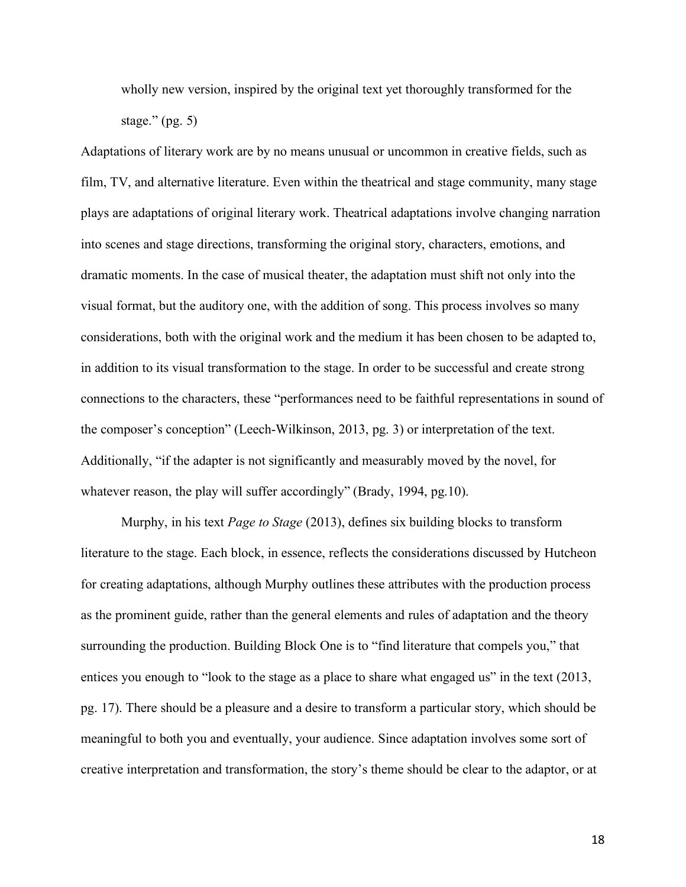wholly new version, inspired by the original text yet thoroughly transformed for the stage." (pg. 5)

Adaptations of literary work are by no means unusual or uncommon in creative fields, such as film, TV, and alternative literature. Even within the theatrical and stage community, many stage plays are adaptations of original literary work. Theatrical adaptations involve changing narration into scenes and stage directions, transforming the original story, characters, emotions, and dramatic moments. In the case of musical theater, the adaptation must shift not only into the visual format, but the auditory one, with the addition of song. This process involves so many considerations, both with the original work and the medium it has been chosen to be adapted to, in addition to its visual transformation to the stage. In order to be successful and create strong connections to the characters, these "performances need to be faithful representations in sound of the composer's conception" (Leech-Wilkinson, 2013, pg. 3) or interpretation of the text. Additionally, "if the adapter is not significantly and measurably moved by the novel, for whatever reason, the play will suffer accordingly" (Brady, 1994, pg. 10).

Murphy, in his text *Page to Stage* (2013), defines six building blocks to transform literature to the stage. Each block, in essence, reflects the considerations discussed by Hutcheon for creating adaptations, although Murphy outlines these attributes with the production process as the prominent guide, rather than the general elements and rules of adaptation and the theory surrounding the production. Building Block One is to "find literature that compels you," that entices you enough to "look to the stage as a place to share what engaged us" in the text (2013, pg. 17). There should be a pleasure and a desire to transform a particular story, which should be meaningful to both you and eventually, your audience. Since adaptation involves some sort of creative interpretation and transformation, the story's theme should be clear to the adaptor, or at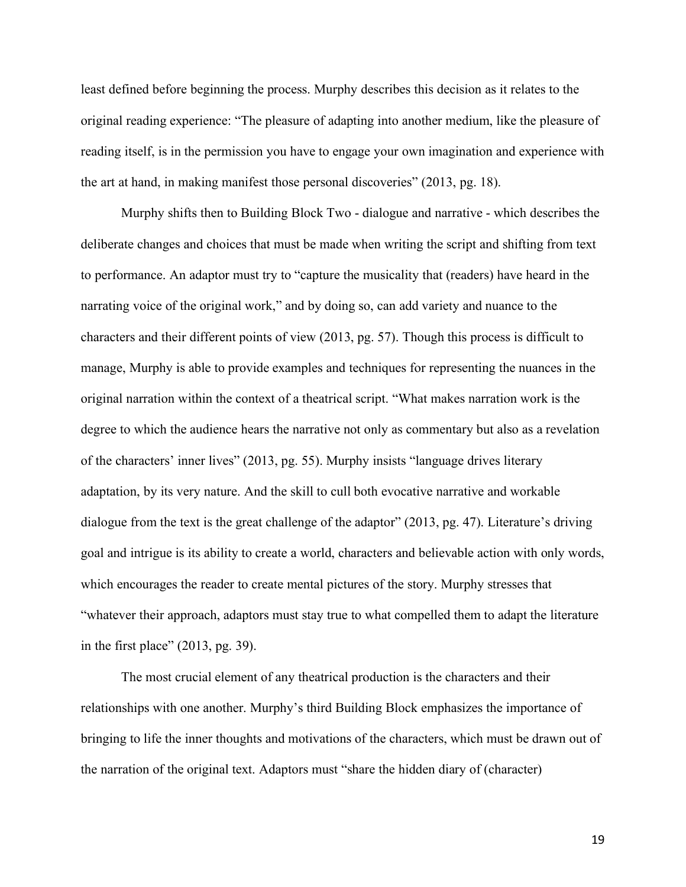least defined before beginning the process. Murphy describes this decision as it relates to the original reading experience: "The pleasure of adapting into another medium, like the pleasure of reading itself, is in the permission you have to engage your own imagination and experience with the art at hand, in making manifest those personal discoveries" (2013, pg. 18).

Murphy shifts then to Building Block Two - dialogue and narrative - which describes the deliberate changes and choices that must be made when writing the script and shifting from text to performance. An adaptor must try to "capture the musicality that (readers) have heard in the narrating voice of the original work," and by doing so, can add variety and nuance to the characters and their different points of view (2013, pg. 57). Though this process is difficult to manage, Murphy is able to provide examples and techniques for representing the nuances in the original narration within the context of a theatrical script. "What makes narration work is the degree to which the audience hears the narrative not only as commentary but also as a revelation of the characters' inner lives" (2013, pg. 55). Murphy insists "language drives literary adaptation, by its very nature. And the skill to cull both evocative narrative and workable dialogue from the text is the great challenge of the adaptor" (2013, pg. 47). Literature's driving goal and intrigue is its ability to create a world, characters and believable action with only words, which encourages the reader to create mental pictures of the story. Murphy stresses that "whatever their approach, adaptors must stay true to what compelled them to adapt the literature in the first place" (2013, pg. 39).

The most crucial element of any theatrical production is the characters and their relationships with one another. Murphy's third Building Block emphasizes the importance of bringing to life the inner thoughts and motivations of the characters, which must be drawn out of the narration of the original text. Adaptors must "share the hidden diary of (character)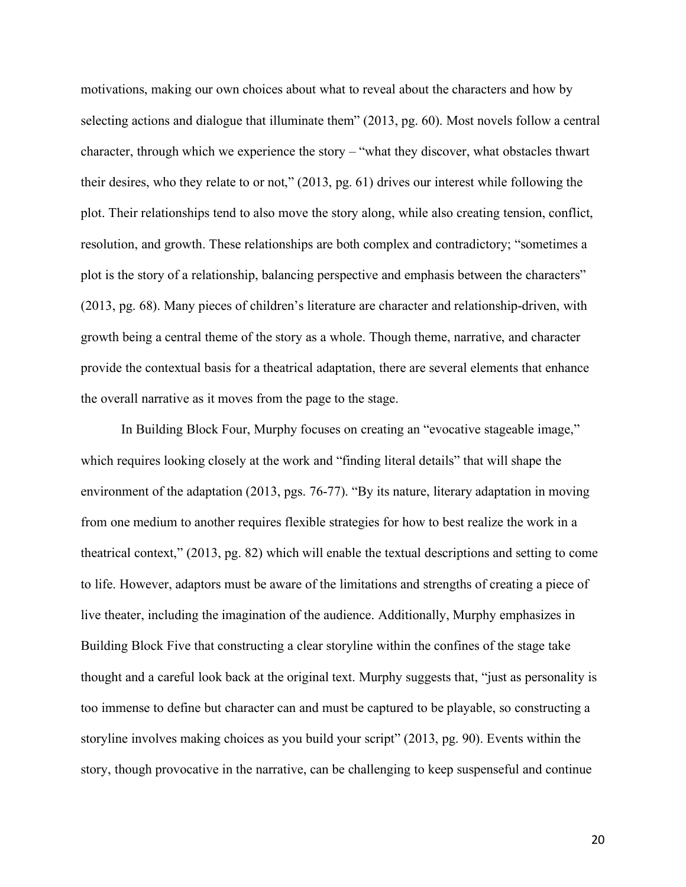motivations, making our own choices about what to reveal about the characters and how by selecting actions and dialogue that illuminate them" (2013, pg. 60). Most novels follow a central character, through which we experience the story – "what they discover, what obstacles thwart their desires, who they relate to or not," (2013, pg. 61) drives our interest while following the plot. Their relationships tend to also move the story along, while also creating tension, conflict, resolution, and growth. These relationships are both complex and contradictory; "sometimes a plot is the story of a relationship, balancing perspective and emphasis between the characters" (2013, pg. 68). Many pieces of children's literature are character and relationship-driven, with growth being a central theme of the story as a whole. Though theme, narrative, and character provide the contextual basis for a theatrical adaptation, there are several elements that enhance the overall narrative as it moves from the page to the stage.

In Building Block Four, Murphy focuses on creating an "evocative stageable image," which requires looking closely at the work and "finding literal details" that will shape the environment of the adaptation (2013, pgs. 76-77). "By its nature, literary adaptation in moving from one medium to another requires flexible strategies for how to best realize the work in a theatrical context," (2013, pg. 82) which will enable the textual descriptions and setting to come to life. However, adaptors must be aware of the limitations and strengths of creating a piece of live theater, including the imagination of the audience. Additionally, Murphy emphasizes in Building Block Five that constructing a clear storyline within the confines of the stage take thought and a careful look back at the original text. Murphy suggests that, "just as personality is too immense to define but character can and must be captured to be playable, so constructing a storyline involves making choices as you build your script" (2013, pg. 90). Events within the story, though provocative in the narrative, can be challenging to keep suspenseful and continue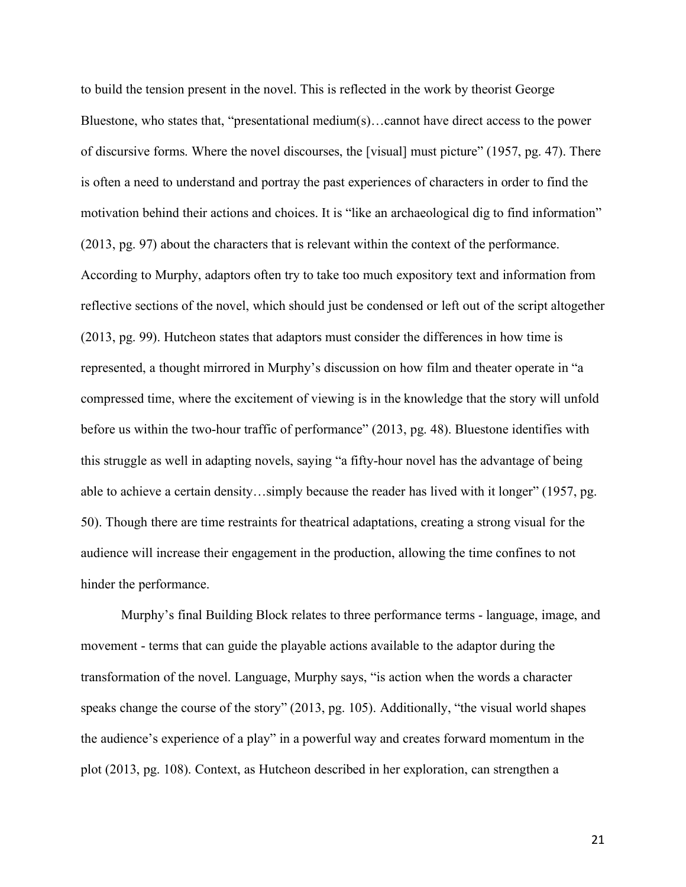to build the tension present in the novel. This is reflected in the work by theorist George Bluestone, who states that, "presentational medium(s)…cannot have direct access to the power of discursive forms. Where the novel discourses, the [visual] must picture" (1957, pg. 47). There is often a need to understand and portray the past experiences of characters in order to find the motivation behind their actions and choices. It is "like an archaeological dig to find information" (2013, pg. 97) about the characters that is relevant within the context of the performance. According to Murphy, adaptors often try to take too much expository text and information from reflective sections of the novel, which should just be condensed or left out of the script altogether (2013, pg. 99). Hutcheon states that adaptors must consider the differences in how time is represented, a thought mirrored in Murphy's discussion on how film and theater operate in "a compressed time, where the excitement of viewing is in the knowledge that the story will unfold before us within the two-hour traffic of performance" (2013, pg. 48). Bluestone identifies with this struggle as well in adapting novels, saying "a fifty-hour novel has the advantage of being able to achieve a certain density…simply because the reader has lived with it longer" (1957, pg. 50). Though there are time restraints for theatrical adaptations, creating a strong visual for the audience will increase their engagement in the production, allowing the time confines to not hinder the performance.

Murphy's final Building Block relates to three performance terms - language, image, and movement - terms that can guide the playable actions available to the adaptor during the transformation of the novel. Language, Murphy says, "is action when the words a character speaks change the course of the story" (2013, pg. 105). Additionally, "the visual world shapes the audience's experience of a play" in a powerful way and creates forward momentum in the plot (2013, pg. 108). Context, as Hutcheon described in her exploration, can strengthen a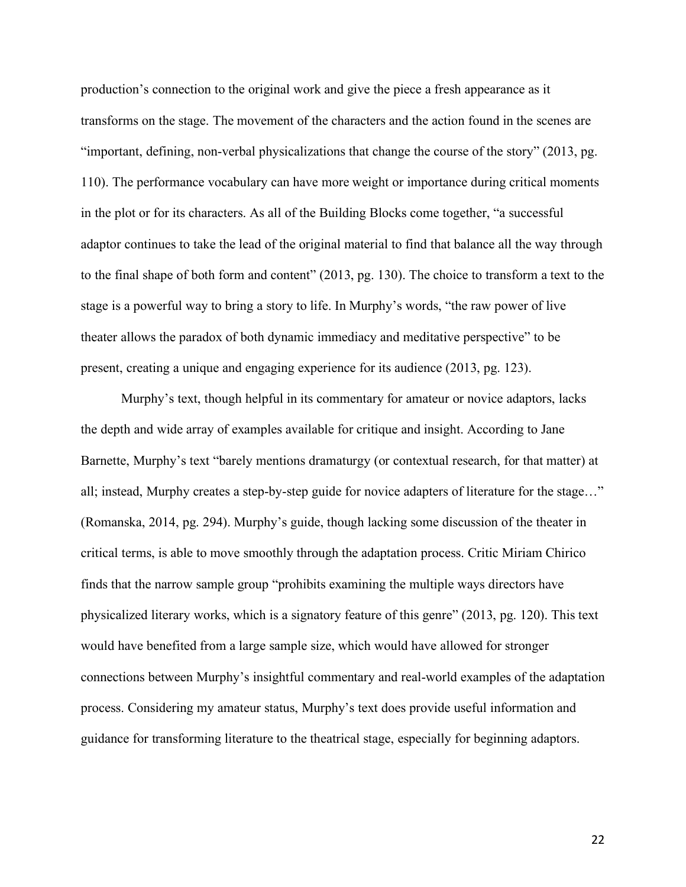production's connection to the original work and give the piece a fresh appearance as it transforms on the stage. The movement of the characters and the action found in the scenes are "important, defining, non-verbal physicalizations that change the course of the story" (2013, pg. 110). The performance vocabulary can have more weight or importance during critical moments in the plot or for its characters. As all of the Building Blocks come together, "a successful adaptor continues to take the lead of the original material to find that balance all the way through to the final shape of both form and content" (2013, pg. 130). The choice to transform a text to the stage is a powerful way to bring a story to life. In Murphy's words, "the raw power of live theater allows the paradox of both dynamic immediacy and meditative perspective" to be present, creating a unique and engaging experience for its audience (2013, pg. 123).

Murphy's text, though helpful in its commentary for amateur or novice adaptors, lacks the depth and wide array of examples available for critique and insight. According to Jane Barnette, Murphy's text "barely mentions dramaturgy (or contextual research, for that matter) at all; instead, Murphy creates a step-by-step guide for novice adapters of literature for the stage…" (Romanska, 2014, pg. 294). Murphy's guide, though lacking some discussion of the theater in critical terms, is able to move smoothly through the adaptation process. Critic Miriam Chirico finds that the narrow sample group "prohibits examining the multiple ways directors have physicalized literary works, which is a signatory feature of this genre" (2013, pg. 120). This text would have benefited from a large sample size, which would have allowed for stronger connections between Murphy's insightful commentary and real-world examples of the adaptation process. Considering my amateur status, Murphy's text does provide useful information and guidance for transforming literature to the theatrical stage, especially for beginning adaptors.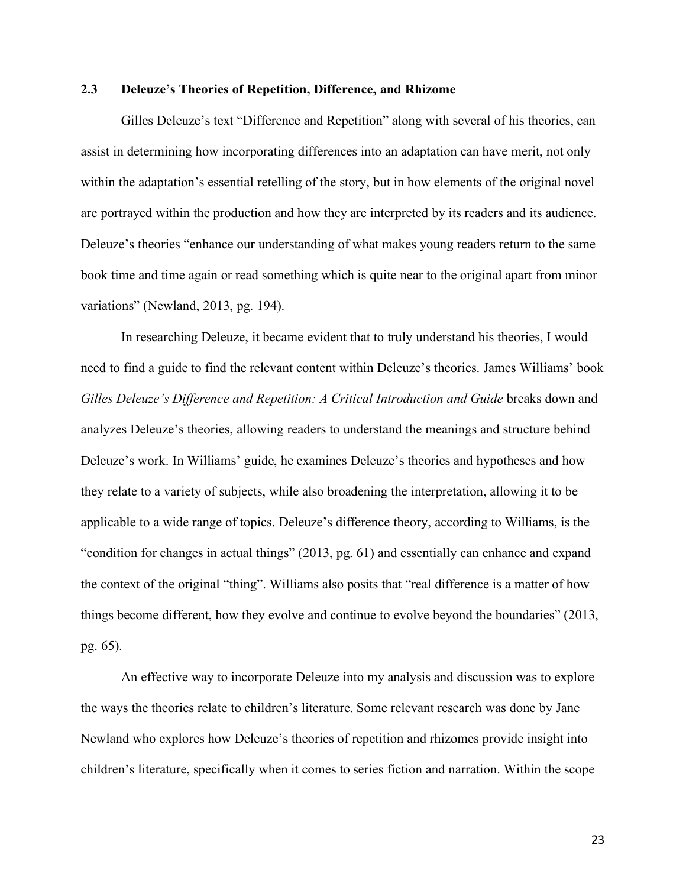### **2.3 Deleuze's Theories of Repetition, Difference, and Rhizome**

Gilles Deleuze's text "Difference and Repetition" along with several of his theories, can assist in determining how incorporating differences into an adaptation can have merit, not only within the adaptation's essential retelling of the story, but in how elements of the original novel are portrayed within the production and how they are interpreted by its readers and its audience. Deleuze's theories "enhance our understanding of what makes young readers return to the same book time and time again or read something which is quite near to the original apart from minor variations" (Newland, 2013, pg. 194).

In researching Deleuze, it became evident that to truly understand his theories, I would need to find a guide to find the relevant content within Deleuze's theories. James Williams' book *Gilles Deleuze's Difference and Repetition: A Critical Introduction and Guide* breaks down and analyzes Deleuze's theories, allowing readers to understand the meanings and structure behind Deleuze's work. In Williams' guide, he examines Deleuze's theories and hypotheses and how they relate to a variety of subjects, while also broadening the interpretation, allowing it to be applicable to a wide range of topics. Deleuze's difference theory, according to Williams, is the "condition for changes in actual things" (2013, pg. 61) and essentially can enhance and expand the context of the original "thing". Williams also posits that "real difference is a matter of how things become different, how they evolve and continue to evolve beyond the boundaries" (2013, pg. 65).

An effective way to incorporate Deleuze into my analysis and discussion was to explore the ways the theories relate to children's literature. Some relevant research was done by Jane Newland who explores how Deleuze's theories of repetition and rhizomes provide insight into children's literature, specifically when it comes to series fiction and narration. Within the scope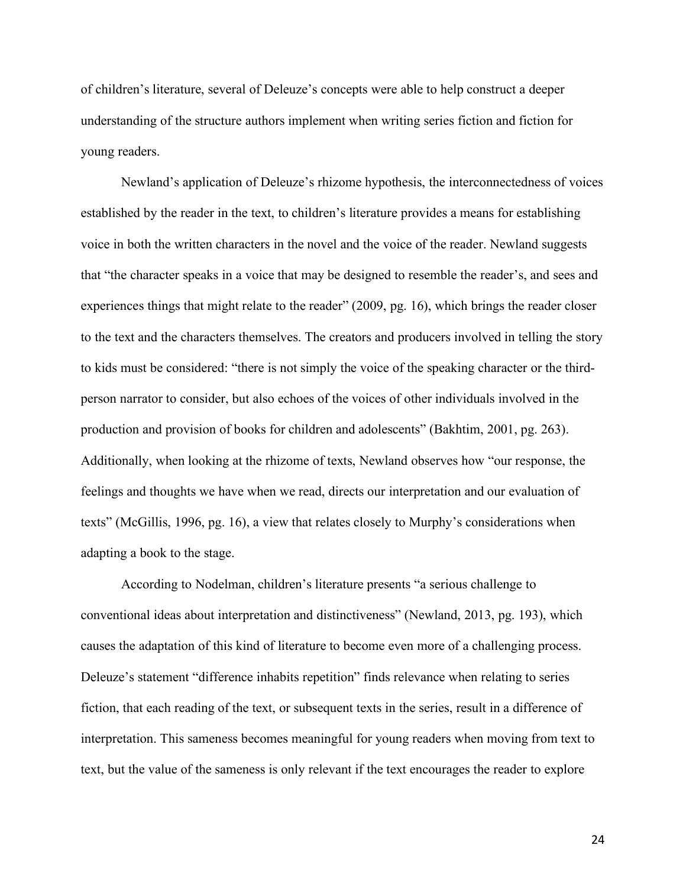of children's literature, several of Deleuze's concepts were able to help construct a deeper understanding of the structure authors implement when writing series fiction and fiction for young readers.

Newland's application of Deleuze's rhizome hypothesis, the interconnectedness of voices established by the reader in the text, to children's literature provides a means for establishing voice in both the written characters in the novel and the voice of the reader. Newland suggests that "the character speaks in a voice that may be designed to resemble the reader's, and sees and experiences things that might relate to the reader" (2009, pg. 16), which brings the reader closer to the text and the characters themselves. The creators and producers involved in telling the story to kids must be considered: "there is not simply the voice of the speaking character or the thirdperson narrator to consider, but also echoes of the voices of other individuals involved in the production and provision of books for children and adolescents" (Bakhtim, 2001, pg. 263). Additionally, when looking at the rhizome of texts, Newland observes how "our response, the feelings and thoughts we have when we read, directs our interpretation and our evaluation of texts" (McGillis, 1996, pg. 16), a view that relates closely to Murphy's considerations when adapting a book to the stage.

According to Nodelman, children's literature presents "a serious challenge to conventional ideas about interpretation and distinctiveness" (Newland, 2013, pg. 193), which causes the adaptation of this kind of literature to become even more of a challenging process. Deleuze's statement "difference inhabits repetition" finds relevance when relating to series fiction, that each reading of the text, or subsequent texts in the series, result in a difference of interpretation. This sameness becomes meaningful for young readers when moving from text to text, but the value of the sameness is only relevant if the text encourages the reader to explore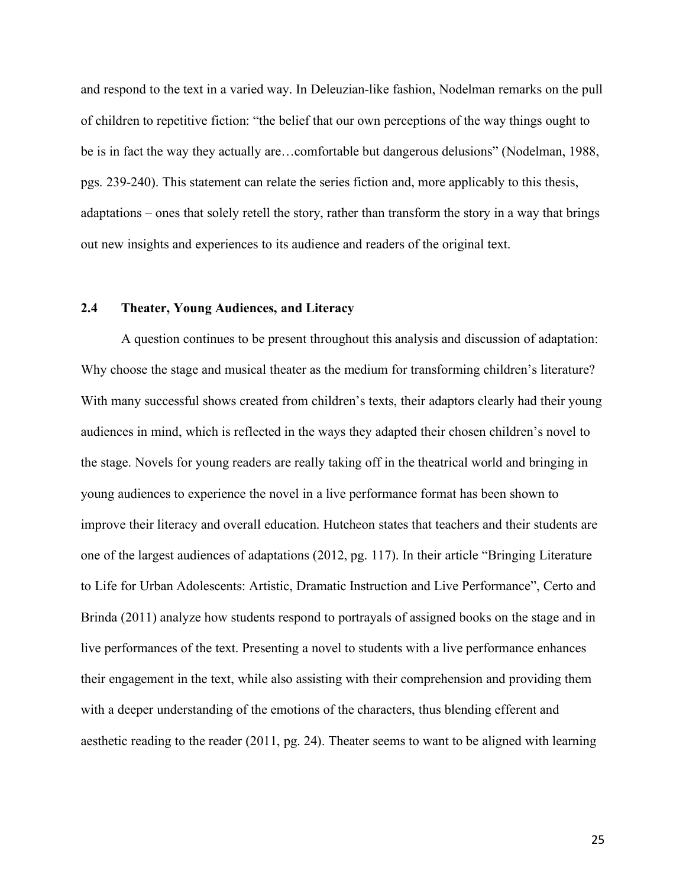and respond to the text in a varied way. In Deleuzian-like fashion, Nodelman remarks on the pull of children to repetitive fiction: "the belief that our own perceptions of the way things ought to be is in fact the way they actually are…comfortable but dangerous delusions" (Nodelman, 1988, pgs. 239-240). This statement can relate the series fiction and, more applicably to this thesis, adaptations – ones that solely retell the story, rather than transform the story in a way that brings out new insights and experiences to its audience and readers of the original text.

### **2.4 Theater, Young Audiences, and Literacy**

A question continues to be present throughout this analysis and discussion of adaptation: Why choose the stage and musical theater as the medium for transforming children's literature? With many successful shows created from children's texts, their adaptors clearly had their young audiences in mind, which is reflected in the ways they adapted their chosen children's novel to the stage. Novels for young readers are really taking off in the theatrical world and bringing in young audiences to experience the novel in a live performance format has been shown to improve their literacy and overall education. Hutcheon states that teachers and their students are one of the largest audiences of adaptations (2012, pg. 117). In their article "Bringing Literature to Life for Urban Adolescents: Artistic, Dramatic Instruction and Live Performance", Certo and Brinda (2011) analyze how students respond to portrayals of assigned books on the stage and in live performances of the text. Presenting a novel to students with a live performance enhances their engagement in the text, while also assisting with their comprehension and providing them with a deeper understanding of the emotions of the characters, thus blending efferent and aesthetic reading to the reader (2011, pg. 24). Theater seems to want to be aligned with learning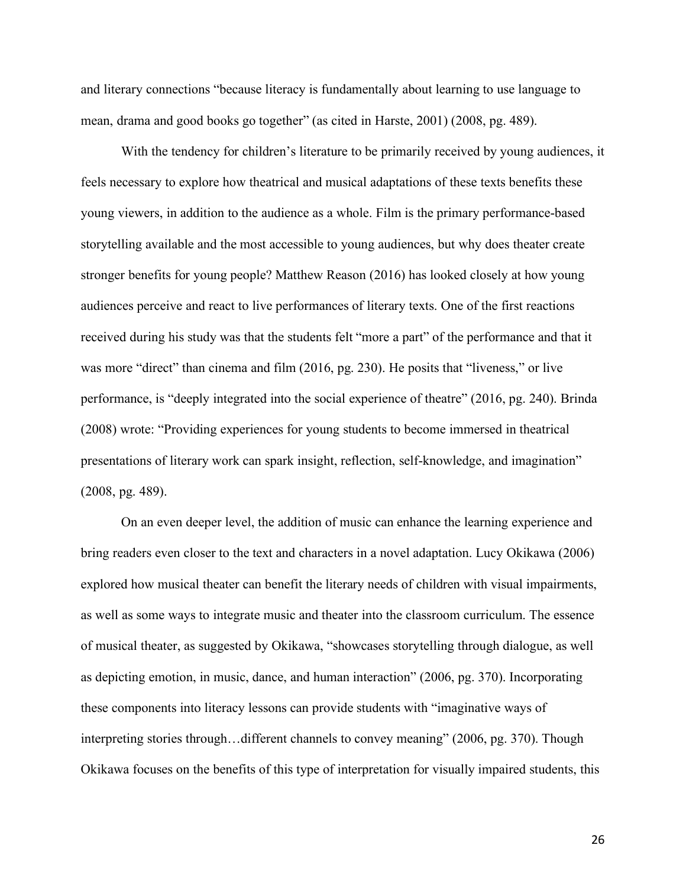and literary connections "because literacy is fundamentally about learning to use language to mean, drama and good books go together" (as cited in Harste, 2001) (2008, pg. 489).

With the tendency for children's literature to be primarily received by young audiences, it feels necessary to explore how theatrical and musical adaptations of these texts benefits these young viewers, in addition to the audience as a whole. Film is the primary performance-based storytelling available and the most accessible to young audiences, but why does theater create stronger benefits for young people? Matthew Reason (2016) has looked closely at how young audiences perceive and react to live performances of literary texts. One of the first reactions received during his study was that the students felt "more a part" of the performance and that it was more "direct" than cinema and film (2016, pg. 230). He posits that "liveness," or live performance, is "deeply integrated into the social experience of theatre" (2016, pg. 240). Brinda (2008) wrote: "Providing experiences for young students to become immersed in theatrical presentations of literary work can spark insight, reflection, self-knowledge, and imagination" (2008, pg. 489).

On an even deeper level, the addition of music can enhance the learning experience and bring readers even closer to the text and characters in a novel adaptation. Lucy Okikawa (2006) explored how musical theater can benefit the literary needs of children with visual impairments, as well as some ways to integrate music and theater into the classroom curriculum. The essence of musical theater, as suggested by Okikawa, "showcases storytelling through dialogue, as well as depicting emotion, in music, dance, and human interaction" (2006, pg. 370). Incorporating these components into literacy lessons can provide students with "imaginative ways of interpreting stories through…different channels to convey meaning" (2006, pg. 370). Though Okikawa focuses on the benefits of this type of interpretation for visually impaired students, this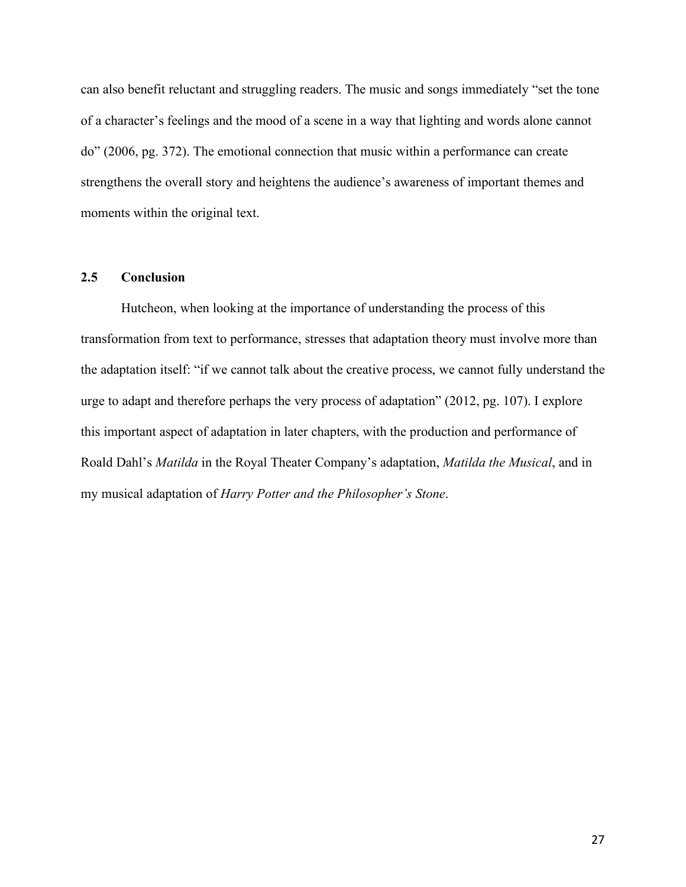can also benefit reluctant and struggling readers. The music and songs immediately "set the tone of a character's feelings and the mood of a scene in a way that lighting and words alone cannot do" (2006, pg. 372). The emotional connection that music within a performance can create strengthens the overall story and heightens the audience's awareness of important themes and moments within the original text.

### **2.5 Conclusion**

Hutcheon, when looking at the importance of understanding the process of this transformation from text to performance, stresses that adaptation theory must involve more than the adaptation itself: "if we cannot talk about the creative process, we cannot fully understand the urge to adapt and therefore perhaps the very process of adaptation" (2012, pg. 107). I explore this important aspect of adaptation in later chapters, with the production and performance of Roald Dahl's *Matilda* in the Royal Theater Company's adaptation, *Matilda the Musical*, and in my musical adaptation of *Harry Potter and the Philosopher's Stone*.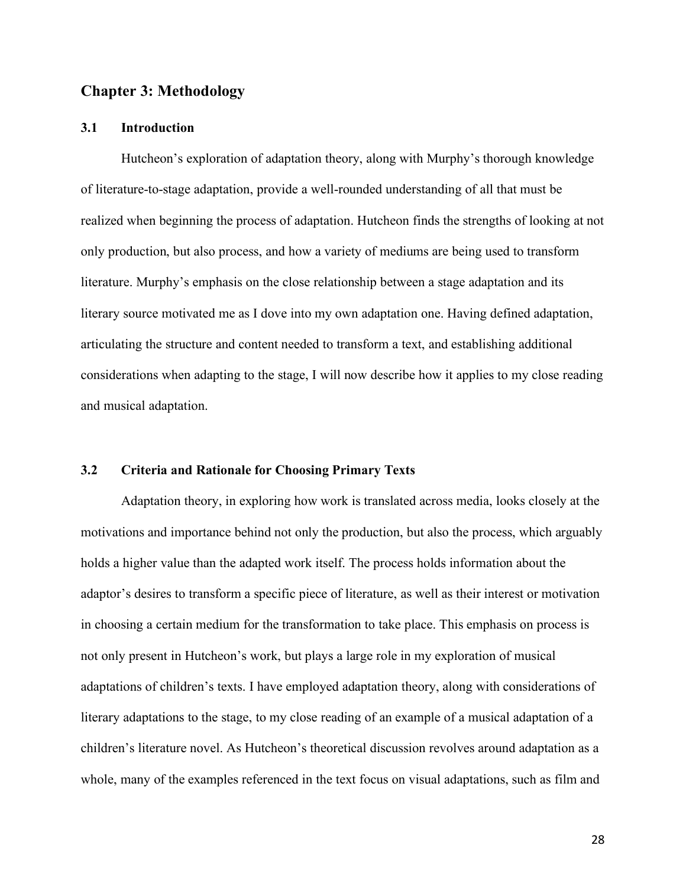# **Chapter 3: Methodology**

#### **3.1 Introduction**

Hutcheon's exploration of adaptation theory, along with Murphy's thorough knowledge of literature-to-stage adaptation, provide a well-rounded understanding of all that must be realized when beginning the process of adaptation. Hutcheon finds the strengths of looking at not only production, but also process, and how a variety of mediums are being used to transform literature. Murphy's emphasis on the close relationship between a stage adaptation and its literary source motivated me as I dove into my own adaptation one. Having defined adaptation, articulating the structure and content needed to transform a text, and establishing additional considerations when adapting to the stage, I will now describe how it applies to my close reading and musical adaptation.

## **3.2 Criteria and Rationale for Choosing Primary Texts**

Adaptation theory, in exploring how work is translated across media, looks closely at the motivations and importance behind not only the production, but also the process, which arguably holds a higher value than the adapted work itself. The process holds information about the adaptor's desires to transform a specific piece of literature, as well as their interest or motivation in choosing a certain medium for the transformation to take place. This emphasis on process is not only present in Hutcheon's work, but plays a large role in my exploration of musical adaptations of children's texts. I have employed adaptation theory, along with considerations of literary adaptations to the stage, to my close reading of an example of a musical adaptation of a children's literature novel. As Hutcheon's theoretical discussion revolves around adaptation as a whole, many of the examples referenced in the text focus on visual adaptations, such as film and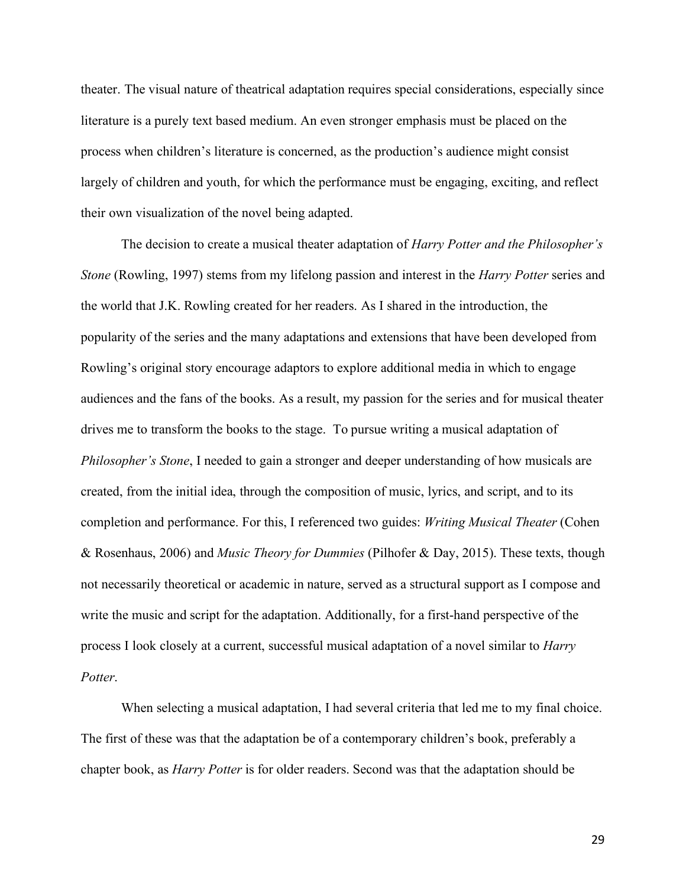theater. The visual nature of theatrical adaptation requires special considerations, especially since literature is a purely text based medium. An even stronger emphasis must be placed on the process when children's literature is concerned, as the production's audience might consist largely of children and youth, for which the performance must be engaging, exciting, and reflect their own visualization of the novel being adapted.

The decision to create a musical theater adaptation of *Harry Potter and the Philosopher's Stone* (Rowling, 1997) stems from my lifelong passion and interest in the *Harry Potter* series and the world that J.K. Rowling created for her readers. As I shared in the introduction, the popularity of the series and the many adaptations and extensions that have been developed from Rowling's original story encourage adaptors to explore additional media in which to engage audiences and the fans of the books. As a result, my passion for the series and for musical theater drives me to transform the books to the stage. To pursue writing a musical adaptation of *Philosopher's Stone*, I needed to gain a stronger and deeper understanding of how musicals are created, from the initial idea, through the composition of music, lyrics, and script, and to its completion and performance. For this, I referenced two guides: *Writing Musical Theater* (Cohen & Rosenhaus, 2006) and *Music Theory for Dummies* (Pilhofer & Day, 2015). These texts, though not necessarily theoretical or academic in nature, served as a structural support as I compose and write the music and script for the adaptation. Additionally, for a first-hand perspective of the process I look closely at a current, successful musical adaptation of a novel similar to *Harry Potter*.

When selecting a musical adaptation, I had several criteria that led me to my final choice. The first of these was that the adaptation be of a contemporary children's book, preferably a chapter book, as *Harry Potter* is for older readers. Second was that the adaptation should be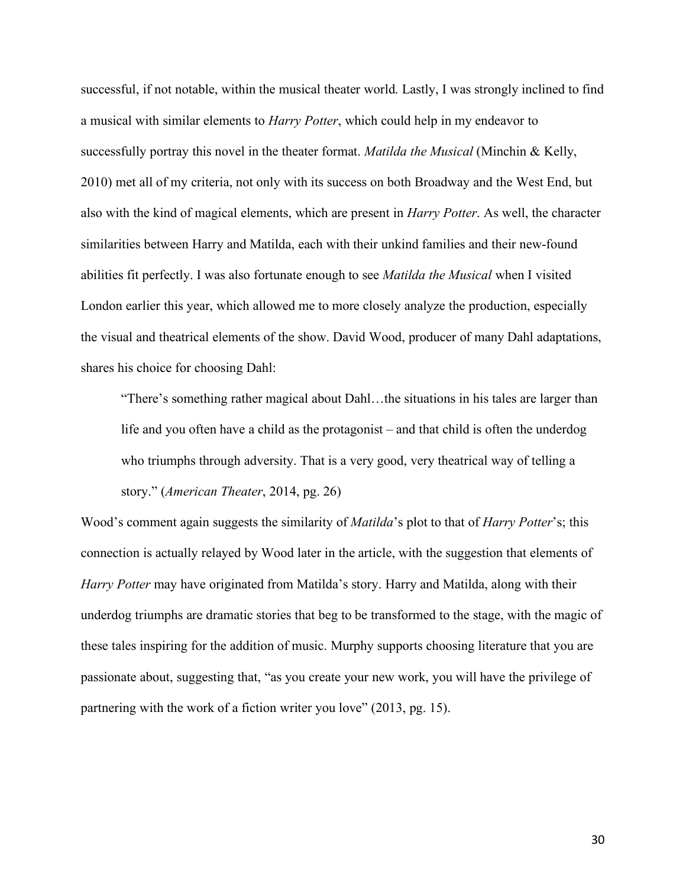successful, if not notable, within the musical theater world. Lastly, I was strongly inclined to find a musical with similar elements to *Harry Potter*, which could help in my endeavor to successfully portray this novel in the theater format. *Matilda the Musical* (Minchin & Kelly, 2010) met all of my criteria, not only with its success on both Broadway and the West End, but also with the kind of magical elements, which are present in *Harry Potter*. As well, the character similarities between Harry and Matilda, each with their unkind families and their new-found abilities fit perfectly. I was also fortunate enough to see *Matilda the Musical* when I visited London earlier this year, which allowed me to more closely analyze the production, especially the visual and theatrical elements of the show. David Wood, producer of many Dahl adaptations, shares his choice for choosing Dahl:

"There's something rather magical about Dahl…the situations in his tales are larger than life and you often have a child as the protagonist – and that child is often the underdog who triumphs through adversity. That is a very good, very theatrical way of telling a story." (*American Theater*, 2014, pg. 26)

Wood's comment again suggests the similarity of *Matilda*'s plot to that of *Harry Potter*'s; this connection is actually relayed by Wood later in the article, with the suggestion that elements of *Harry Potter* may have originated from Matilda's story. Harry and Matilda, along with their underdog triumphs are dramatic stories that beg to be transformed to the stage, with the magic of these tales inspiring for the addition of music. Murphy supports choosing literature that you are passionate about, suggesting that, "as you create your new work, you will have the privilege of partnering with the work of a fiction writer you love" (2013, pg. 15).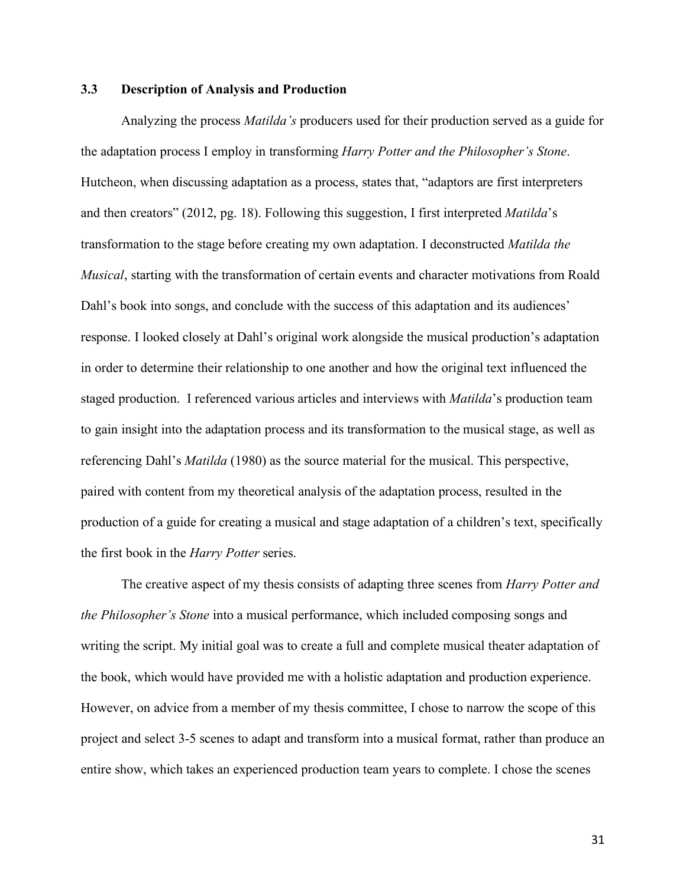### **3.3 Description of Analysis and Production**

Analyzing the process *Matilda's* producers used for their production served as a guide for the adaptation process I employ in transforming *Harry Potter and the Philosopher's Stone*. Hutcheon, when discussing adaptation as a process, states that, "adaptors are first interpreters and then creators" (2012, pg. 18). Following this suggestion, I first interpreted *Matilda*'s transformation to the stage before creating my own adaptation. I deconstructed *Matilda the Musical*, starting with the transformation of certain events and character motivations from Roald Dahl's book into songs, and conclude with the success of this adaptation and its audiences' response. I looked closely at Dahl's original work alongside the musical production's adaptation in order to determine their relationship to one another and how the original text influenced the staged production. I referenced various articles and interviews with *Matilda*'s production team to gain insight into the adaptation process and its transformation to the musical stage, as well as referencing Dahl's *Matilda* (1980) as the source material for the musical. This perspective, paired with content from my theoretical analysis of the adaptation process, resulted in the production of a guide for creating a musical and stage adaptation of a children's text, specifically the first book in the *Harry Potter* series.

The creative aspect of my thesis consists of adapting three scenes from *Harry Potter and the Philosopher's Stone* into a musical performance, which included composing songs and writing the script. My initial goal was to create a full and complete musical theater adaptation of the book, which would have provided me with a holistic adaptation and production experience. However, on advice from a member of my thesis committee, I chose to narrow the scope of this project and select 3-5 scenes to adapt and transform into a musical format, rather than produce an entire show, which takes an experienced production team years to complete. I chose the scenes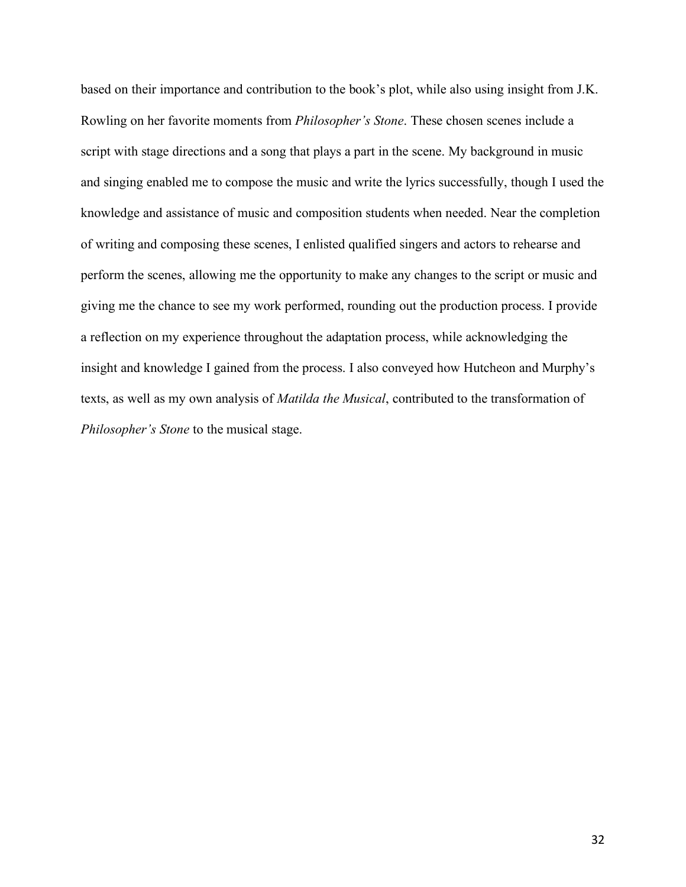based on their importance and contribution to the book's plot, while also using insight from J.K. Rowling on her favorite moments from *Philosopher's Stone*. These chosen scenes include a script with stage directions and a song that plays a part in the scene. My background in music and singing enabled me to compose the music and write the lyrics successfully, though I used the knowledge and assistance of music and composition students when needed. Near the completion of writing and composing these scenes, I enlisted qualified singers and actors to rehearse and perform the scenes, allowing me the opportunity to make any changes to the script or music and giving me the chance to see my work performed, rounding out the production process. I provide a reflection on my experience throughout the adaptation process, while acknowledging the insight and knowledge I gained from the process. I also conveyed how Hutcheon and Murphy's texts, as well as my own analysis of *Matilda the Musical*, contributed to the transformation of *Philosopher's Stone* to the musical stage.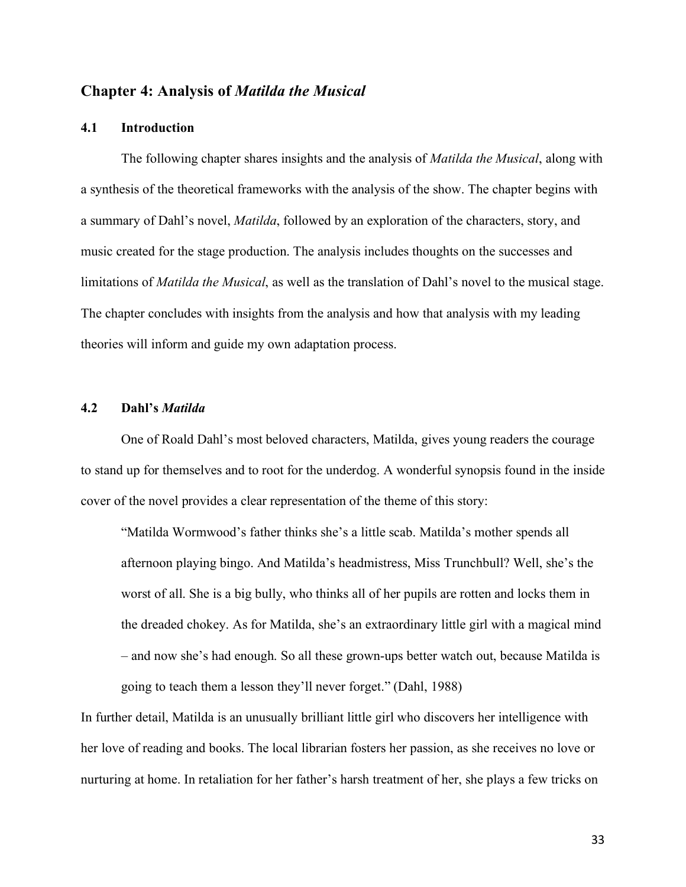# **Chapter 4: Analysis of** *Matilda the Musical*

#### **4.1 Introduction**

The following chapter shares insights and the analysis of *Matilda the Musical*, along with a synthesis of the theoretical frameworks with the analysis of the show. The chapter begins with a summary of Dahl's novel, *Matilda*, followed by an exploration of the characters, story, and music created for the stage production. The analysis includes thoughts on the successes and limitations of *Matilda the Musical*, as well as the translation of Dahl's novel to the musical stage. The chapter concludes with insights from the analysis and how that analysis with my leading theories will inform and guide my own adaptation process.

# **4.2 Dahl's** *Matilda*

One of Roald Dahl's most beloved characters, Matilda, gives young readers the courage to stand up for themselves and to root for the underdog. A wonderful synopsis found in the inside cover of the novel provides a clear representation of the theme of this story:

"Matilda Wormwood's father thinks she's a little scab. Matilda's mother spends all afternoon playing bingo. And Matilda's headmistress, Miss Trunchbull? Well, she's the worst of all. She is a big bully, who thinks all of her pupils are rotten and locks them in the dreaded chokey. As for Matilda, she's an extraordinary little girl with a magical mind – and now she's had enough. So all these grown-ups better watch out, because Matilda is going to teach them a lesson they'll never forget." (Dahl, 1988)

In further detail, Matilda is an unusually brilliant little girl who discovers her intelligence with her love of reading and books. The local librarian fosters her passion, as she receives no love or nurturing at home. In retaliation for her father's harsh treatment of her, she plays a few tricks on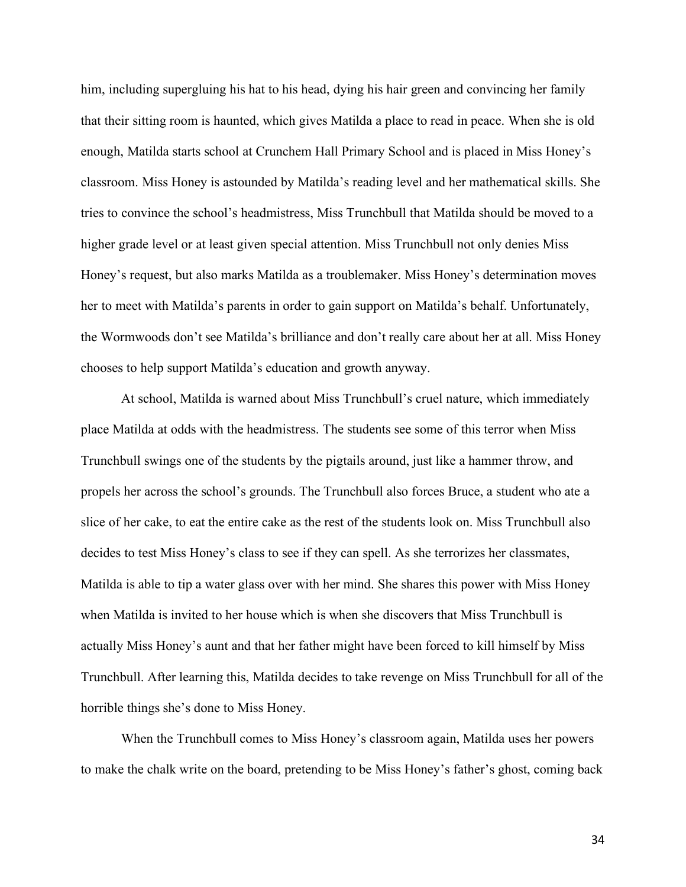him, including supergluing his hat to his head, dying his hair green and convincing her family that their sitting room is haunted, which gives Matilda a place to read in peace. When she is old enough, Matilda starts school at Crunchem Hall Primary School and is placed in Miss Honey's classroom. Miss Honey is astounded by Matilda's reading level and her mathematical skills. She tries to convince the school's headmistress, Miss Trunchbull that Matilda should be moved to a higher grade level or at least given special attention. Miss Trunchbull not only denies Miss Honey's request, but also marks Matilda as a troublemaker. Miss Honey's determination moves her to meet with Matilda's parents in order to gain support on Matilda's behalf. Unfortunately, the Wormwoods don't see Matilda's brilliance and don't really care about her at all. Miss Honey chooses to help support Matilda's education and growth anyway.

At school, Matilda is warned about Miss Trunchbull's cruel nature, which immediately place Matilda at odds with the headmistress. The students see some of this terror when Miss Trunchbull swings one of the students by the pigtails around, just like a hammer throw, and propels her across the school's grounds. The Trunchbull also forces Bruce, a student who ate a slice of her cake, to eat the entire cake as the rest of the students look on. Miss Trunchbull also decides to test Miss Honey's class to see if they can spell. As she terrorizes her classmates, Matilda is able to tip a water glass over with her mind. She shares this power with Miss Honey when Matilda is invited to her house which is when she discovers that Miss Trunchbull is actually Miss Honey's aunt and that her father might have been forced to kill himself by Miss Trunchbull. After learning this, Matilda decides to take revenge on Miss Trunchbull for all of the horrible things she's done to Miss Honey.

When the Trunchbull comes to Miss Honey's classroom again, Matilda uses her powers to make the chalk write on the board, pretending to be Miss Honey's father's ghost, coming back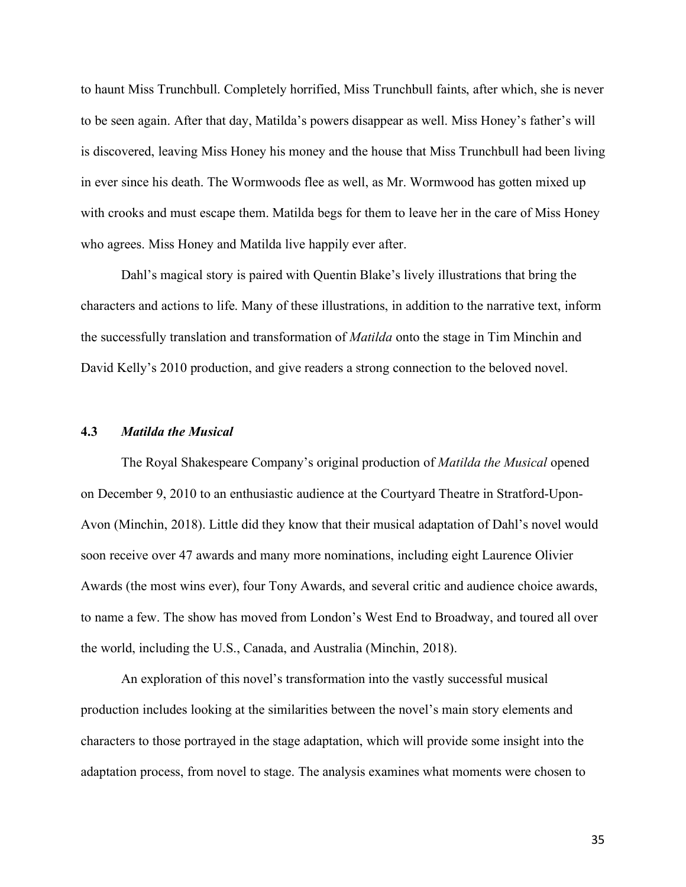to haunt Miss Trunchbull. Completely horrified, Miss Trunchbull faints, after which, she is never to be seen again. After that day, Matilda's powers disappear as well. Miss Honey's father's will is discovered, leaving Miss Honey his money and the house that Miss Trunchbull had been living in ever since his death. The Wormwoods flee as well, as Mr. Wormwood has gotten mixed up with crooks and must escape them. Matilda begs for them to leave her in the care of Miss Honey who agrees. Miss Honey and Matilda live happily ever after.

Dahl's magical story is paired with Quentin Blake's lively illustrations that bring the characters and actions to life. Many of these illustrations, in addition to the narrative text, inform the successfully translation and transformation of *Matilda* onto the stage in Tim Minchin and David Kelly's 2010 production, and give readers a strong connection to the beloved novel.

# **4.3** *Matilda the Musical*

The Royal Shakespeare Company's original production of *Matilda the Musical* opened on December 9, 2010 to an enthusiastic audience at the Courtyard Theatre in Stratford-Upon-Avon (Minchin, 2018). Little did they know that their musical adaptation of Dahl's novel would soon receive over 47 awards and many more nominations, including eight Laurence Olivier Awards (the most wins ever), four Tony Awards, and several critic and audience choice awards, to name a few. The show has moved from London's West End to Broadway, and toured all over the world, including the U.S., Canada, and Australia (Minchin, 2018).

An exploration of this novel's transformation into the vastly successful musical production includes looking at the similarities between the novel's main story elements and characters to those portrayed in the stage adaptation, which will provide some insight into the adaptation process, from novel to stage. The analysis examines what moments were chosen to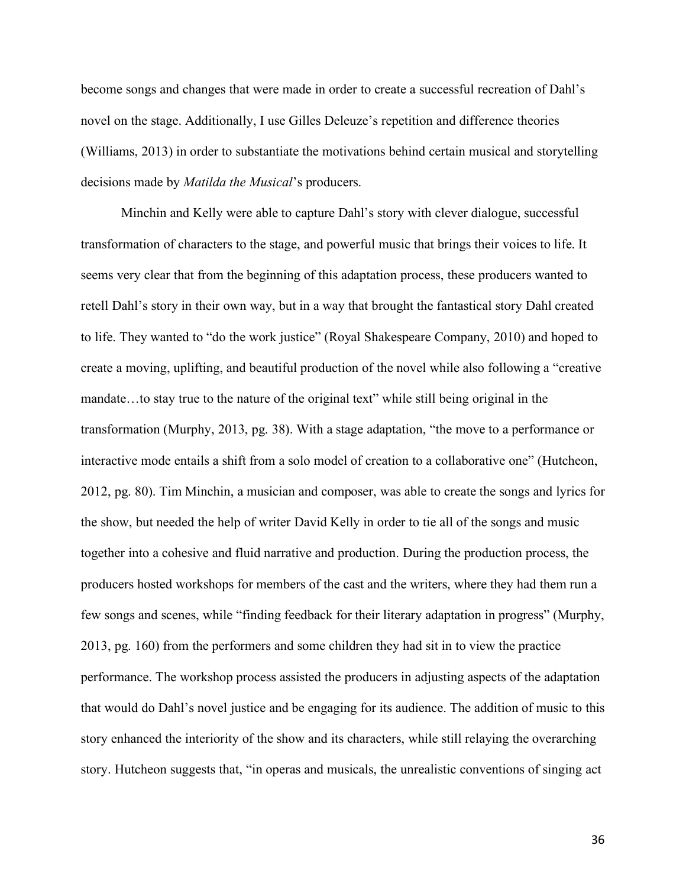become songs and changes that were made in order to create a successful recreation of Dahl's novel on the stage. Additionally, I use Gilles Deleuze's repetition and difference theories (Williams, 2013) in order to substantiate the motivations behind certain musical and storytelling decisions made by *Matilda the Musical*'s producers.

Minchin and Kelly were able to capture Dahl's story with clever dialogue, successful transformation of characters to the stage, and powerful music that brings their voices to life. It seems very clear that from the beginning of this adaptation process, these producers wanted to retell Dahl's story in their own way, but in a way that brought the fantastical story Dahl created to life. They wanted to "do the work justice" (Royal Shakespeare Company, 2010) and hoped to create a moving, uplifting, and beautiful production of the novel while also following a "creative mandate…to stay true to the nature of the original text" while still being original in the transformation (Murphy, 2013, pg. 38). With a stage adaptation, "the move to a performance or interactive mode entails a shift from a solo model of creation to a collaborative one" (Hutcheon, 2012, pg. 80). Tim Minchin, a musician and composer, was able to create the songs and lyrics for the show, but needed the help of writer David Kelly in order to tie all of the songs and music together into a cohesive and fluid narrative and production. During the production process, the producers hosted workshops for members of the cast and the writers, where they had them run a few songs and scenes, while "finding feedback for their literary adaptation in progress" (Murphy, 2013, pg. 160) from the performers and some children they had sit in to view the practice performance. The workshop process assisted the producers in adjusting aspects of the adaptation that would do Dahl's novel justice and be engaging for its audience. The addition of music to this story enhanced the interiority of the show and its characters, while still relaying the overarching story. Hutcheon suggests that, "in operas and musicals, the unrealistic conventions of singing act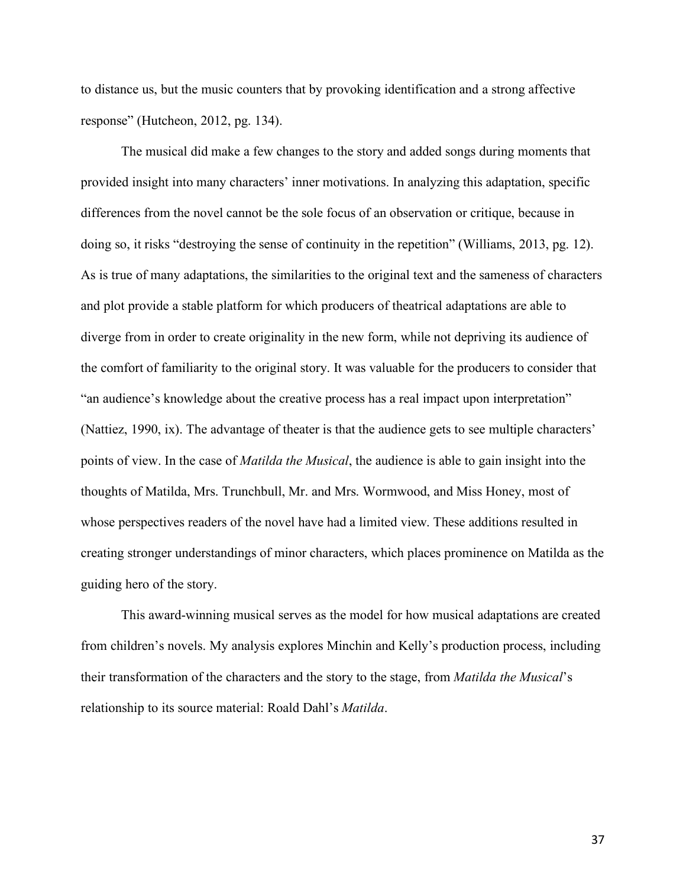to distance us, but the music counters that by provoking identification and a strong affective response" (Hutcheon, 2012, pg. 134).

The musical did make a few changes to the story and added songs during moments that provided insight into many characters' inner motivations. In analyzing this adaptation, specific differences from the novel cannot be the sole focus of an observation or critique, because in doing so, it risks "destroying the sense of continuity in the repetition" (Williams, 2013, pg. 12). As is true of many adaptations, the similarities to the original text and the sameness of characters and plot provide a stable platform for which producers of theatrical adaptations are able to diverge from in order to create originality in the new form, while not depriving its audience of the comfort of familiarity to the original story. It was valuable for the producers to consider that "an audience's knowledge about the creative process has a real impact upon interpretation" (Nattiez, 1990, ix). The advantage of theater is that the audience gets to see multiple characters' points of view. In the case of *Matilda the Musical*, the audience is able to gain insight into the thoughts of Matilda, Mrs. Trunchbull, Mr. and Mrs. Wormwood, and Miss Honey, most of whose perspectives readers of the novel have had a limited view. These additions resulted in creating stronger understandings of minor characters, which places prominence on Matilda as the guiding hero of the story.

This award-winning musical serves as the model for how musical adaptations are created from children's novels. My analysis explores Minchin and Kelly's production process, including their transformation of the characters and the story to the stage, from *Matilda the Musical*'s relationship to its source material: Roald Dahl's *Matilda*.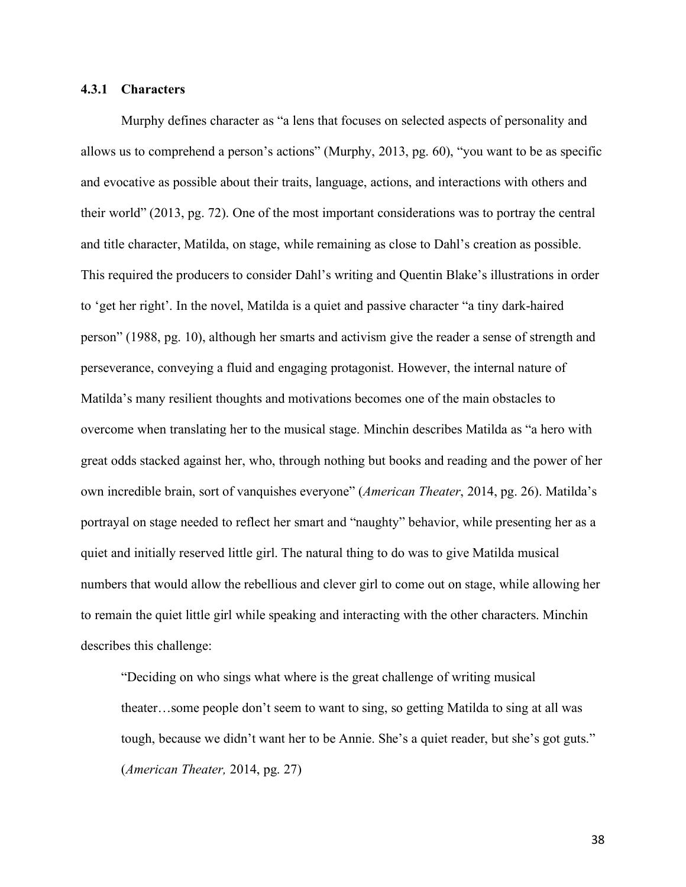#### **4.3.1 Characters**

Murphy defines character as "a lens that focuses on selected aspects of personality and allows us to comprehend a person's actions" (Murphy, 2013, pg. 60), "you want to be as specific and evocative as possible about their traits, language, actions, and interactions with others and their world" (2013, pg. 72). One of the most important considerations was to portray the central and title character, Matilda, on stage, while remaining as close to Dahl's creation as possible. This required the producers to consider Dahl's writing and Quentin Blake's illustrations in order to 'get her right'. In the novel, Matilda is a quiet and passive character "a tiny dark-haired person" (1988, pg. 10), although her smarts and activism give the reader a sense of strength and perseverance, conveying a fluid and engaging protagonist. However, the internal nature of Matilda's many resilient thoughts and motivations becomes one of the main obstacles to overcome when translating her to the musical stage. Minchin describes Matilda as "a hero with great odds stacked against her, who, through nothing but books and reading and the power of her own incredible brain, sort of vanquishes everyone" (*American Theater*, 2014, pg. 26). Matilda's portrayal on stage needed to reflect her smart and "naughty" behavior, while presenting her as a quiet and initially reserved little girl. The natural thing to do was to give Matilda musical numbers that would allow the rebellious and clever girl to come out on stage, while allowing her to remain the quiet little girl while speaking and interacting with the other characters. Minchin describes this challenge:

"Deciding on who sings what where is the great challenge of writing musical theater…some people don't seem to want to sing, so getting Matilda to sing at all was tough, because we didn't want her to be Annie. She's a quiet reader, but she's got guts." (*American Theater,* 2014, pg. 27)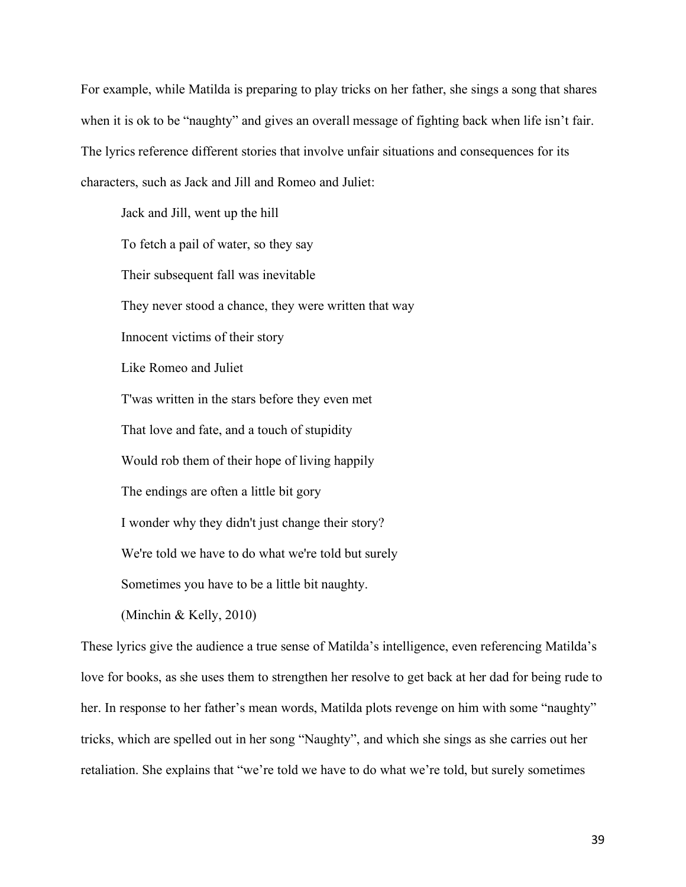For example, while Matilda is preparing to play tricks on her father, she sings a song that shares when it is ok to be "naughty" and gives an overall message of fighting back when life isn't fair. The lyrics reference different stories that involve unfair situations and consequences for its characters, such as Jack and Jill and Romeo and Juliet:

Jack and Jill, went up the hill To fetch a pail of water, so they say Their subsequent fall was inevitable They never stood a chance, they were written that way Innocent victims of their story Like Romeo and Juliet T'was written in the stars before they even met That love and fate, and a touch of stupidity Would rob them of their hope of living happily The endings are often a little bit gory I wonder why they didn't just change their story? We're told we have to do what we're told but surely Sometimes you have to be a little bit naughty. (Minchin & Kelly, 2010)

These lyrics give the audience a true sense of Matilda's intelligence, even referencing Matilda's love for books, as she uses them to strengthen her resolve to get back at her dad for being rude to her. In response to her father's mean words, Matilda plots revenge on him with some "naughty" tricks, which are spelled out in her song "Naughty", and which she sings as she carries out her retaliation. She explains that "we're told we have to do what we're told, but surely sometimes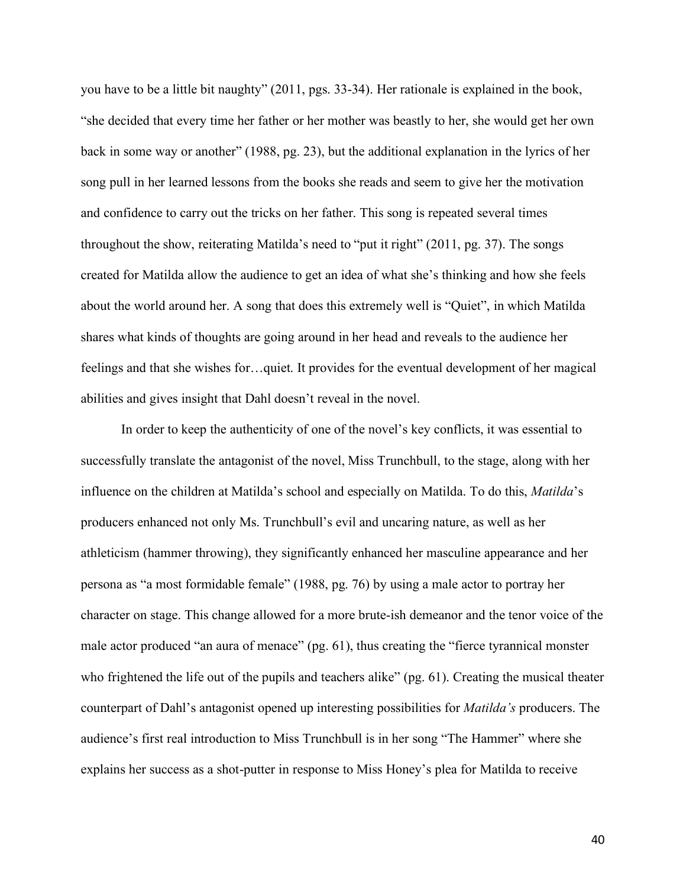you have to be a little bit naughty" (2011, pgs. 33-34). Her rationale is explained in the book, "she decided that every time her father or her mother was beastly to her, she would get her own back in some way or another" (1988, pg. 23), but the additional explanation in the lyrics of her song pull in her learned lessons from the books she reads and seem to give her the motivation and confidence to carry out the tricks on her father. This song is repeated several times throughout the show, reiterating Matilda's need to "put it right" (2011, pg. 37). The songs created for Matilda allow the audience to get an idea of what she's thinking and how she feels about the world around her. A song that does this extremely well is "Quiet", in which Matilda shares what kinds of thoughts are going around in her head and reveals to the audience her feelings and that she wishes for…quiet. It provides for the eventual development of her magical abilities and gives insight that Dahl doesn't reveal in the novel.

In order to keep the authenticity of one of the novel's key conflicts, it was essential to successfully translate the antagonist of the novel, Miss Trunchbull, to the stage, along with her influence on the children at Matilda's school and especially on Matilda. To do this, *Matilda*'s producers enhanced not only Ms. Trunchbull's evil and uncaring nature, as well as her athleticism (hammer throwing), they significantly enhanced her masculine appearance and her persona as "a most formidable female" (1988, pg. 76) by using a male actor to portray her character on stage. This change allowed for a more brute-ish demeanor and the tenor voice of the male actor produced "an aura of menace" (pg. 61), thus creating the "fierce tyrannical monster who frightened the life out of the pupils and teachers alike" (pg. 61). Creating the musical theater counterpart of Dahl's antagonist opened up interesting possibilities for *Matilda's* producers. The audience's first real introduction to Miss Trunchbull is in her song "The Hammer" where she explains her success as a shot-putter in response to Miss Honey's plea for Matilda to receive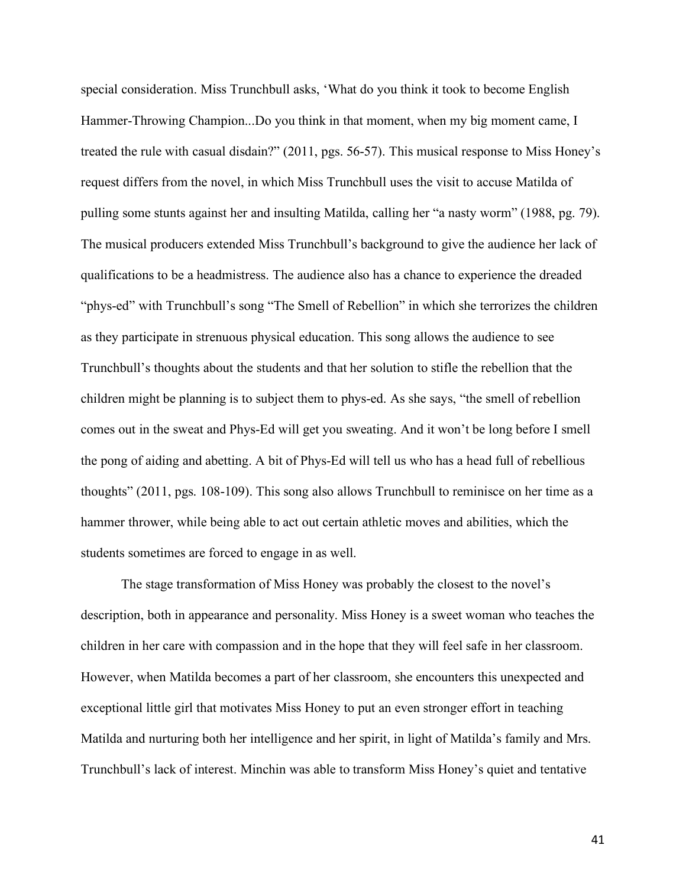special consideration. Miss Trunchbull asks, 'What do you think it took to become English Hammer-Throwing Champion...Do you think in that moment, when my big moment came, I treated the rule with casual disdain?" (2011, pgs. 56-57). This musical response to Miss Honey's request differs from the novel, in which Miss Trunchbull uses the visit to accuse Matilda of pulling some stunts against her and insulting Matilda, calling her "a nasty worm" (1988, pg. 79). The musical producers extended Miss Trunchbull's background to give the audience her lack of qualifications to be a headmistress. The audience also has a chance to experience the dreaded "phys-ed" with Trunchbull's song "The Smell of Rebellion" in which she terrorizes the children as they participate in strenuous physical education. This song allows the audience to see Trunchbull's thoughts about the students and that her solution to stifle the rebellion that the children might be planning is to subject them to phys-ed. As she says, "the smell of rebellion comes out in the sweat and Phys-Ed will get you sweating. And it won't be long before I smell the pong of aiding and abetting. A bit of Phys-Ed will tell us who has a head full of rebellious thoughts" (2011, pgs. 108-109). This song also allows Trunchbull to reminisce on her time as a hammer thrower, while being able to act out certain athletic moves and abilities, which the students sometimes are forced to engage in as well.

The stage transformation of Miss Honey was probably the closest to the novel's description, both in appearance and personality. Miss Honey is a sweet woman who teaches the children in her care with compassion and in the hope that they will feel safe in her classroom. However, when Matilda becomes a part of her classroom, she encounters this unexpected and exceptional little girl that motivates Miss Honey to put an even stronger effort in teaching Matilda and nurturing both her intelligence and her spirit, in light of Matilda's family and Mrs. Trunchbull's lack of interest. Minchin was able to transform Miss Honey's quiet and tentative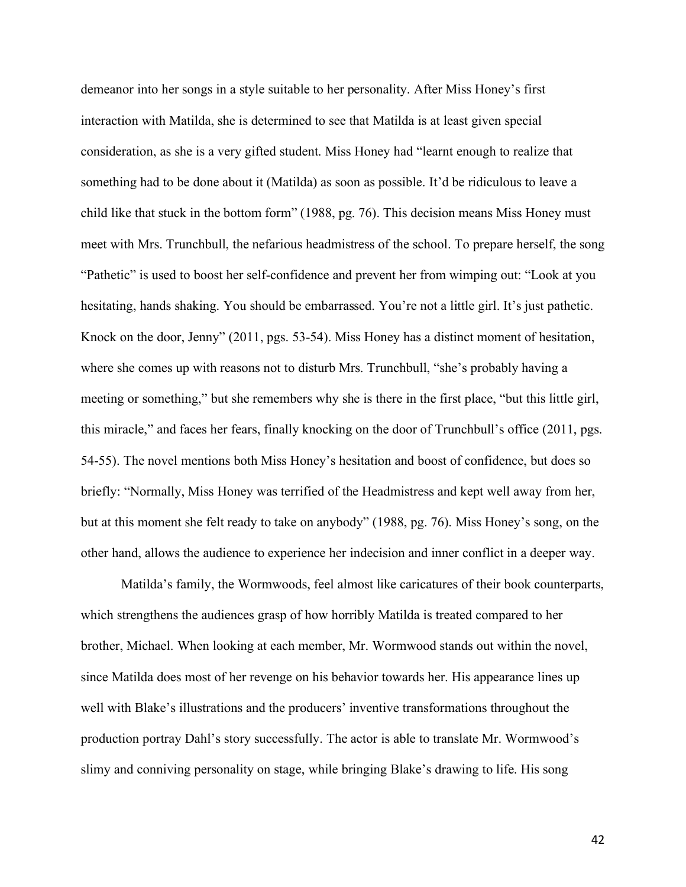demeanor into her songs in a style suitable to her personality. After Miss Honey's first interaction with Matilda, she is determined to see that Matilda is at least given special consideration, as she is a very gifted student. Miss Honey had "learnt enough to realize that something had to be done about it (Matilda) as soon as possible. It'd be ridiculous to leave a child like that stuck in the bottom form" (1988, pg. 76). This decision means Miss Honey must meet with Mrs. Trunchbull, the nefarious headmistress of the school. To prepare herself, the song "Pathetic" is used to boost her self-confidence and prevent her from wimping out: "Look at you hesitating, hands shaking. You should be embarrassed. You're not a little girl. It's just pathetic. Knock on the door, Jenny" (2011, pgs. 53-54). Miss Honey has a distinct moment of hesitation, where she comes up with reasons not to disturb Mrs. Trunchbull, "she's probably having a meeting or something," but she remembers why she is there in the first place, "but this little girl, this miracle," and faces her fears, finally knocking on the door of Trunchbull's office (2011, pgs. 54-55). The novel mentions both Miss Honey's hesitation and boost of confidence, but does so briefly: "Normally, Miss Honey was terrified of the Headmistress and kept well away from her, but at this moment she felt ready to take on anybody" (1988, pg. 76). Miss Honey's song, on the other hand, allows the audience to experience her indecision and inner conflict in a deeper way.

Matilda's family, the Wormwoods, feel almost like caricatures of their book counterparts, which strengthens the audiences grasp of how horribly Matilda is treated compared to her brother, Michael. When looking at each member, Mr. Wormwood stands out within the novel, since Matilda does most of her revenge on his behavior towards her. His appearance lines up well with Blake's illustrations and the producers' inventive transformations throughout the production portray Dahl's story successfully. The actor is able to translate Mr. Wormwood's slimy and conniving personality on stage, while bringing Blake's drawing to life. His song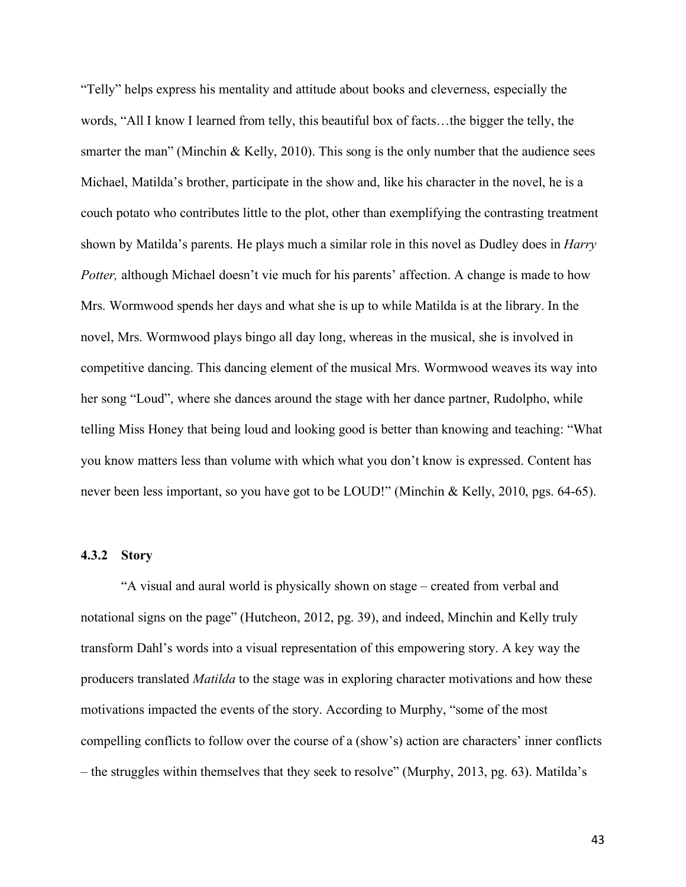"Telly" helps express his mentality and attitude about books and cleverness, especially the words, "All I know I learned from telly, this beautiful box of facts…the bigger the telly, the smarter the man" (Minchin & Kelly, 2010). This song is the only number that the audience sees Michael, Matilda's brother, participate in the show and, like his character in the novel, he is a couch potato who contributes little to the plot, other than exemplifying the contrasting treatment shown by Matilda's parents. He plays much a similar role in this novel as Dudley does in *Harry Potter,* although Michael doesn't vie much for his parents' affection. A change is made to how Mrs. Wormwood spends her days and what she is up to while Matilda is at the library. In the novel, Mrs. Wormwood plays bingo all day long, whereas in the musical, she is involved in competitive dancing. This dancing element of the musical Mrs. Wormwood weaves its way into her song "Loud", where she dances around the stage with her dance partner, Rudolpho, while telling Miss Honey that being loud and looking good is better than knowing and teaching: "What you know matters less than volume with which what you don't know is expressed. Content has never been less important, so you have got to be LOUD!" (Minchin & Kelly, 2010, pgs. 64-65).

#### **4.3.2 Story**

"A visual and aural world is physically shown on stage – created from verbal and notational signs on the page" (Hutcheon, 2012, pg. 39), and indeed, Minchin and Kelly truly transform Dahl's words into a visual representation of this empowering story. A key way the producers translated *Matilda* to the stage was in exploring character motivations and how these motivations impacted the events of the story. According to Murphy, "some of the most compelling conflicts to follow over the course of a (show's) action are characters' inner conflicts – the struggles within themselves that they seek to resolve" (Murphy, 2013, pg. 63). Matilda's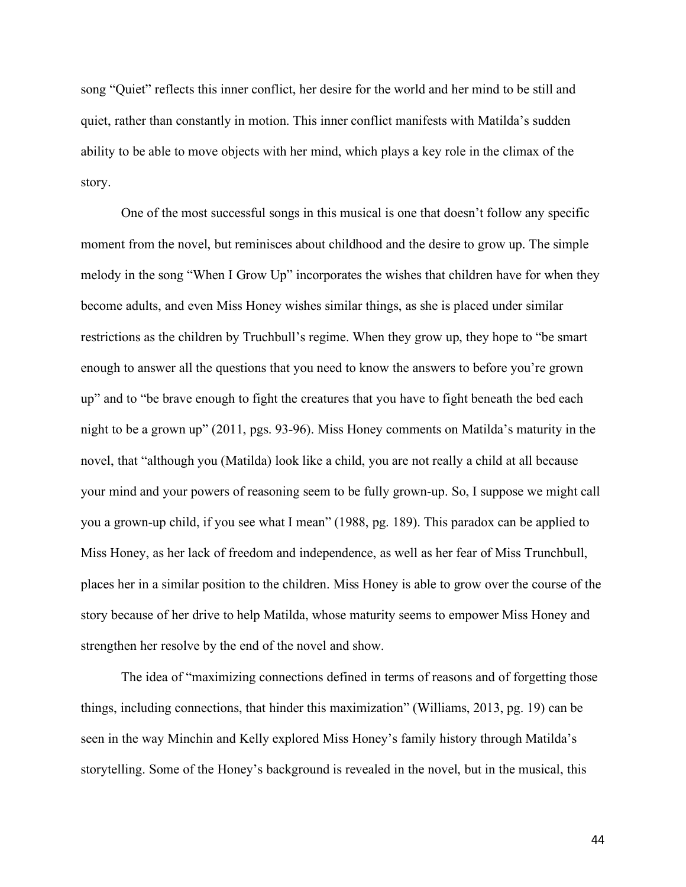song "Quiet" reflects this inner conflict, her desire for the world and her mind to be still and quiet, rather than constantly in motion. This inner conflict manifests with Matilda's sudden ability to be able to move objects with her mind, which plays a key role in the climax of the story.

One of the most successful songs in this musical is one that doesn't follow any specific moment from the novel, but reminisces about childhood and the desire to grow up. The simple melody in the song "When I Grow Up" incorporates the wishes that children have for when they become adults, and even Miss Honey wishes similar things, as she is placed under similar restrictions as the children by Truchbull's regime. When they grow up, they hope to "be smart enough to answer all the questions that you need to know the answers to before you're grown up" and to "be brave enough to fight the creatures that you have to fight beneath the bed each night to be a grown up" (2011, pgs. 93-96). Miss Honey comments on Matilda's maturity in the novel, that "although you (Matilda) look like a child, you are not really a child at all because your mind and your powers of reasoning seem to be fully grown-up. So, I suppose we might call you a grown-up child, if you see what I mean" (1988, pg. 189). This paradox can be applied to Miss Honey, as her lack of freedom and independence, as well as her fear of Miss Trunchbull, places her in a similar position to the children. Miss Honey is able to grow over the course of the story because of her drive to help Matilda, whose maturity seems to empower Miss Honey and strengthen her resolve by the end of the novel and show.

The idea of "maximizing connections defined in terms of reasons and of forgetting those things, including connections, that hinder this maximization" (Williams, 2013, pg. 19) can be seen in the way Minchin and Kelly explored Miss Honey's family history through Matilda's storytelling. Some of the Honey's background is revealed in the novel, but in the musical, this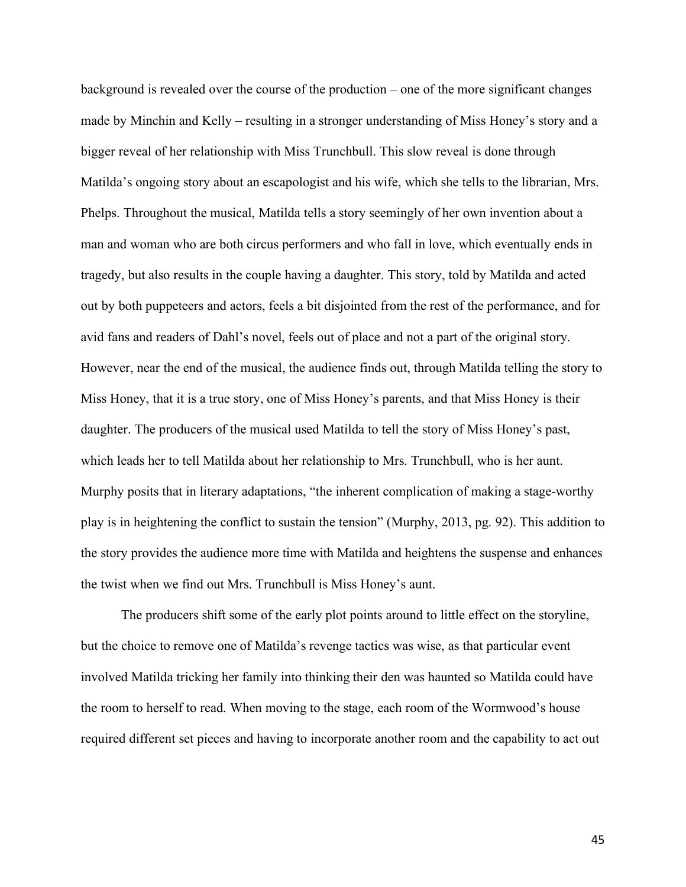background is revealed over the course of the production – one of the more significant changes made by Minchin and Kelly – resulting in a stronger understanding of Miss Honey's story and a bigger reveal of her relationship with Miss Trunchbull. This slow reveal is done through Matilda's ongoing story about an escapologist and his wife, which she tells to the librarian, Mrs. Phelps. Throughout the musical, Matilda tells a story seemingly of her own invention about a man and woman who are both circus performers and who fall in love, which eventually ends in tragedy, but also results in the couple having a daughter. This story, told by Matilda and acted out by both puppeteers and actors, feels a bit disjointed from the rest of the performance, and for avid fans and readers of Dahl's novel, feels out of place and not a part of the original story. However, near the end of the musical, the audience finds out, through Matilda telling the story to Miss Honey, that it is a true story, one of Miss Honey's parents, and that Miss Honey is their daughter. The producers of the musical used Matilda to tell the story of Miss Honey's past, which leads her to tell Matilda about her relationship to Mrs. Trunchbull, who is her aunt. Murphy posits that in literary adaptations, "the inherent complication of making a stage-worthy play is in heightening the conflict to sustain the tension" (Murphy, 2013, pg. 92). This addition to the story provides the audience more time with Matilda and heightens the suspense and enhances the twist when we find out Mrs. Trunchbull is Miss Honey's aunt.

The producers shift some of the early plot points around to little effect on the storyline, but the choice to remove one of Matilda's revenge tactics was wise, as that particular event involved Matilda tricking her family into thinking their den was haunted so Matilda could have the room to herself to read. When moving to the stage, each room of the Wormwood's house required different set pieces and having to incorporate another room and the capability to act out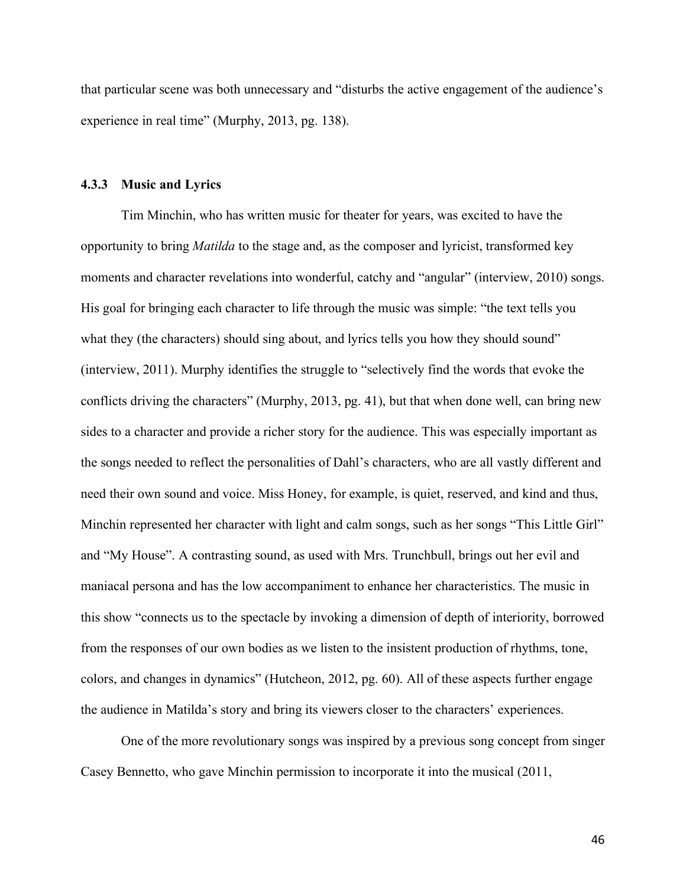that particular scene was both unnecessary and "disturbs the active engagement of the audience's experience in real time" (Murphy, 2013, pg. 138).

# **4.3.3 Music and Lyrics**

Tim Minchin, who has written music for theater for years, was excited to have the opportunity to bring *Matilda* to the stage and, as the composer and lyricist, transformed key moments and character revelations into wonderful, catchy and "angular" (interview, 2010) songs. His goal for bringing each character to life through the music was simple: "the text tells you what they (the characters) should sing about, and lyrics tells you how they should sound" (interview, 2011). Murphy identifies the struggle to "selectively find the words that evoke the conflicts driving the characters" (Murphy, 2013, pg. 41), but that when done well, can bring new sides to a character and provide a richer story for the audience. This was especially important as the songs needed to reflect the personalities of Dahl's characters, who are all vastly different and need their own sound and voice. Miss Honey, for example, is quiet, reserved, and kind and thus, Minchin represented her character with light and calm songs, such as her songs "This Little Girl" and "My House". A contrasting sound, as used with Mrs. Trunchbull, brings out her evil and maniacal persona and has the low accompaniment to enhance her characteristics. The music in this show "connects us to the spectacle by invoking a dimension of depth of interiority, borrowed from the responses of our own bodies as we listen to the insistent production of rhythms, tone, colors, and changes in dynamics" (Hutcheon, 2012, pg. 60). All of these aspects further engage the audience in Matilda's story and bring its viewers closer to the characters' experiences.

One of the more revolutionary songs was inspired by a previous song concept from singer Casey Bennetto, who gave Minchin permission to incorporate it into the musical (2011,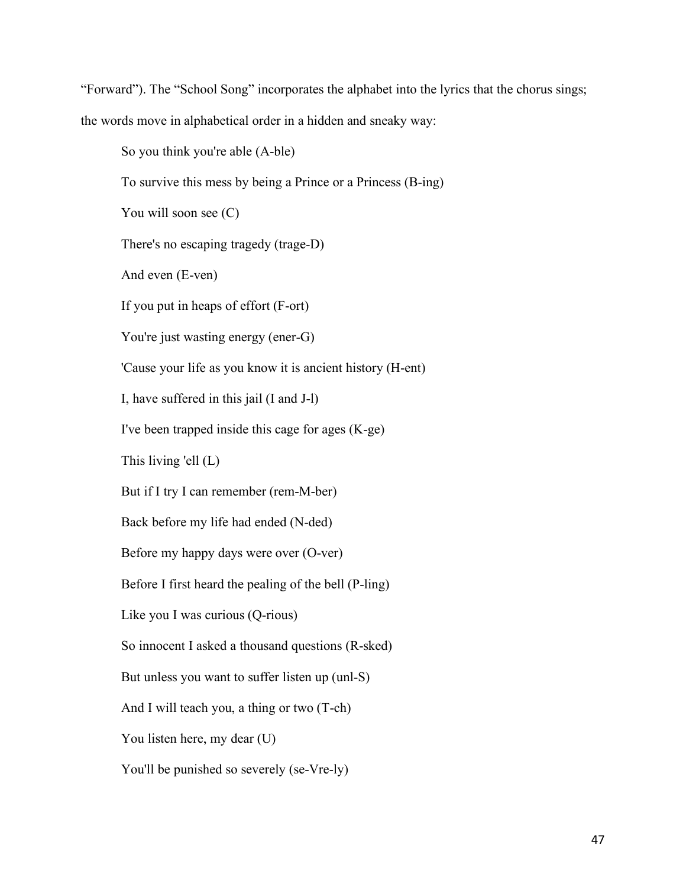"Forward"). The "School Song" incorporates the alphabet into the lyrics that the chorus sings; the words move in alphabetical order in a hidden and sneaky way:

So you think you're able (A-ble)

To survive this mess by being a Prince or a Princess (B-ing)

You will soon see (C)

There's no escaping tragedy (trage-D)

And even (E-ven)

If you put in heaps of effort (F-ort)

You're just wasting energy (ener-G)

'Cause your life as you know it is ancient history (H-ent)

I, have suffered in this jail (I and J-l)

I've been trapped inside this cage for ages (K-ge)

This living 'ell (L)

But if I try I can remember (rem-M-ber)

Back before my life had ended (N-ded)

Before my happy days were over (O-ver)

Before I first heard the pealing of the bell (P-ling)

Like you I was curious (Q-rious)

So innocent I asked a thousand questions (R-sked)

But unless you want to suffer listen up (unl-S)

And I will teach you, a thing or two (T-ch)

You listen here, my dear (U)

You'll be punished so severely (se-Vre-ly)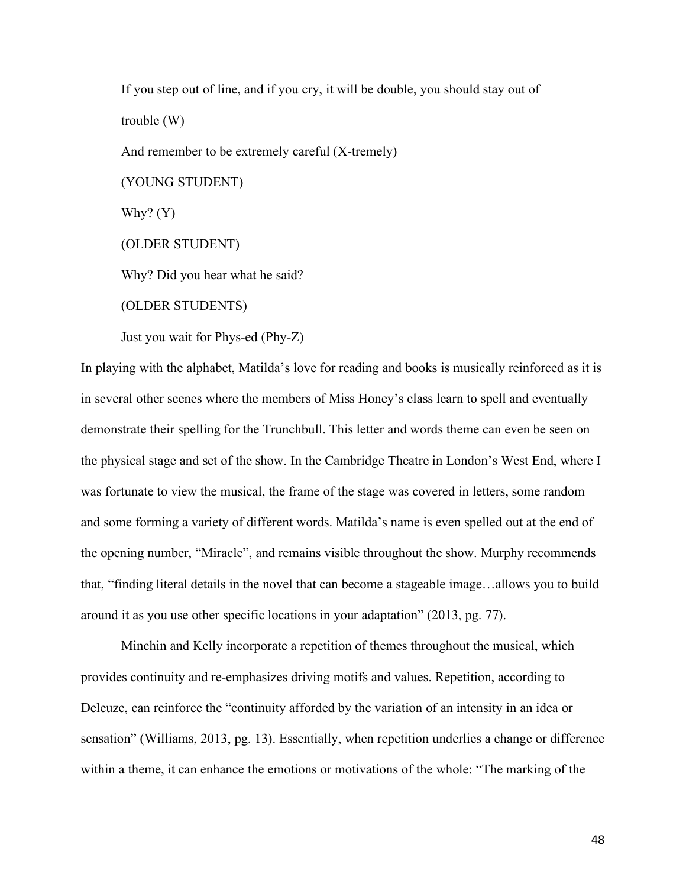If you step out of line, and if you cry, it will be double, you should stay out of trouble (W) And remember to be extremely careful (X-tremely) (YOUNG STUDENT) Why?  $(Y)$ (OLDER STUDENT) Why? Did you hear what he said?

(OLDER STUDENTS)

Just you wait for Phys-ed (Phy-Z)

In playing with the alphabet, Matilda's love for reading and books is musically reinforced as it is in several other scenes where the members of Miss Honey's class learn to spell and eventually demonstrate their spelling for the Trunchbull. This letter and words theme can even be seen on the physical stage and set of the show. In the Cambridge Theatre in London's West End, where I was fortunate to view the musical, the frame of the stage was covered in letters, some random and some forming a variety of different words. Matilda's name is even spelled out at the end of the opening number, "Miracle", and remains visible throughout the show. Murphy recommends that, "finding literal details in the novel that can become a stageable image…allows you to build around it as you use other specific locations in your adaptation" (2013, pg. 77).

Minchin and Kelly incorporate a repetition of themes throughout the musical, which provides continuity and re-emphasizes driving motifs and values. Repetition, according to Deleuze, can reinforce the "continuity afforded by the variation of an intensity in an idea or sensation" (Williams, 2013, pg. 13). Essentially, when repetition underlies a change or difference within a theme, it can enhance the emotions or motivations of the whole: "The marking of the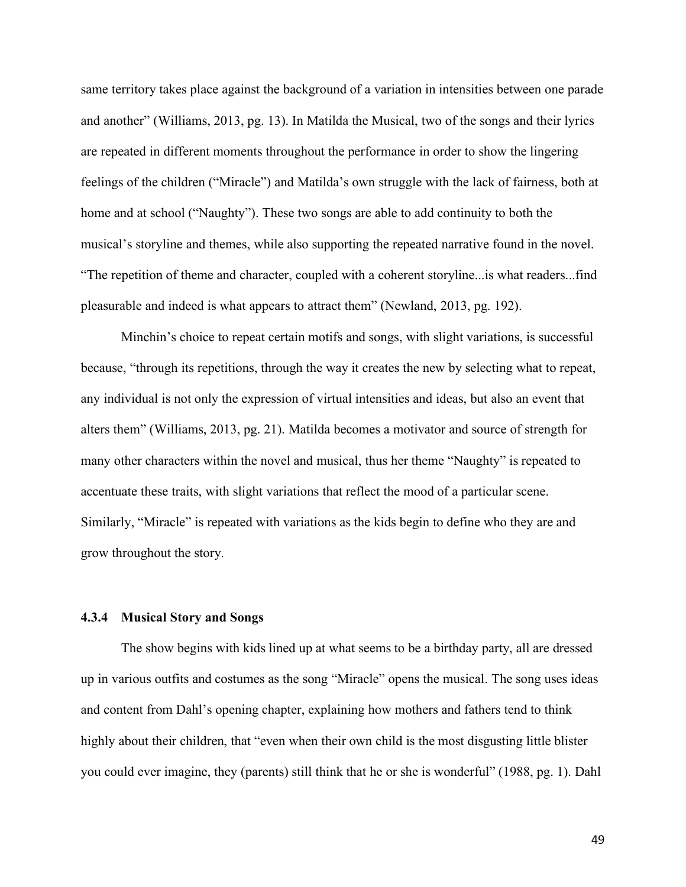same territory takes place against the background of a variation in intensities between one parade and another" (Williams, 2013, pg. 13). In Matilda the Musical, two of the songs and their lyrics are repeated in different moments throughout the performance in order to show the lingering feelings of the children ("Miracle") and Matilda's own struggle with the lack of fairness, both at home and at school ("Naughty"). These two songs are able to add continuity to both the musical's storyline and themes, while also supporting the repeated narrative found in the novel. "The repetition of theme and character, coupled with a coherent storyline...is what readers...find pleasurable and indeed is what appears to attract them" (Newland, 2013, pg. 192).

Minchin's choice to repeat certain motifs and songs, with slight variations, is successful because, "through its repetitions, through the way it creates the new by selecting what to repeat, any individual is not only the expression of virtual intensities and ideas, but also an event that alters them" (Williams, 2013, pg. 21). Matilda becomes a motivator and source of strength for many other characters within the novel and musical, thus her theme "Naughty" is repeated to accentuate these traits, with slight variations that reflect the mood of a particular scene. Similarly, "Miracle" is repeated with variations as the kids begin to define who they are and grow throughout the story.

#### **4.3.4 Musical Story and Songs**

The show begins with kids lined up at what seems to be a birthday party, all are dressed up in various outfits and costumes as the song "Miracle" opens the musical. The song uses ideas and content from Dahl's opening chapter, explaining how mothers and fathers tend to think highly about their children, that "even when their own child is the most disgusting little blister you could ever imagine, they (parents) still think that he or she is wonderful" (1988, pg. 1). Dahl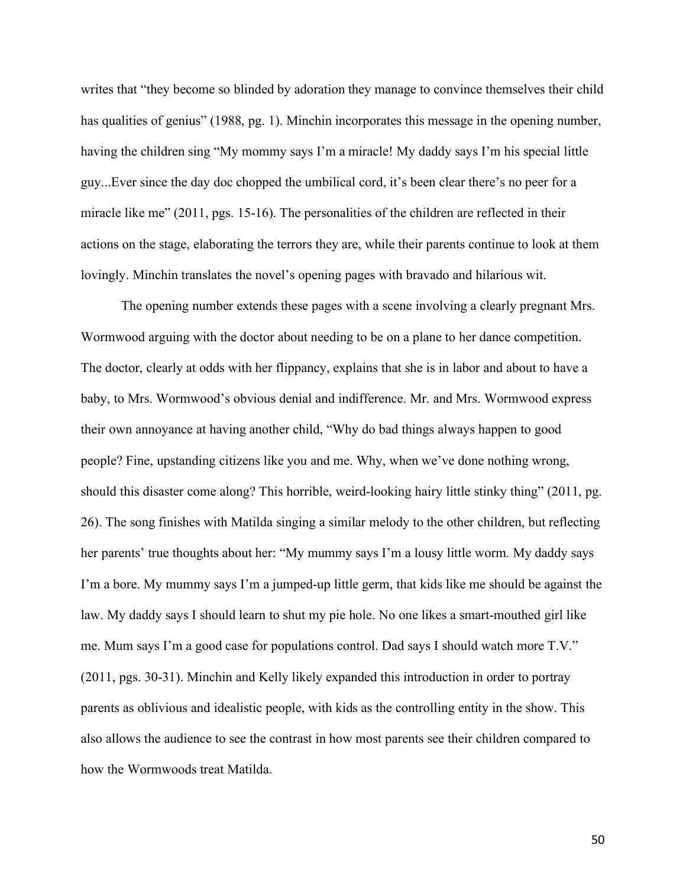writes that "they become so blinded by adoration they manage to convince themselves their child has qualities of genius" (1988, pg. 1). Minchin incorporates this message in the opening number, having the children sing "My mommy says I'm a miracle! My daddy says I'm his special little guy...Ever since the day doc chopped the umbilical cord, it's been clear there's no peer for a miracle like me" (2011, pgs. 15-16). The personalities of the children are reflected in their actions on the stage, elaborating the terrors they are, while their parents continue to look at them lovingly. Minchin translates the novel's opening pages with bravado and hilarious wit.

The opening number extends these pages with a scene involving a clearly pregnant Mrs. Wormwood arguing with the doctor about needing to be on a plane to her dance competition. The doctor, clearly at odds with her flippancy, explains that she is in labor and about to have a baby, to Mrs. Wormwood's obvious denial and indifference. Mr. and Mrs. Wormwood express their own annoyance at having another child, "Why do bad things always happen to good people? Fine, upstanding citizens like you and me. Why, when we've done nothing wrong, should this disaster come along? This horrible, weird-looking hairy little stinky thing" (2011, pg. 26). The song finishes with Matilda singing a similar melody to the other children, but reflecting her parents' true thoughts about her: "My mummy says I'm a lousy little worm. My daddy says I'm a bore. My mummy says I'm a jumped-up little germ, that kids like me should be against the law. My daddy says I should learn to shut my pie hole. No one likes a smart-mouthed girl like me. Mum says I'm a good case for populations control. Dad says I should watch more T.V." (2011, pgs. 30-31). Minchin and Kelly likely expanded this introduction in order to portray parents as oblivious and idealistic people, with kids as the controlling entity in the show. This also allows the audience to see the contrast in how most parents see their children compared to how the Wormwoods treat Matilda.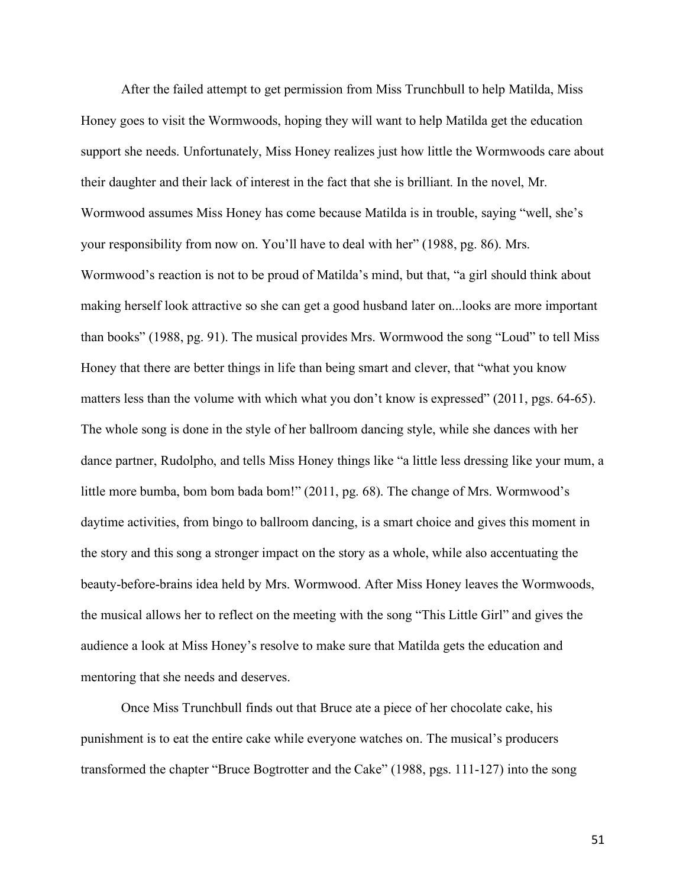After the failed attempt to get permission from Miss Trunchbull to help Matilda, Miss Honey goes to visit the Wormwoods, hoping they will want to help Matilda get the education support she needs. Unfortunately, Miss Honey realizes just how little the Wormwoods care about their daughter and their lack of interest in the fact that she is brilliant. In the novel, Mr. Wormwood assumes Miss Honey has come because Matilda is in trouble, saying "well, she's your responsibility from now on. You'll have to deal with her" (1988, pg. 86). Mrs. Wormwood's reaction is not to be proud of Matilda's mind, but that, "a girl should think about making herself look attractive so she can get a good husband later on...looks are more important than books" (1988, pg. 91). The musical provides Mrs. Wormwood the song "Loud" to tell Miss Honey that there are better things in life than being smart and clever, that "what you know matters less than the volume with which what you don't know is expressed" (2011, pgs. 64-65). The whole song is done in the style of her ballroom dancing style, while she dances with her dance partner, Rudolpho, and tells Miss Honey things like "a little less dressing like your mum, a little more bumba, bom bom bada bom!" (2011, pg. 68). The change of Mrs. Wormwood's daytime activities, from bingo to ballroom dancing, is a smart choice and gives this moment in the story and this song a stronger impact on the story as a whole, while also accentuating the beauty-before-brains idea held by Mrs. Wormwood. After Miss Honey leaves the Wormwoods, the musical allows her to reflect on the meeting with the song "This Little Girl" and gives the audience a look at Miss Honey's resolve to make sure that Matilda gets the education and mentoring that she needs and deserves.

Once Miss Trunchbull finds out that Bruce ate a piece of her chocolate cake, his punishment is to eat the entire cake while everyone watches on. The musical's producers transformed the chapter "Bruce Bogtrotter and the Cake" (1988, pgs. 111-127) into the song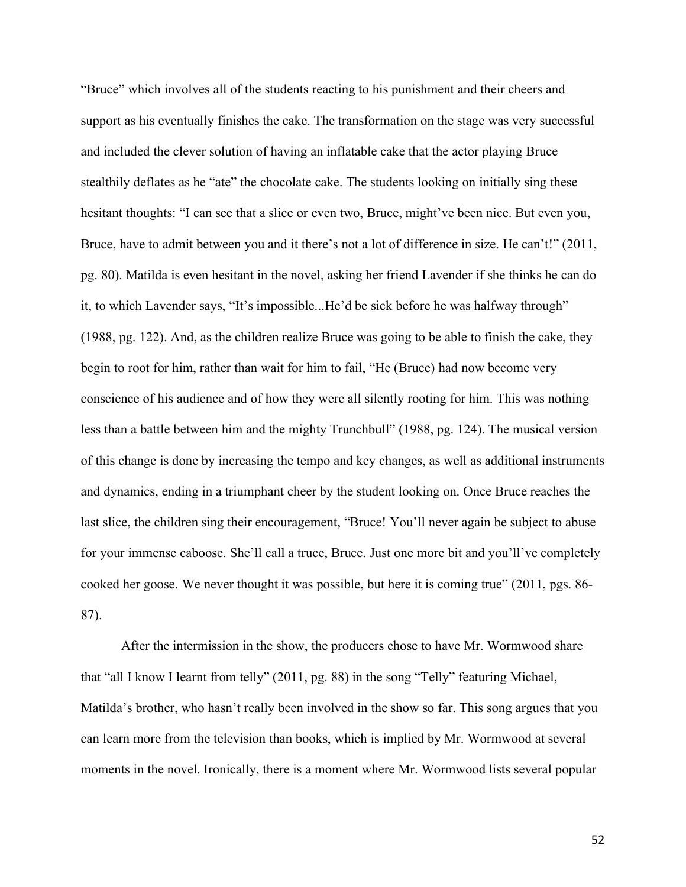"Bruce" which involves all of the students reacting to his punishment and their cheers and support as his eventually finishes the cake. The transformation on the stage was very successful and included the clever solution of having an inflatable cake that the actor playing Bruce stealthily deflates as he "ate" the chocolate cake. The students looking on initially sing these hesitant thoughts: "I can see that a slice or even two, Bruce, might've been nice. But even you, Bruce, have to admit between you and it there's not a lot of difference in size. He can't!" (2011, pg. 80). Matilda is even hesitant in the novel, asking her friend Lavender if she thinks he can do it, to which Lavender says, "It's impossible...He'd be sick before he was halfway through" (1988, pg. 122). And, as the children realize Bruce was going to be able to finish the cake, they begin to root for him, rather than wait for him to fail, "He (Bruce) had now become very conscience of his audience and of how they were all silently rooting for him. This was nothing less than a battle between him and the mighty Trunchbull" (1988, pg. 124). The musical version of this change is done by increasing the tempo and key changes, as well as additional instruments and dynamics, ending in a triumphant cheer by the student looking on. Once Bruce reaches the last slice, the children sing their encouragement, "Bruce! You'll never again be subject to abuse for your immense caboose. She'll call a truce, Bruce. Just one more bit and you'll've completely cooked her goose. We never thought it was possible, but here it is coming true" (2011, pgs. 86- 87).

After the intermission in the show, the producers chose to have Mr. Wormwood share that "all I know I learnt from telly" (2011, pg. 88) in the song "Telly" featuring Michael, Matilda's brother, who hasn't really been involved in the show so far. This song argues that you can learn more from the television than books, which is implied by Mr. Wormwood at several moments in the novel. Ironically, there is a moment where Mr. Wormwood lists several popular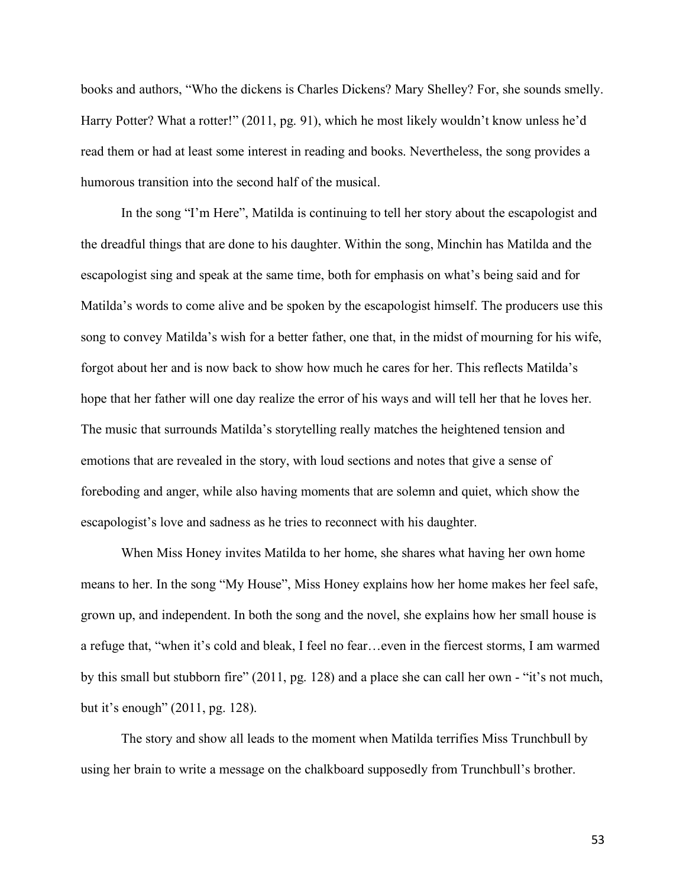books and authors, "Who the dickens is Charles Dickens? Mary Shelley? For, she sounds smelly. Harry Potter? What a rotter!" (2011, pg. 91), which he most likely wouldn't know unless he'd read them or had at least some interest in reading and books. Nevertheless, the song provides a humorous transition into the second half of the musical.

In the song "I'm Here", Matilda is continuing to tell her story about the escapologist and the dreadful things that are done to his daughter. Within the song, Minchin has Matilda and the escapologist sing and speak at the same time, both for emphasis on what's being said and for Matilda's words to come alive and be spoken by the escapologist himself. The producers use this song to convey Matilda's wish for a better father, one that, in the midst of mourning for his wife, forgot about her and is now back to show how much he cares for her. This reflects Matilda's hope that her father will one day realize the error of his ways and will tell her that he loves her. The music that surrounds Matilda's storytelling really matches the heightened tension and emotions that are revealed in the story, with loud sections and notes that give a sense of foreboding and anger, while also having moments that are solemn and quiet, which show the escapologist's love and sadness as he tries to reconnect with his daughter.

When Miss Honey invites Matilda to her home, she shares what having her own home means to her. In the song "My House", Miss Honey explains how her home makes her feel safe, grown up, and independent. In both the song and the novel, she explains how her small house is a refuge that, "when it's cold and bleak, I feel no fear…even in the fiercest storms, I am warmed by this small but stubborn fire" (2011, pg. 128) and a place she can call her own - "it's not much, but it's enough" (2011, pg. 128).

The story and show all leads to the moment when Matilda terrifies Miss Trunchbull by using her brain to write a message on the chalkboard supposedly from Trunchbull's brother.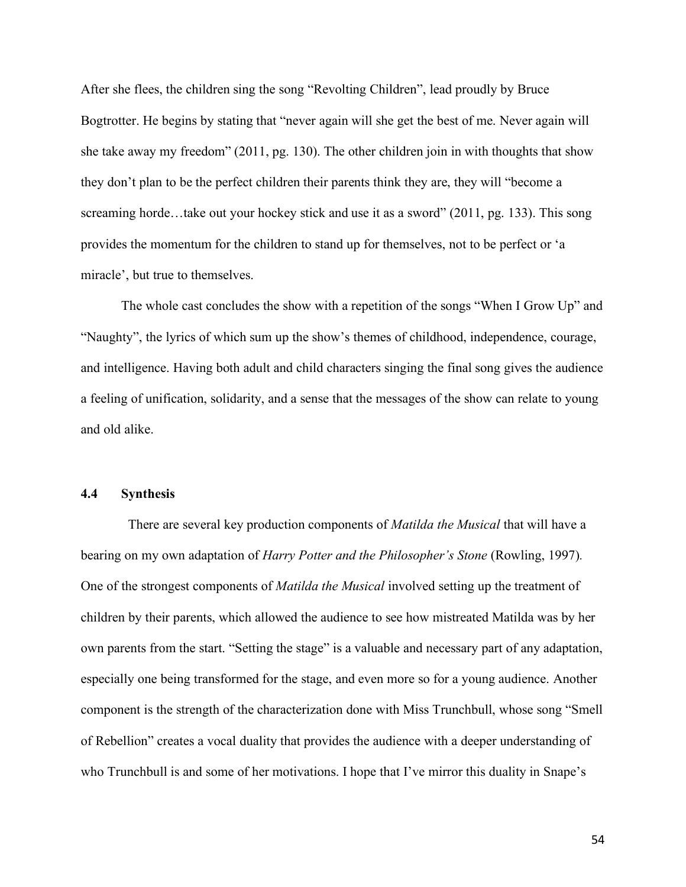After she flees, the children sing the song "Revolting Children", lead proudly by Bruce Bogtrotter. He begins by stating that "never again will she get the best of me. Never again will she take away my freedom" (2011, pg. 130). The other children join in with thoughts that show they don't plan to be the perfect children their parents think they are, they will "become a screaming horde…take out your hockey stick and use it as a sword" (2011, pg. 133). This song provides the momentum for the children to stand up for themselves, not to be perfect or 'a miracle', but true to themselves.

The whole cast concludes the show with a repetition of the songs "When I Grow Up" and "Naughty", the lyrics of which sum up the show's themes of childhood, independence, courage, and intelligence. Having both adult and child characters singing the final song gives the audience a feeling of unification, solidarity, and a sense that the messages of the show can relate to young and old alike.

### **4.4 Synthesis**

 There are several key production components of *Matilda the Musical* that will have a bearing on my own adaptation of *Harry Potter and the Philosopher's Stone* (Rowling, 1997)*.* One of the strongest components of *Matilda the Musical* involved setting up the treatment of children by their parents, which allowed the audience to see how mistreated Matilda was by her own parents from the start. "Setting the stage" is a valuable and necessary part of any adaptation, especially one being transformed for the stage, and even more so for a young audience. Another component is the strength of the characterization done with Miss Trunchbull, whose song "Smell of Rebellion" creates a vocal duality that provides the audience with a deeper understanding of who Trunchbull is and some of her motivations. I hope that I've mirror this duality in Snape's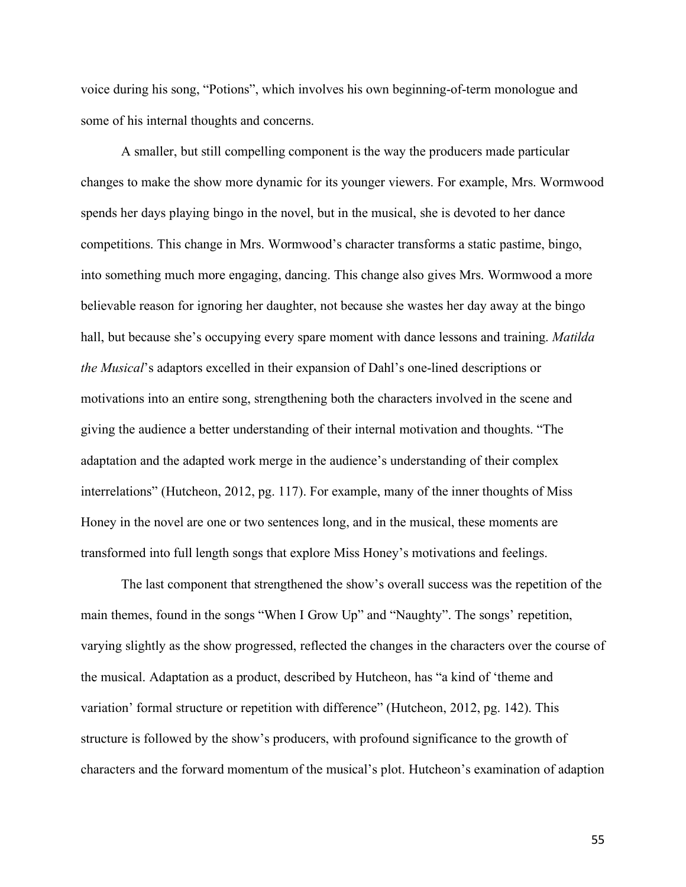voice during his song, "Potions", which involves his own beginning-of-term monologue and some of his internal thoughts and concerns.

A smaller, but still compelling component is the way the producers made particular changes to make the show more dynamic for its younger viewers. For example, Mrs. Wormwood spends her days playing bingo in the novel, but in the musical, she is devoted to her dance competitions. This change in Mrs. Wormwood's character transforms a static pastime, bingo, into something much more engaging, dancing. This change also gives Mrs. Wormwood a more believable reason for ignoring her daughter, not because she wastes her day away at the bingo hall, but because she's occupying every spare moment with dance lessons and training. *Matilda the Musical*'s adaptors excelled in their expansion of Dahl's one-lined descriptions or motivations into an entire song, strengthening both the characters involved in the scene and giving the audience a better understanding of their internal motivation and thoughts. "The adaptation and the adapted work merge in the audience's understanding of their complex interrelations" (Hutcheon, 2012, pg. 117). For example, many of the inner thoughts of Miss Honey in the novel are one or two sentences long, and in the musical, these moments are transformed into full length songs that explore Miss Honey's motivations and feelings.

The last component that strengthened the show's overall success was the repetition of the main themes, found in the songs "When I Grow Up" and "Naughty". The songs' repetition, varying slightly as the show progressed, reflected the changes in the characters over the course of the musical. Adaptation as a product, described by Hutcheon, has "a kind of 'theme and variation' formal structure or repetition with difference" (Hutcheon, 2012, pg. 142). This structure is followed by the show's producers, with profound significance to the growth of characters and the forward momentum of the musical's plot. Hutcheon's examination of adaption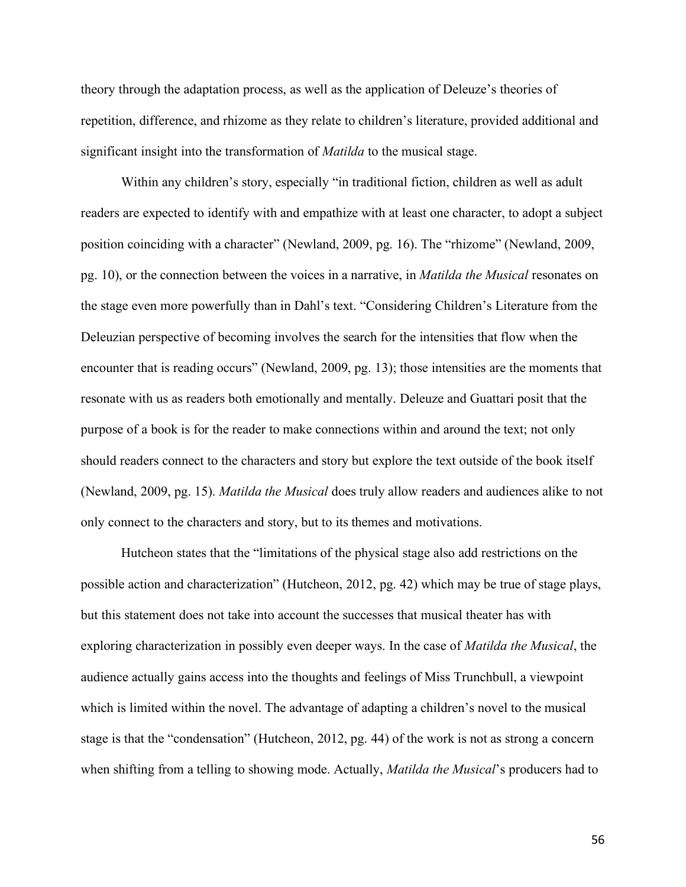theory through the adaptation process, as well as the application of Deleuze's theories of repetition, difference, and rhizome as they relate to children's literature, provided additional and significant insight into the transformation of *Matilda* to the musical stage.

Within any children's story, especially "in traditional fiction, children as well as adult readers are expected to identify with and empathize with at least one character, to adopt a subject position coinciding with a character" (Newland, 2009, pg. 16). The "rhizome" (Newland, 2009, pg. 10), or the connection between the voices in a narrative, in *Matilda the Musical* resonates on the stage even more powerfully than in Dahl's text. "Considering Children's Literature from the Deleuzian perspective of becoming involves the search for the intensities that flow when the encounter that is reading occurs" (Newland, 2009, pg. 13); those intensities are the moments that resonate with us as readers both emotionally and mentally. Deleuze and Guattari posit that the purpose of a book is for the reader to make connections within and around the text; not only should readers connect to the characters and story but explore the text outside of the book itself (Newland, 2009, pg. 15). *Matilda the Musical* does truly allow readers and audiences alike to not only connect to the characters and story, but to its themes and motivations.

Hutcheon states that the "limitations of the physical stage also add restrictions on the possible action and characterization" (Hutcheon, 2012, pg. 42) which may be true of stage plays, but this statement does not take into account the successes that musical theater has with exploring characterization in possibly even deeper ways. In the case of *Matilda the Musical*, the audience actually gains access into the thoughts and feelings of Miss Trunchbull, a viewpoint which is limited within the novel. The advantage of adapting a children's novel to the musical stage is that the "condensation" (Hutcheon, 2012, pg. 44) of the work is not as strong a concern when shifting from a telling to showing mode. Actually, *Matilda the Musical*'s producers had to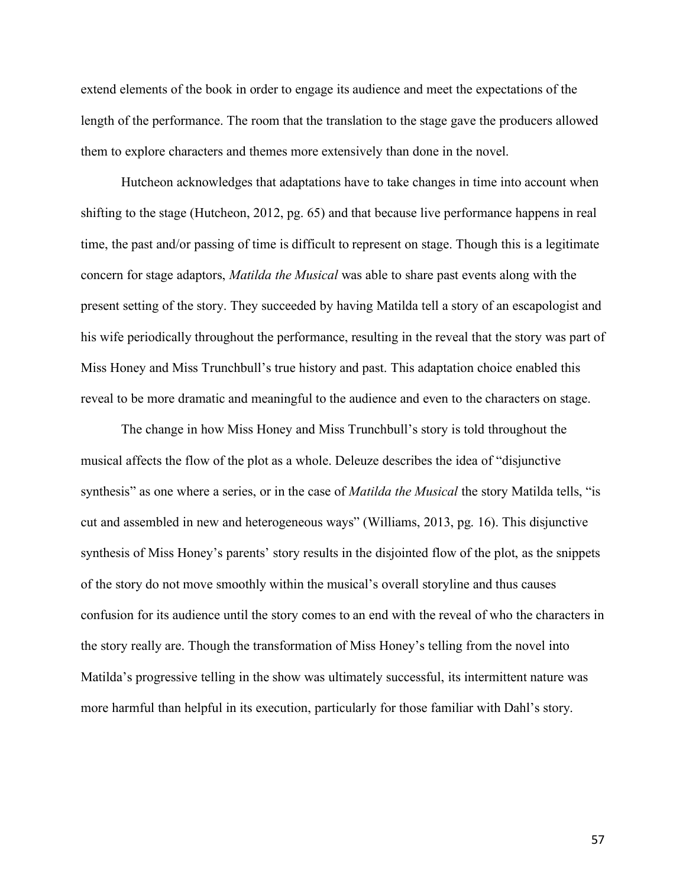extend elements of the book in order to engage its audience and meet the expectations of the length of the performance. The room that the translation to the stage gave the producers allowed them to explore characters and themes more extensively than done in the novel.

Hutcheon acknowledges that adaptations have to take changes in time into account when shifting to the stage (Hutcheon, 2012, pg. 65) and that because live performance happens in real time, the past and/or passing of time is difficult to represent on stage. Though this is a legitimate concern for stage adaptors, *Matilda the Musical* was able to share past events along with the present setting of the story. They succeeded by having Matilda tell a story of an escapologist and his wife periodically throughout the performance, resulting in the reveal that the story was part of Miss Honey and Miss Trunchbull's true history and past. This adaptation choice enabled this reveal to be more dramatic and meaningful to the audience and even to the characters on stage.

The change in how Miss Honey and Miss Trunchbull's story is told throughout the musical affects the flow of the plot as a whole. Deleuze describes the idea of "disjunctive synthesis" as one where a series, or in the case of *Matilda the Musical* the story Matilda tells, "is cut and assembled in new and heterogeneous ways" (Williams, 2013, pg. 16). This disjunctive synthesis of Miss Honey's parents' story results in the disjointed flow of the plot, as the snippets of the story do not move smoothly within the musical's overall storyline and thus causes confusion for its audience until the story comes to an end with the reveal of who the characters in the story really are. Though the transformation of Miss Honey's telling from the novel into Matilda's progressive telling in the show was ultimately successful, its intermittent nature was more harmful than helpful in its execution, particularly for those familiar with Dahl's story.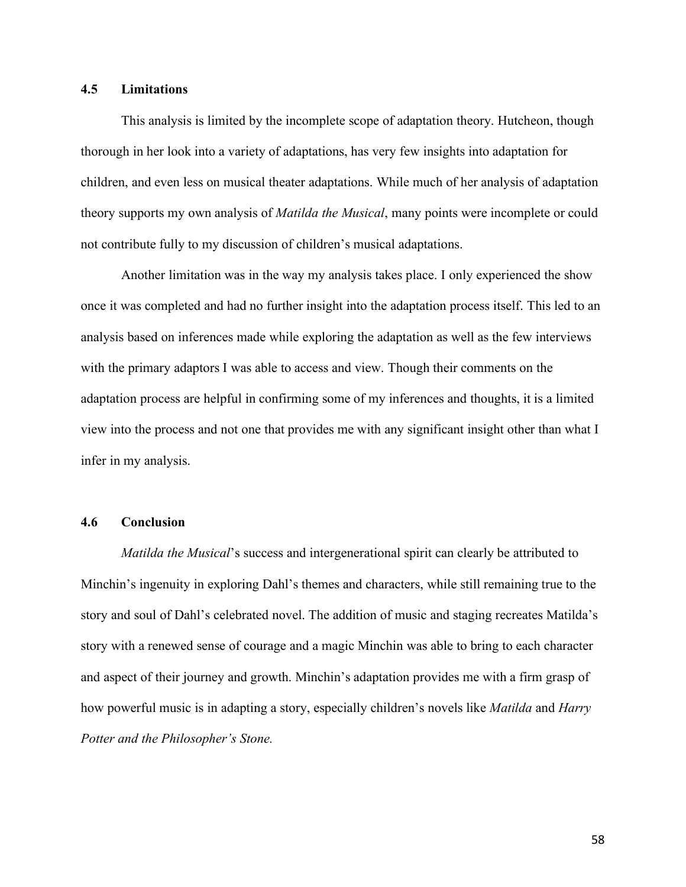#### **4.5 Limitations**

This analysis is limited by the incomplete scope of adaptation theory. Hutcheon, though thorough in her look into a variety of adaptations, has very few insights into adaptation for children, and even less on musical theater adaptations. While much of her analysis of adaptation theory supports my own analysis of *Matilda the Musical*, many points were incomplete or could not contribute fully to my discussion of children's musical adaptations.

Another limitation was in the way my analysis takes place. I only experienced the show once it was completed and had no further insight into the adaptation process itself. This led to an analysis based on inferences made while exploring the adaptation as well as the few interviews with the primary adaptors I was able to access and view. Though their comments on the adaptation process are helpful in confirming some of my inferences and thoughts, it is a limited view into the process and not one that provides me with any significant insight other than what I infer in my analysis.

#### **4.6 Conclusion**

*Matilda the Musical*'s success and intergenerational spirit can clearly be attributed to Minchin's ingenuity in exploring Dahl's themes and characters, while still remaining true to the story and soul of Dahl's celebrated novel. The addition of music and staging recreates Matilda's story with a renewed sense of courage and a magic Minchin was able to bring to each character and aspect of their journey and growth. Minchin's adaptation provides me with a firm grasp of how powerful music is in adapting a story, especially children's novels like *Matilda* and *Harry Potter and the Philosopher's Stone.*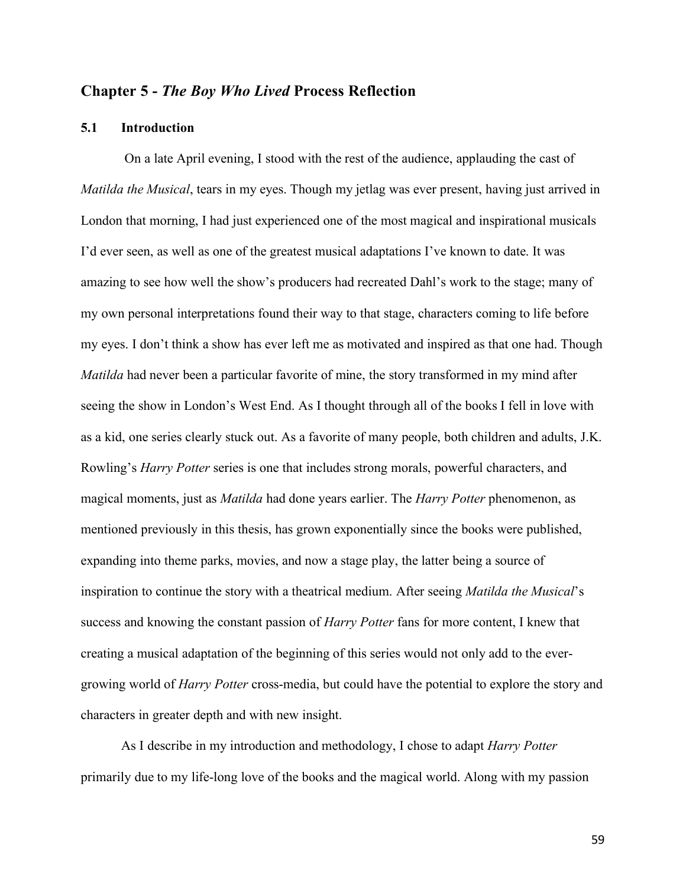## **Chapter 5 -** *The Boy Who Lived* **Process Reflection**

#### **5.1 Introduction**

On a late April evening, I stood with the rest of the audience, applauding the cast of *Matilda the Musical*, tears in my eyes. Though my jetlag was ever present, having just arrived in London that morning, I had just experienced one of the most magical and inspirational musicals I'd ever seen, as well as one of the greatest musical adaptations I've known to date. It was amazing to see how well the show's producers had recreated Dahl's work to the stage; many of my own personal interpretations found their way to that stage, characters coming to life before my eyes. I don't think a show has ever left me as motivated and inspired as that one had. Though *Matilda* had never been a particular favorite of mine, the story transformed in my mind after seeing the show in London's West End. As I thought through all of the books I fell in love with as a kid, one series clearly stuck out. As a favorite of many people, both children and adults, J.K. Rowling's *Harry Potter* series is one that includes strong morals, powerful characters, and magical moments, just as *Matilda* had done years earlier. The *Harry Potter* phenomenon, as mentioned previously in this thesis, has grown exponentially since the books were published, expanding into theme parks, movies, and now a stage play, the latter being a source of inspiration to continue the story with a theatrical medium. After seeing *Matilda the Musical*'s success and knowing the constant passion of *Harry Potter* fans for more content, I knew that creating a musical adaptation of the beginning of this series would not only add to the evergrowing world of *Harry Potter* cross-media, but could have the potential to explore the story and characters in greater depth and with new insight.

As I describe in my introduction and methodology, I chose to adapt *Harry Potter* primarily due to my life-long love of the books and the magical world. Along with my passion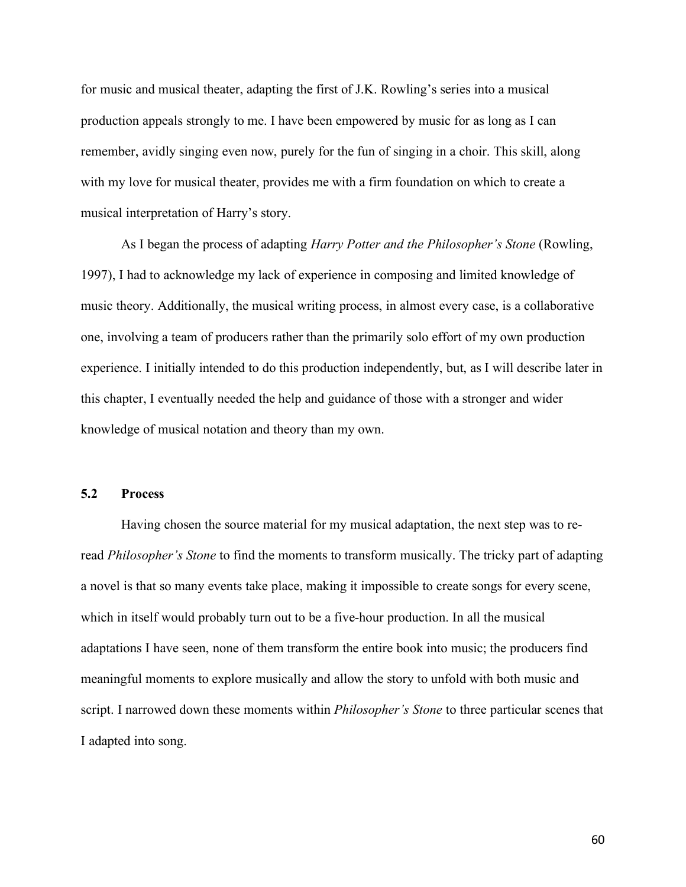for music and musical theater, adapting the first of J.K. Rowling's series into a musical production appeals strongly to me. I have been empowered by music for as long as I can remember, avidly singing even now, purely for the fun of singing in a choir. This skill, along with my love for musical theater, provides me with a firm foundation on which to create a musical interpretation of Harry's story.

As I began the process of adapting *Harry Potter and the Philosopher's Stone* (Rowling, 1997), I had to acknowledge my lack of experience in composing and limited knowledge of music theory. Additionally, the musical writing process, in almost every case, is a collaborative one, involving a team of producers rather than the primarily solo effort of my own production experience. I initially intended to do this production independently, but, as I will describe later in this chapter, I eventually needed the help and guidance of those with a stronger and wider knowledge of musical notation and theory than my own.

### **5.2 Process**

Having chosen the source material for my musical adaptation, the next step was to reread *Philosopher's Stone* to find the moments to transform musically. The tricky part of adapting a novel is that so many events take place, making it impossible to create songs for every scene, which in itself would probably turn out to be a five-hour production. In all the musical adaptations I have seen, none of them transform the entire book into music; the producers find meaningful moments to explore musically and allow the story to unfold with both music and script. I narrowed down these moments within *Philosopher's Stone* to three particular scenes that I adapted into song.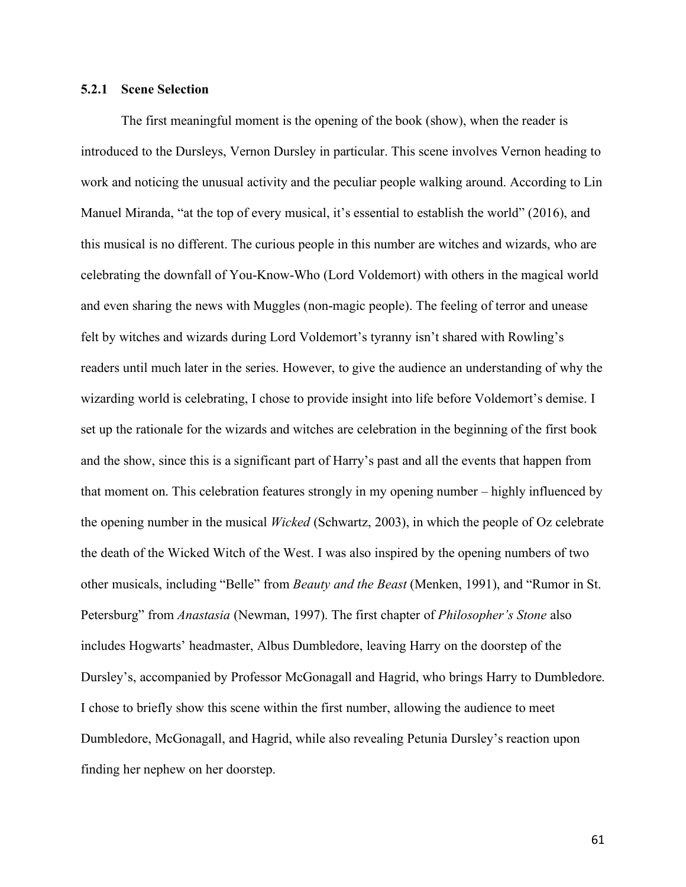#### **5.2.1 Scene Selection**

The first meaningful moment is the opening of the book (show), when the reader is introduced to the Dursleys, Vernon Dursley in particular. This scene involves Vernon heading to work and noticing the unusual activity and the peculiar people walking around. According to Lin Manuel Miranda, "at the top of every musical, it's essential to establish the world" (2016), and this musical is no different. The curious people in this number are witches and wizards, who are celebrating the downfall of You-Know-Who (Lord Voldemort) with others in the magical world and even sharing the news with Muggles (non-magic people). The feeling of terror and unease felt by witches and wizards during Lord Voldemort's tyranny isn't shared with Rowling's readers until much later in the series. However, to give the audience an understanding of why the wizarding world is celebrating, I chose to provide insight into life before Voldemort's demise. I set up the rationale for the wizards and witches are celebration in the beginning of the first book and the show, since this is a significant part of Harry's past and all the events that happen from that moment on. This celebration features strongly in my opening number – highly influenced by the opening number in the musical *Wicked* (Schwartz, 2003), in which the people of Oz celebrate the death of the Wicked Witch of the West. I was also inspired by the opening numbers of two other musicals, including "Belle" from *Beauty and the Beast* (Menken, 1991), and "Rumor in St. Petersburg" from *Anastasia* (Newman, 1997). The first chapter of *Philosopher's Stone* also includes Hogwarts' headmaster, Albus Dumbledore, leaving Harry on the doorstep of the Dursley's, accompanied by Professor McGonagall and Hagrid, who brings Harry to Dumbledore. I chose to briefly show this scene within the first number, allowing the audience to meet Dumbledore, McGonagall, and Hagrid, while also revealing Petunia Dursley's reaction upon finding her nephew on her doorstep.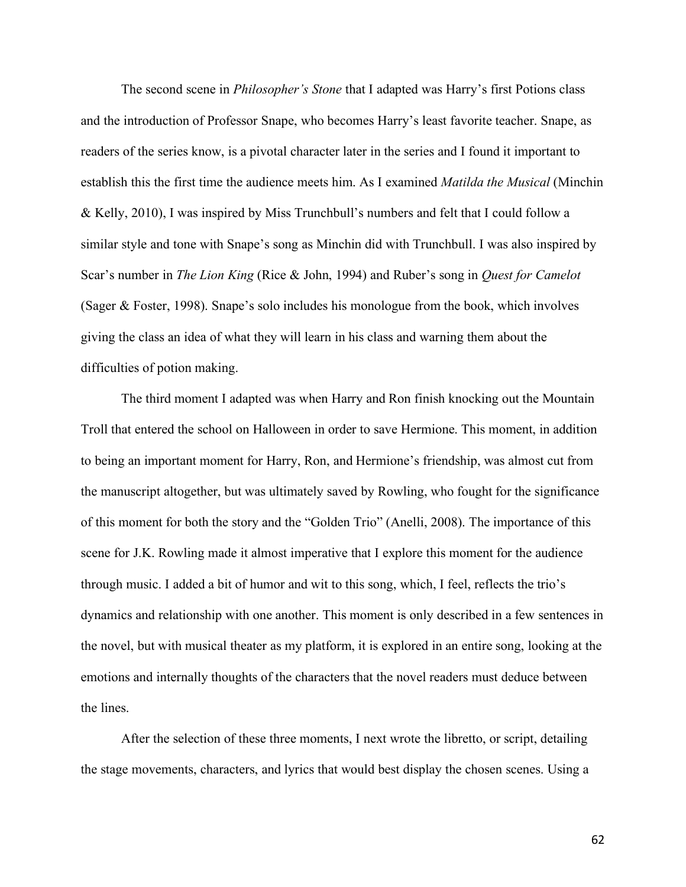The second scene in *Philosopher's Stone* that I adapted was Harry's first Potions class and the introduction of Professor Snape, who becomes Harry's least favorite teacher. Snape, as readers of the series know, is a pivotal character later in the series and I found it important to establish this the first time the audience meets him. As I examined *Matilda the Musical* (Minchin & Kelly, 2010), I was inspired by Miss Trunchbull's numbers and felt that I could follow a similar style and tone with Snape's song as Minchin did with Trunchbull. I was also inspired by Scar's number in *The Lion King* (Rice & John, 1994) and Ruber's song in *Quest for Camelot* (Sager & Foster, 1998). Snape's solo includes his monologue from the book, which involves giving the class an idea of what they will learn in his class and warning them about the difficulties of potion making.

The third moment I adapted was when Harry and Ron finish knocking out the Mountain Troll that entered the school on Halloween in order to save Hermione. This moment, in addition to being an important moment for Harry, Ron, and Hermione's friendship, was almost cut from the manuscript altogether, but was ultimately saved by Rowling, who fought for the significance of this moment for both the story and the "Golden Trio" (Anelli, 2008). The importance of this scene for J.K. Rowling made it almost imperative that I explore this moment for the audience through music. I added a bit of humor and wit to this song, which, I feel, reflects the trio's dynamics and relationship with one another. This moment is only described in a few sentences in the novel, but with musical theater as my platform, it is explored in an entire song, looking at the emotions and internally thoughts of the characters that the novel readers must deduce between the lines.

After the selection of these three moments, I next wrote the libretto, or script, detailing the stage movements, characters, and lyrics that would best display the chosen scenes. Using a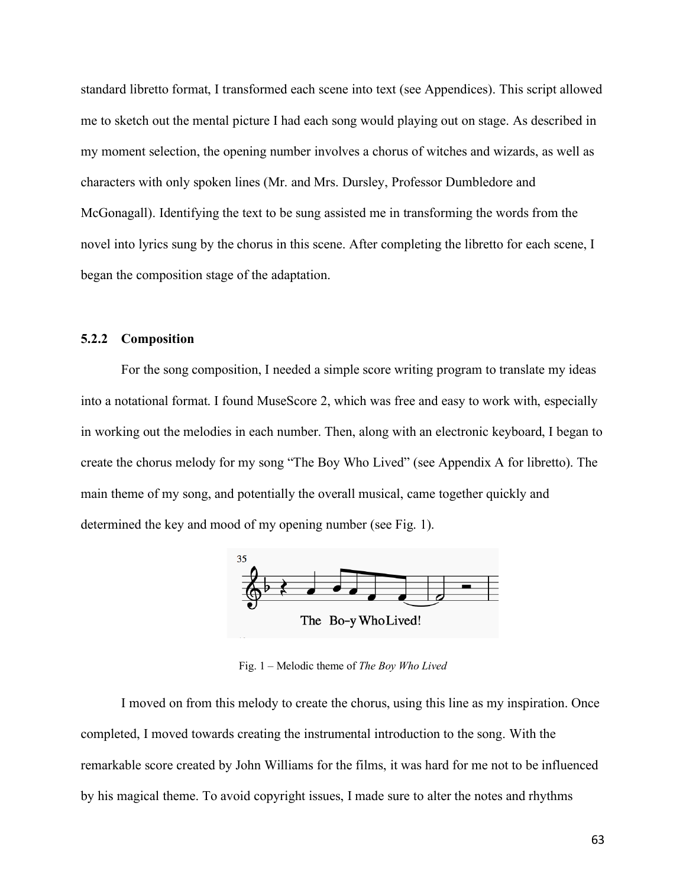standard libretto format, I transformed each scene into text (see Appendices). This script allowed me to sketch out the mental picture I had each song would playing out on stage. As described in my moment selection, the opening number involves a chorus of witches and wizards, as well as characters with only spoken lines (Mr. and Mrs. Dursley, Professor Dumbledore and McGonagall). Identifying the text to be sung assisted me in transforming the words from the novel into lyrics sung by the chorus in this scene. After completing the libretto for each scene, I began the composition stage of the adaptation.

## **5.2.2 Composition**

For the song composition, I needed a simple score writing program to translate my ideas into a notational format. I found MuseScore 2, which was free and easy to work with, especially in working out the melodies in each number. Then, along with an electronic keyboard, I began to create the chorus melody for my song "The Boy Who Lived" (see Appendix A for libretto). The main theme of my song, and potentially the overall musical, came together quickly and determined the key and mood of my opening number (see Fig. 1).



Fig. 1 – Melodic theme of *The Boy Who Lived*

I moved on from this melody to create the chorus, using this line as my inspiration. Once completed, I moved towards creating the instrumental introduction to the song. With the remarkable score created by John Williams for the films, it was hard for me not to be influenced by his magical theme. To avoid copyright issues, I made sure to alter the notes and rhythms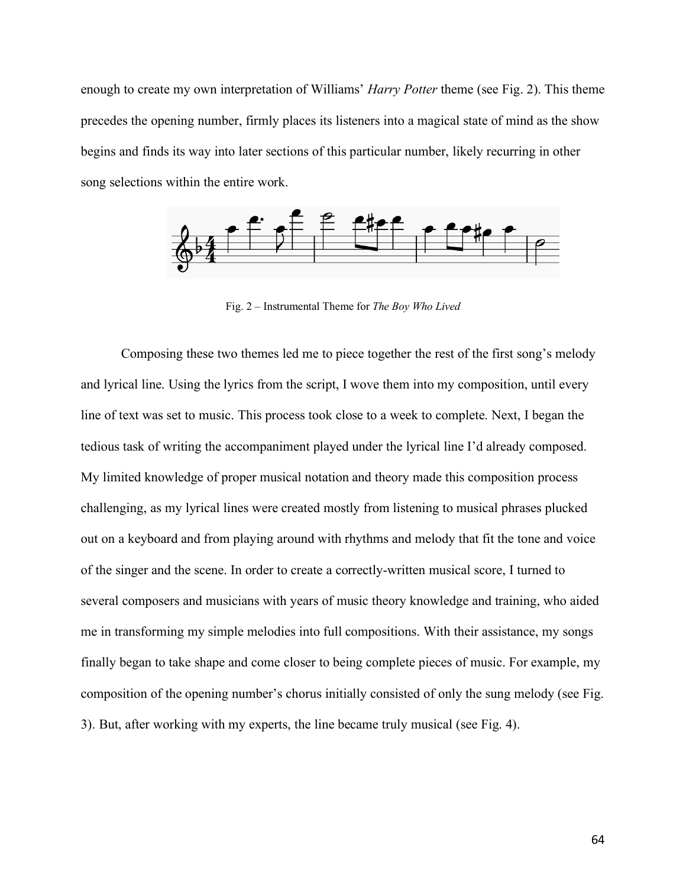enough to create my own interpretation of Williams' *Harry Potter* theme (see Fig. 2). This theme precedes the opening number, firmly places its listeners into a magical state of mind as the show begins and finds its way into later sections of this particular number, likely recurring in other song selections within the entire work.



Fig. 2 – Instrumental Theme for *The Boy Who Lived*

Composing these two themes led me to piece together the rest of the first song's melody and lyrical line. Using the lyrics from the script, I wove them into my composition, until every line of text was set to music. This process took close to a week to complete. Next, I began the tedious task of writing the accompaniment played under the lyrical line I'd already composed. My limited knowledge of proper musical notation and theory made this composition process challenging, as my lyrical lines were created mostly from listening to musical phrases plucked out on a keyboard and from playing around with rhythms and melody that fit the tone and voice of the singer and the scene. In order to create a correctly-written musical score, I turned to several composers and musicians with years of music theory knowledge and training, who aided me in transforming my simple melodies into full compositions. With their assistance, my songs finally began to take shape and come closer to being complete pieces of music. For example, my composition of the opening number's chorus initially consisted of only the sung melody (see Fig. 3). But, after working with my experts, the line became truly musical (see Fig. 4).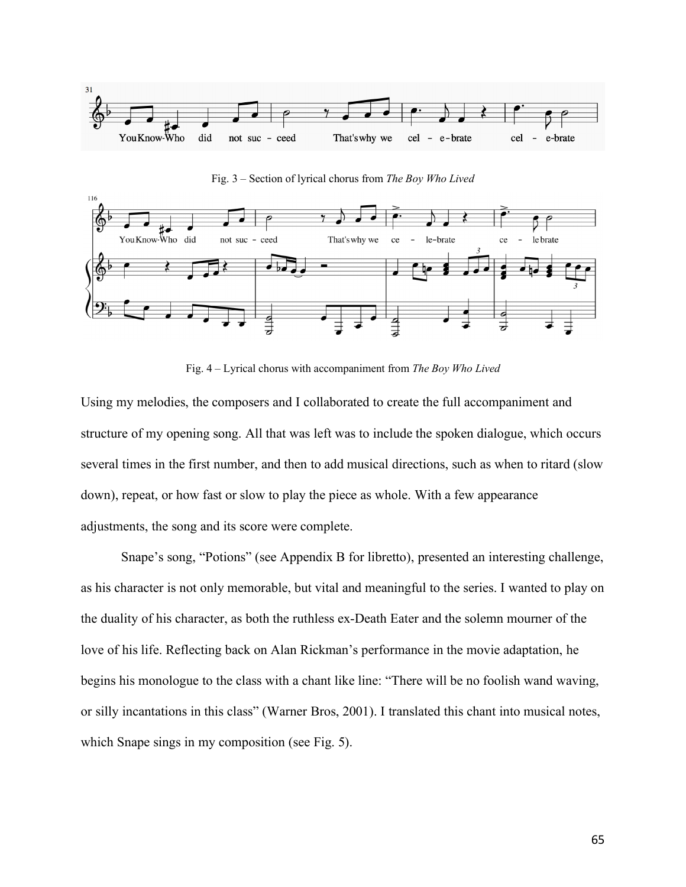

Fig. 3 – Section of lyrical chorus from *The Boy Who Lived*



Fig. 4 – Lyrical chorus with accompaniment from *The Boy Who Lived*

Using my melodies, the composers and I collaborated to create the full accompaniment and structure of my opening song. All that was left was to include the spoken dialogue, which occurs several times in the first number, and then to add musical directions, such as when to ritard (slow down), repeat, or how fast or slow to play the piece as whole. With a few appearance adjustments, the song and its score were complete.

Snape's song, "Potions" (see Appendix B for libretto), presented an interesting challenge, as his character is not only memorable, but vital and meaningful to the series. I wanted to play on the duality of his character, as both the ruthless ex-Death Eater and the solemn mourner of the love of his life. Reflecting back on Alan Rickman's performance in the movie adaptation, he begins his monologue to the class with a chant like line: "There will be no foolish wand waving, or silly incantations in this class" (Warner Bros, 2001). I translated this chant into musical notes, which Snape sings in my composition (see Fig. 5).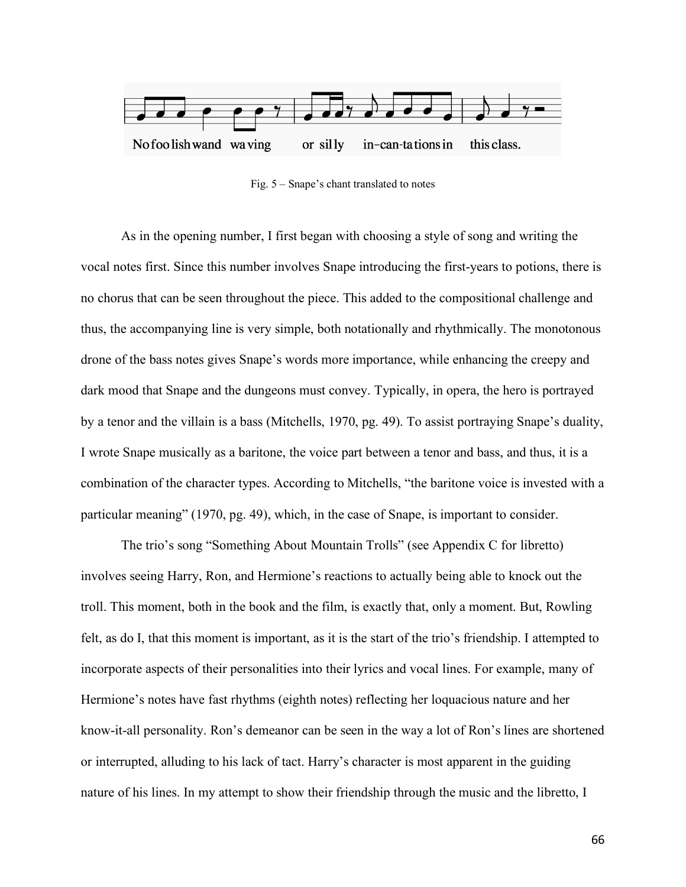

Fig. 5 – Snape's chant translated to notes

As in the opening number, I first began with choosing a style of song and writing the vocal notes first. Since this number involves Snape introducing the first-years to potions, there is no chorus that can be seen throughout the piece. This added to the compositional challenge and thus, the accompanying line is very simple, both notationally and rhythmically. The monotonous drone of the bass notes gives Snape's words more importance, while enhancing the creepy and dark mood that Snape and the dungeons must convey. Typically, in opera, the hero is portrayed by a tenor and the villain is a bass (Mitchells, 1970, pg. 49). To assist portraying Snape's duality, I wrote Snape musically as a baritone, the voice part between a tenor and bass, and thus, it is a combination of the character types. According to Mitchells, "the baritone voice is invested with a particular meaning" (1970, pg. 49), which, in the case of Snape, is important to consider.

The trio's song "Something About Mountain Trolls" (see Appendix C for libretto) involves seeing Harry, Ron, and Hermione's reactions to actually being able to knock out the troll. This moment, both in the book and the film, is exactly that, only a moment. But, Rowling felt, as do I, that this moment is important, as it is the start of the trio's friendship. I attempted to incorporate aspects of their personalities into their lyrics and vocal lines. For example, many of Hermione's notes have fast rhythms (eighth notes) reflecting her loquacious nature and her know-it-all personality. Ron's demeanor can be seen in the way a lot of Ron's lines are shortened or interrupted, alluding to his lack of tact. Harry's character is most apparent in the guiding nature of his lines. In my attempt to show their friendship through the music and the libretto, I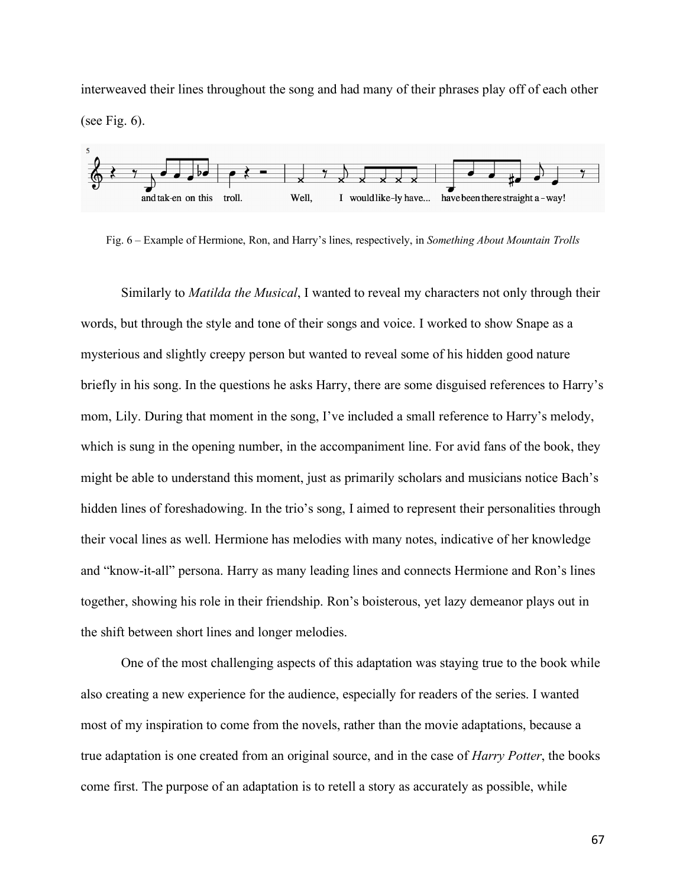interweaved their lines throughout the song and had many of their phrases play off of each other (see Fig. 6).



Fig. 6 – Example of Hermione, Ron, and Harry's lines, respectively, in *Something About Mountain Trolls*

Similarly to *Matilda the Musical*, I wanted to reveal my characters not only through their words, but through the style and tone of their songs and voice. I worked to show Snape as a mysterious and slightly creepy person but wanted to reveal some of his hidden good nature briefly in his song. In the questions he asks Harry, there are some disguised references to Harry's mom, Lily. During that moment in the song, I've included a small reference to Harry's melody, which is sung in the opening number, in the accompaniment line. For avid fans of the book, they might be able to understand this moment, just as primarily scholars and musicians notice Bach's hidden lines of foreshadowing. In the trio's song, I aimed to represent their personalities through their vocal lines as well. Hermione has melodies with many notes, indicative of her knowledge and "know-it-all" persona. Harry as many leading lines and connects Hermione and Ron's lines together, showing his role in their friendship. Ron's boisterous, yet lazy demeanor plays out in the shift between short lines and longer melodies.

One of the most challenging aspects of this adaptation was staying true to the book while also creating a new experience for the audience, especially for readers of the series. I wanted most of my inspiration to come from the novels, rather than the movie adaptations, because a true adaptation is one created from an original source, and in the case of *Harry Potter*, the books come first. The purpose of an adaptation is to retell a story as accurately as possible, while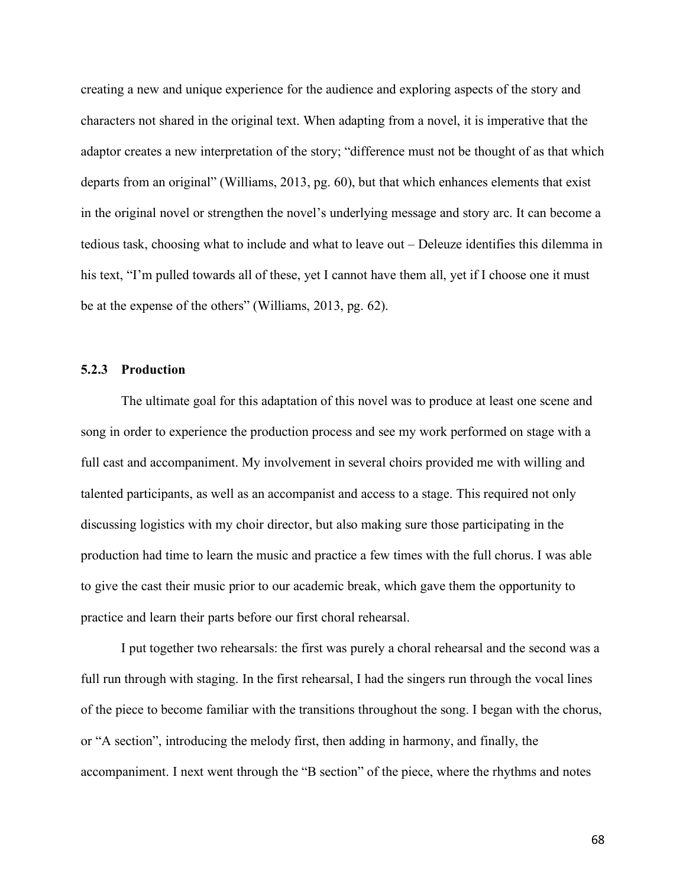creating a new and unique experience for the audience and exploring aspects of the story and characters not shared in the original text. When adapting from a novel, it is imperative that the adaptor creates a new interpretation of the story; "difference must not be thought of as that which departs from an original" (Williams, 2013, pg. 60), but that which enhances elements that exist in the original novel or strengthen the novel's underlying message and story arc. It can become a tedious task, choosing what to include and what to leave out – Deleuze identifies this dilemma in his text, "I'm pulled towards all of these, yet I cannot have them all, yet if I choose one it must be at the expense of the others" (Williams, 2013, pg. 62).

# **5.2.3 Production**

The ultimate goal for this adaptation of this novel was to produce at least one scene and song in order to experience the production process and see my work performed on stage with a full cast and accompaniment. My involvement in several choirs provided me with willing and talented participants, as well as an accompanist and access to a stage. This required not only discussing logistics with my choir director, but also making sure those participating in the production had time to learn the music and practice a few times with the full chorus. I was able to give the cast their music prior to our academic break, which gave them the opportunity to practice and learn their parts before our first choral rehearsal.

I put together two rehearsals: the first was purely a choral rehearsal and the second was a full run through with staging. In the first rehearsal, I had the singers run through the vocal lines of the piece to become familiar with the transitions throughout the song. I began with the chorus, or "A section", introducing the melody first, then adding in harmony, and finally, the accompaniment. I next went through the "B section" of the piece, where the rhythms and notes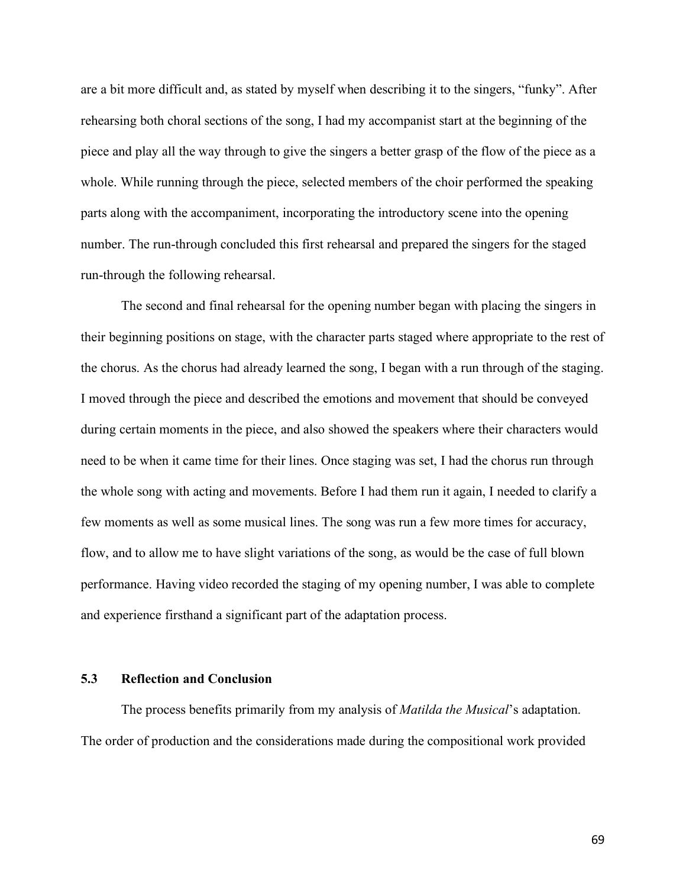are a bit more difficult and, as stated by myself when describing it to the singers, "funky". After rehearsing both choral sections of the song, I had my accompanist start at the beginning of the piece and play all the way through to give the singers a better grasp of the flow of the piece as a whole. While running through the piece, selected members of the choir performed the speaking parts along with the accompaniment, incorporating the introductory scene into the opening number. The run-through concluded this first rehearsal and prepared the singers for the staged run-through the following rehearsal.

The second and final rehearsal for the opening number began with placing the singers in their beginning positions on stage, with the character parts staged where appropriate to the rest of the chorus. As the chorus had already learned the song, I began with a run through of the staging. I moved through the piece and described the emotions and movement that should be conveyed during certain moments in the piece, and also showed the speakers where their characters would need to be when it came time for their lines. Once staging was set, I had the chorus run through the whole song with acting and movements. Before I had them run it again, I needed to clarify a few moments as well as some musical lines. The song was run a few more times for accuracy, flow, and to allow me to have slight variations of the song, as would be the case of full blown performance. Having video recorded the staging of my opening number, I was able to complete and experience firsthand a significant part of the adaptation process.

# **5.3 Reflection and Conclusion**

The process benefits primarily from my analysis of *Matilda the Musical*'s adaptation. The order of production and the considerations made during the compositional work provided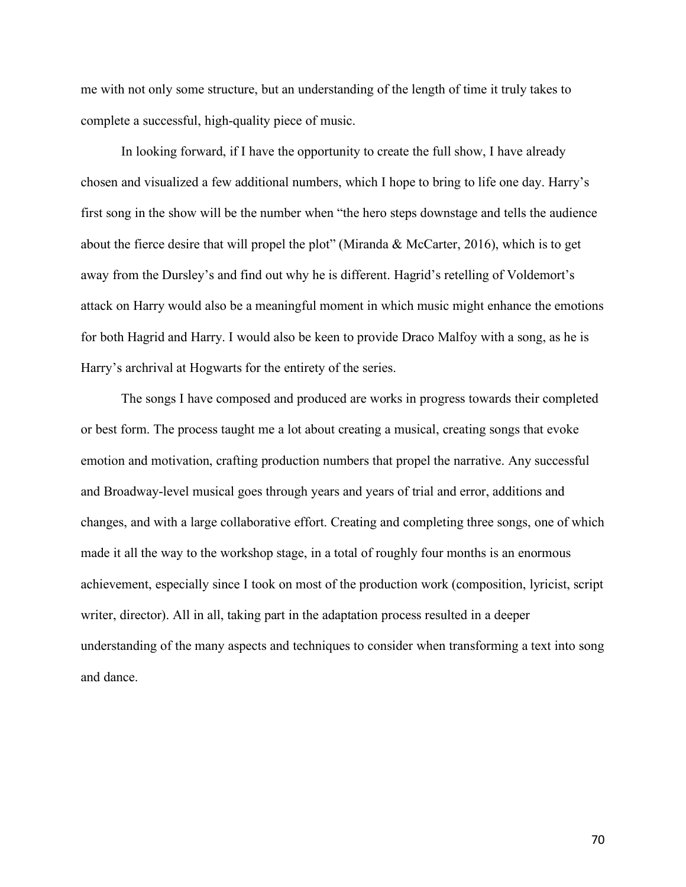me with not only some structure, but an understanding of the length of time it truly takes to complete a successful, high-quality piece of music.

In looking forward, if I have the opportunity to create the full show, I have already chosen and visualized a few additional numbers, which I hope to bring to life one day. Harry's first song in the show will be the number when "the hero steps downstage and tells the audience about the fierce desire that will propel the plot" (Miranda & McCarter, 2016), which is to get away from the Dursley's and find out why he is different. Hagrid's retelling of Voldemort's attack on Harry would also be a meaningful moment in which music might enhance the emotions for both Hagrid and Harry. I would also be keen to provide Draco Malfoy with a song, as he is Harry's archrival at Hogwarts for the entirety of the series.

The songs I have composed and produced are works in progress towards their completed or best form. The process taught me a lot about creating a musical, creating songs that evoke emotion and motivation, crafting production numbers that propel the narrative. Any successful and Broadway-level musical goes through years and years of trial and error, additions and changes, and with a large collaborative effort. Creating and completing three songs, one of which made it all the way to the workshop stage, in a total of roughly four months is an enormous achievement, especially since I took on most of the production work (composition, lyricist, script writer, director). All in all, taking part in the adaptation process resulted in a deeper understanding of the many aspects and techniques to consider when transforming a text into song and dance.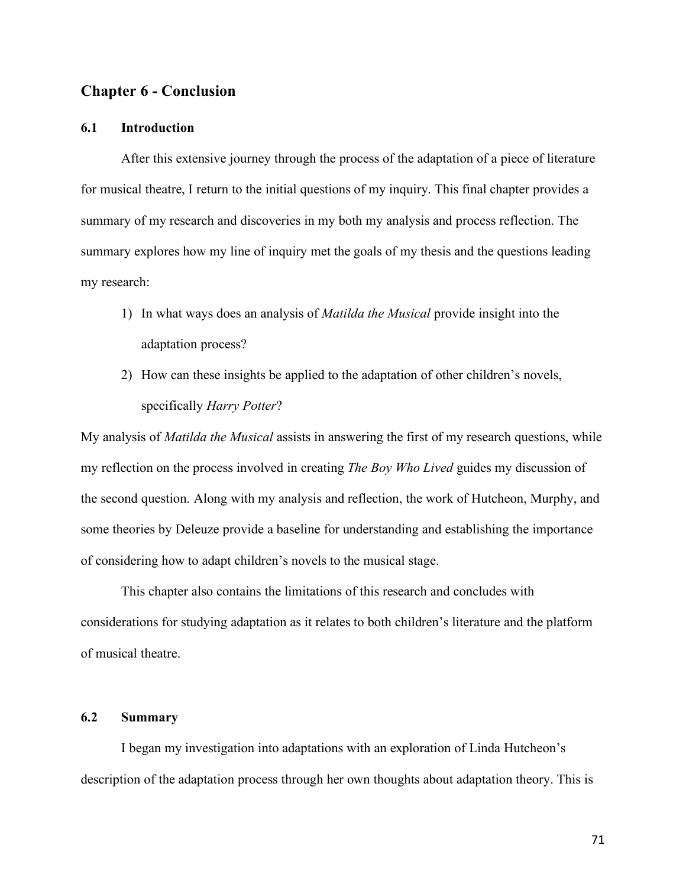# **Chapter 6 - Conclusion**

#### **6.1 Introduction**

After this extensive journey through the process of the adaptation of a piece of literature for musical theatre, I return to the initial questions of my inquiry. This final chapter provides a summary of my research and discoveries in my both my analysis and process reflection. The summary explores how my line of inquiry met the goals of my thesis and the questions leading my research:

- 1) In what ways does an analysis of *Matilda the Musical* provide insight into the adaptation process?
- 2) How can these insights be applied to the adaptation of other children's novels, specifically *Harry Potter*?

My analysis of *Matilda the Musical* assists in answering the first of my research questions, while my reflection on the process involved in creating *The Boy Who Lived* guides my discussion of the second question. Along with my analysis and reflection, the work of Hutcheon, Murphy, and some theories by Deleuze provide a baseline for understanding and establishing the importance of considering how to adapt children's novels to the musical stage.

This chapter also contains the limitations of this research and concludes with considerations for studying adaptation as it relates to both children's literature and the platform of musical theatre.

# **6.2 Summary**

I began my investigation into adaptations with an exploration of Linda Hutcheon's description of the adaptation process through her own thoughts about adaptation theory. This is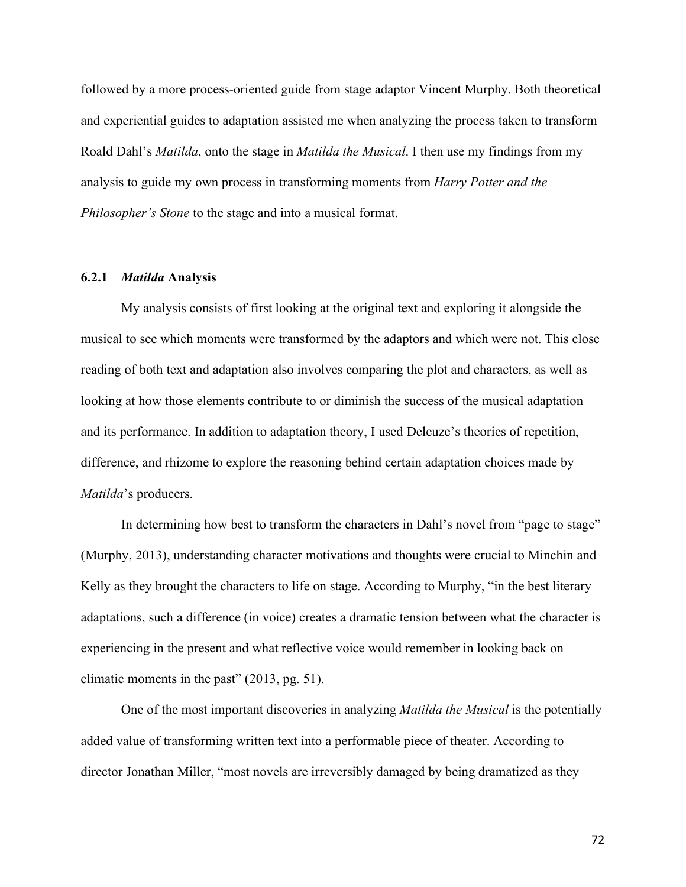followed by a more process-oriented guide from stage adaptor Vincent Murphy. Both theoretical and experiential guides to adaptation assisted me when analyzing the process taken to transform Roald Dahl's *Matilda*, onto the stage in *Matilda the Musical*. I then use my findings from my analysis to guide my own process in transforming moments from *Harry Potter and the Philosopher's Stone* to the stage and into a musical format.

## **6.2.1** *Matilda* **Analysis**

My analysis consists of first looking at the original text and exploring it alongside the musical to see which moments were transformed by the adaptors and which were not. This close reading of both text and adaptation also involves comparing the plot and characters, as well as looking at how those elements contribute to or diminish the success of the musical adaptation and its performance. In addition to adaptation theory, I used Deleuze's theories of repetition, difference, and rhizome to explore the reasoning behind certain adaptation choices made by *Matilda*'s producers.

In determining how best to transform the characters in Dahl's novel from "page to stage" (Murphy, 2013), understanding character motivations and thoughts were crucial to Minchin and Kelly as they brought the characters to life on stage. According to Murphy, "in the best literary adaptations, such a difference (in voice) creates a dramatic tension between what the character is experiencing in the present and what reflective voice would remember in looking back on climatic moments in the past" (2013, pg. 51).

One of the most important discoveries in analyzing *Matilda the Musical* is the potentially added value of transforming written text into a performable piece of theater. According to director Jonathan Miller, "most novels are irreversibly damaged by being dramatized as they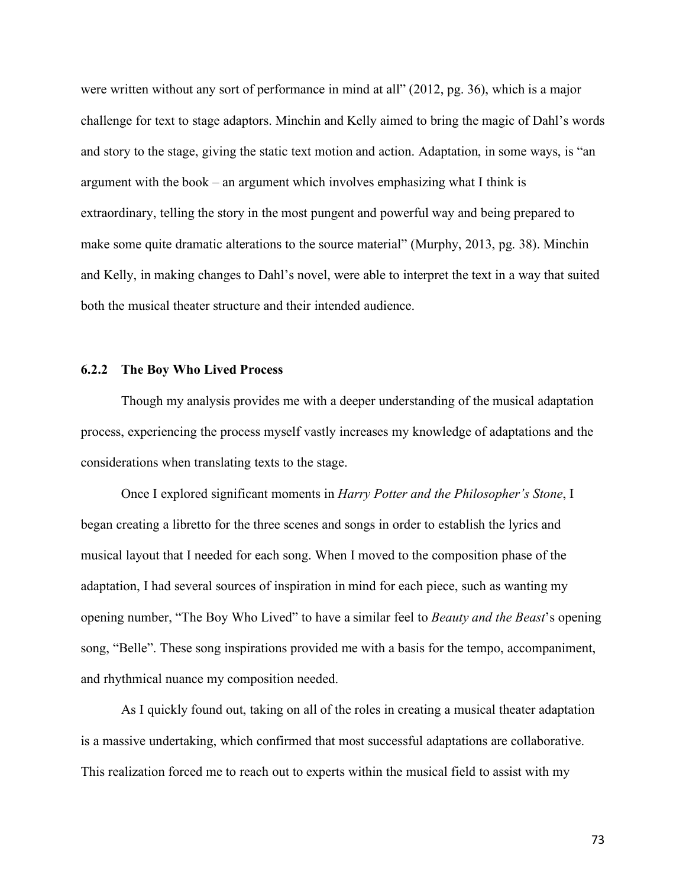were written without any sort of performance in mind at all" (2012, pg. 36), which is a major challenge for text to stage adaptors. Minchin and Kelly aimed to bring the magic of Dahl's words and story to the stage, giving the static text motion and action. Adaptation, in some ways, is "an argument with the book – an argument which involves emphasizing what I think is extraordinary, telling the story in the most pungent and powerful way and being prepared to make some quite dramatic alterations to the source material" (Murphy, 2013, pg. 38). Minchin and Kelly, in making changes to Dahl's novel, were able to interpret the text in a way that suited both the musical theater structure and their intended audience.

## **6.2.2 The Boy Who Lived Process**

Though my analysis provides me with a deeper understanding of the musical adaptation process, experiencing the process myself vastly increases my knowledge of adaptations and the considerations when translating texts to the stage.

Once I explored significant moments in *Harry Potter and the Philosopher's Stone*, I began creating a libretto for the three scenes and songs in order to establish the lyrics and musical layout that I needed for each song. When I moved to the composition phase of the adaptation, I had several sources of inspiration in mind for each piece, such as wanting my opening number, "The Boy Who Lived" to have a similar feel to *Beauty and the Beast*'s opening song, "Belle". These song inspirations provided me with a basis for the tempo, accompaniment, and rhythmical nuance my composition needed.

As I quickly found out, taking on all of the roles in creating a musical theater adaptation is a massive undertaking, which confirmed that most successful adaptations are collaborative. This realization forced me to reach out to experts within the musical field to assist with my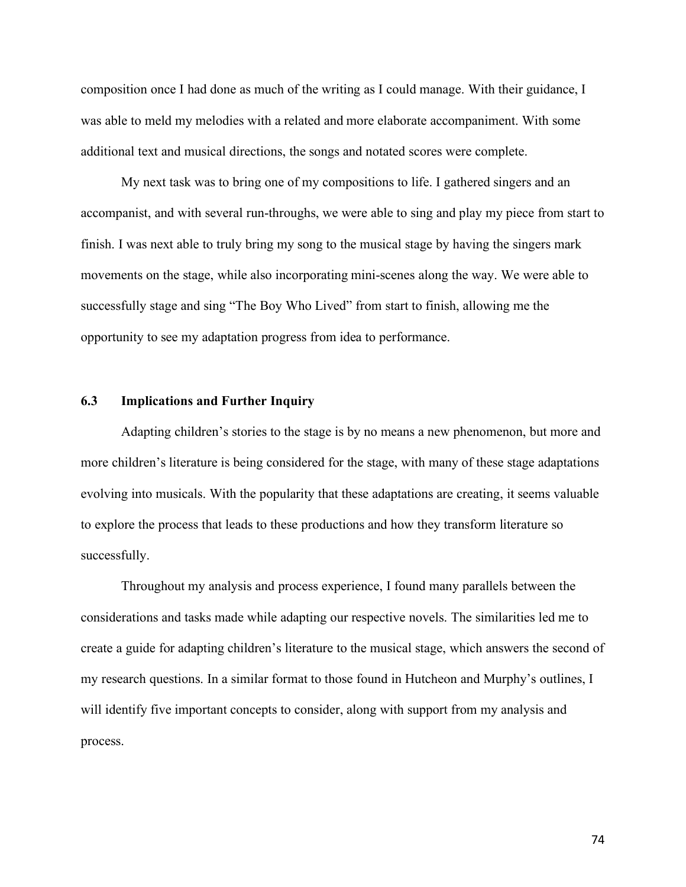composition once I had done as much of the writing as I could manage. With their guidance, I was able to meld my melodies with a related and more elaborate accompaniment. With some additional text and musical directions, the songs and notated scores were complete.

My next task was to bring one of my compositions to life. I gathered singers and an accompanist, and with several run-throughs, we were able to sing and play my piece from start to finish. I was next able to truly bring my song to the musical stage by having the singers mark movements on the stage, while also incorporating mini-scenes along the way. We were able to successfully stage and sing "The Boy Who Lived" from start to finish, allowing me the opportunity to see my adaptation progress from idea to performance.

# **6.3 Implications and Further Inquiry**

Adapting children's stories to the stage is by no means a new phenomenon, but more and more children's literature is being considered for the stage, with many of these stage adaptations evolving into musicals. With the popularity that these adaptations are creating, it seems valuable to explore the process that leads to these productions and how they transform literature so successfully.

Throughout my analysis and process experience, I found many parallels between the considerations and tasks made while adapting our respective novels. The similarities led me to create a guide for adapting children's literature to the musical stage, which answers the second of my research questions. In a similar format to those found in Hutcheon and Murphy's outlines, I will identify five important concepts to consider, along with support from my analysis and process.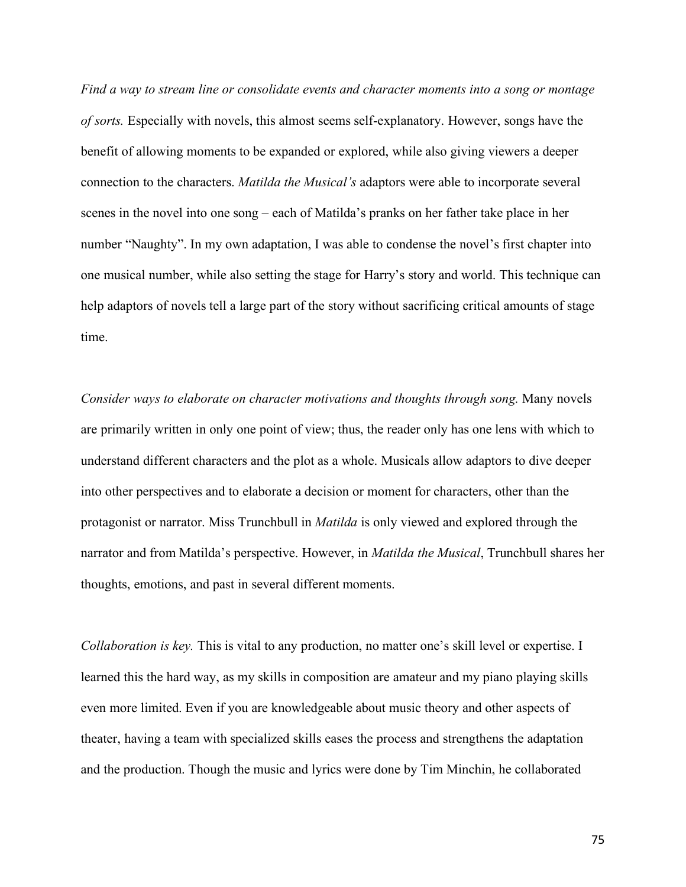*Find a way to stream line or consolidate events and character moments into a song or montage of sorts.* Especially with novels, this almost seems self-explanatory. However, songs have the benefit of allowing moments to be expanded or explored, while also giving viewers a deeper connection to the characters. *Matilda the Musical's* adaptors were able to incorporate several scenes in the novel into one song – each of Matilda's pranks on her father take place in her number "Naughty". In my own adaptation, I was able to condense the novel's first chapter into one musical number, while also setting the stage for Harry's story and world. This technique can help adaptors of novels tell a large part of the story without sacrificing critical amounts of stage time.

*Consider ways to elaborate on character motivations and thoughts through song.* Many novels are primarily written in only one point of view; thus, the reader only has one lens with which to understand different characters and the plot as a whole. Musicals allow adaptors to dive deeper into other perspectives and to elaborate a decision or moment for characters, other than the protagonist or narrator. Miss Trunchbull in *Matilda* is only viewed and explored through the narrator and from Matilda's perspective. However, in *Matilda the Musical*, Trunchbull shares her thoughts, emotions, and past in several different moments.

*Collaboration is key.* This is vital to any production, no matter one's skill level or expertise. I learned this the hard way, as my skills in composition are amateur and my piano playing skills even more limited. Even if you are knowledgeable about music theory and other aspects of theater, having a team with specialized skills eases the process and strengthens the adaptation and the production. Though the music and lyrics were done by Tim Minchin, he collaborated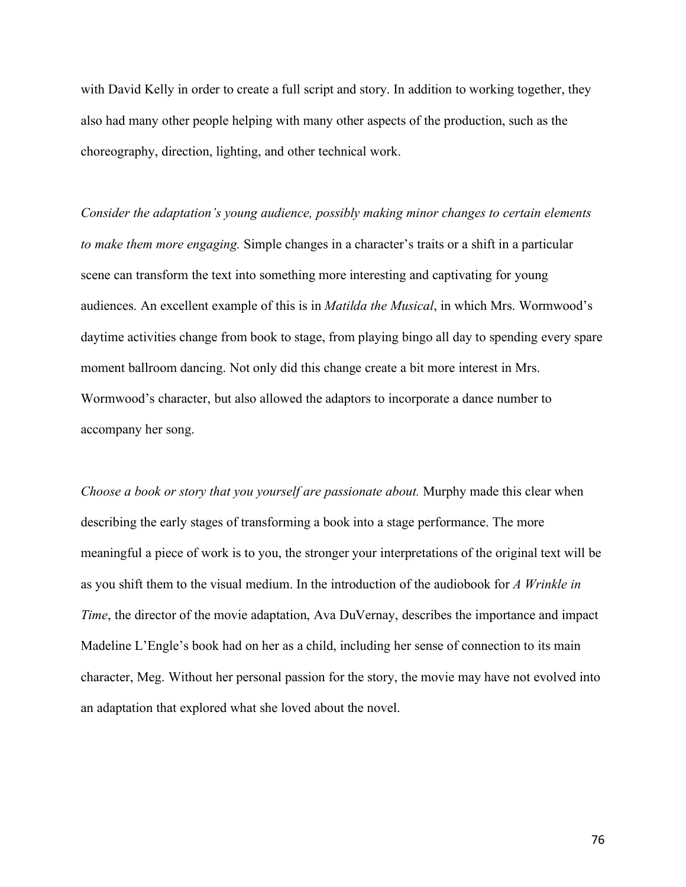with David Kelly in order to create a full script and story. In addition to working together, they also had many other people helping with many other aspects of the production, such as the choreography, direction, lighting, and other technical work.

*Consider the adaptation's young audience, possibly making minor changes to certain elements to make them more engaging.* Simple changes in a character's traits or a shift in a particular scene can transform the text into something more interesting and captivating for young audiences. An excellent example of this is in *Matilda the Musical*, in which Mrs. Wormwood's daytime activities change from book to stage, from playing bingo all day to spending every spare moment ballroom dancing. Not only did this change create a bit more interest in Mrs. Wormwood's character, but also allowed the adaptors to incorporate a dance number to accompany her song.

*Choose a book or story that you yourself are passionate about.* Murphy made this clear when describing the early stages of transforming a book into a stage performance. The more meaningful a piece of work is to you, the stronger your interpretations of the original text will be as you shift them to the visual medium. In the introduction of the audiobook for *A Wrinkle in Time*, the director of the movie adaptation, Ava DuVernay, describes the importance and impact Madeline L'Engle's book had on her as a child, including her sense of connection to its main character, Meg. Without her personal passion for the story, the movie may have not evolved into an adaptation that explored what she loved about the novel.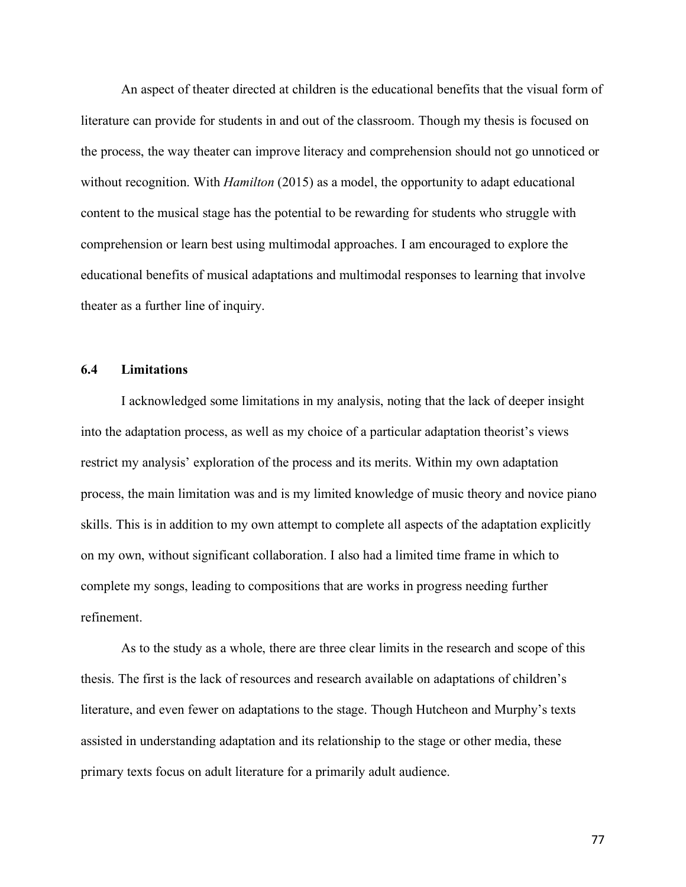An aspect of theater directed at children is the educational benefits that the visual form of literature can provide for students in and out of the classroom. Though my thesis is focused on the process, the way theater can improve literacy and comprehension should not go unnoticed or without recognition. With *Hamilton* (2015) as a model, the opportunity to adapt educational content to the musical stage has the potential to be rewarding for students who struggle with comprehension or learn best using multimodal approaches. I am encouraged to explore the educational benefits of musical adaptations and multimodal responses to learning that involve theater as a further line of inquiry.

# **6.4 Limitations**

I acknowledged some limitations in my analysis, noting that the lack of deeper insight into the adaptation process, as well as my choice of a particular adaptation theorist's views restrict my analysis' exploration of the process and its merits. Within my own adaptation process, the main limitation was and is my limited knowledge of music theory and novice piano skills. This is in addition to my own attempt to complete all aspects of the adaptation explicitly on my own, without significant collaboration. I also had a limited time frame in which to complete my songs, leading to compositions that are works in progress needing further refinement.

As to the study as a whole, there are three clear limits in the research and scope of this thesis. The first is the lack of resources and research available on adaptations of children's literature, and even fewer on adaptations to the stage. Though Hutcheon and Murphy's texts assisted in understanding adaptation and its relationship to the stage or other media, these primary texts focus on adult literature for a primarily adult audience.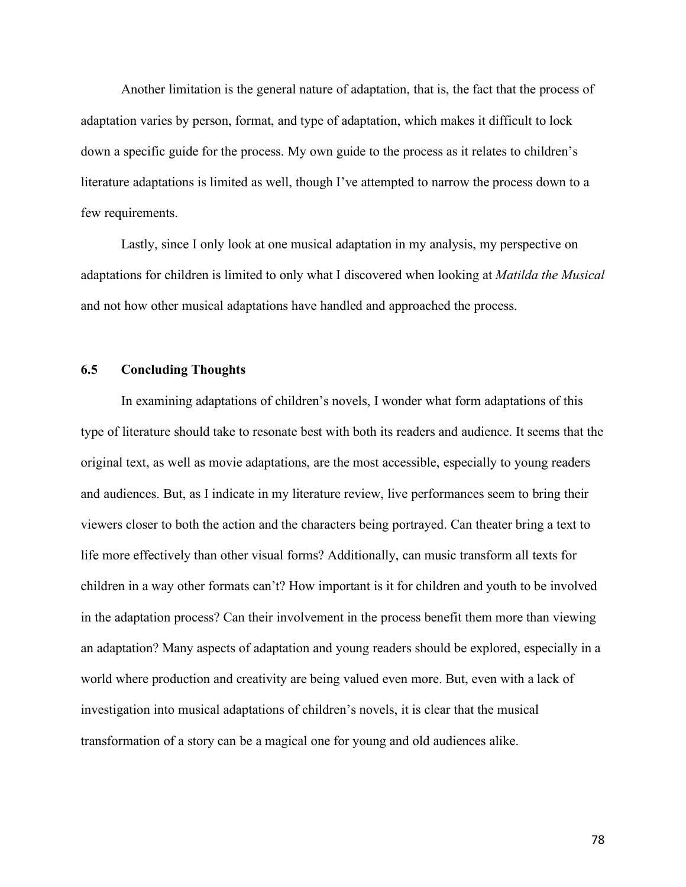Another limitation is the general nature of adaptation, that is, the fact that the process of adaptation varies by person, format, and type of adaptation, which makes it difficult to lock down a specific guide for the process. My own guide to the process as it relates to children's literature adaptations is limited as well, though I've attempted to narrow the process down to a few requirements.

Lastly, since I only look at one musical adaptation in my analysis, my perspective on adaptations for children is limited to only what I discovered when looking at *Matilda the Musical* and not how other musical adaptations have handled and approached the process.

## **6.5 Concluding Thoughts**

In examining adaptations of children's novels, I wonder what form adaptations of this type of literature should take to resonate best with both its readers and audience. It seems that the original text, as well as movie adaptations, are the most accessible, especially to young readers and audiences. But, as I indicate in my literature review, live performances seem to bring their viewers closer to both the action and the characters being portrayed. Can theater bring a text to life more effectively than other visual forms? Additionally, can music transform all texts for children in a way other formats can't? How important is it for children and youth to be involved in the adaptation process? Can their involvement in the process benefit them more than viewing an adaptation? Many aspects of adaptation and young readers should be explored, especially in a world where production and creativity are being valued even more. But, even with a lack of investigation into musical adaptations of children's novels, it is clear that the musical transformation of a story can be a magical one for young and old audiences alike.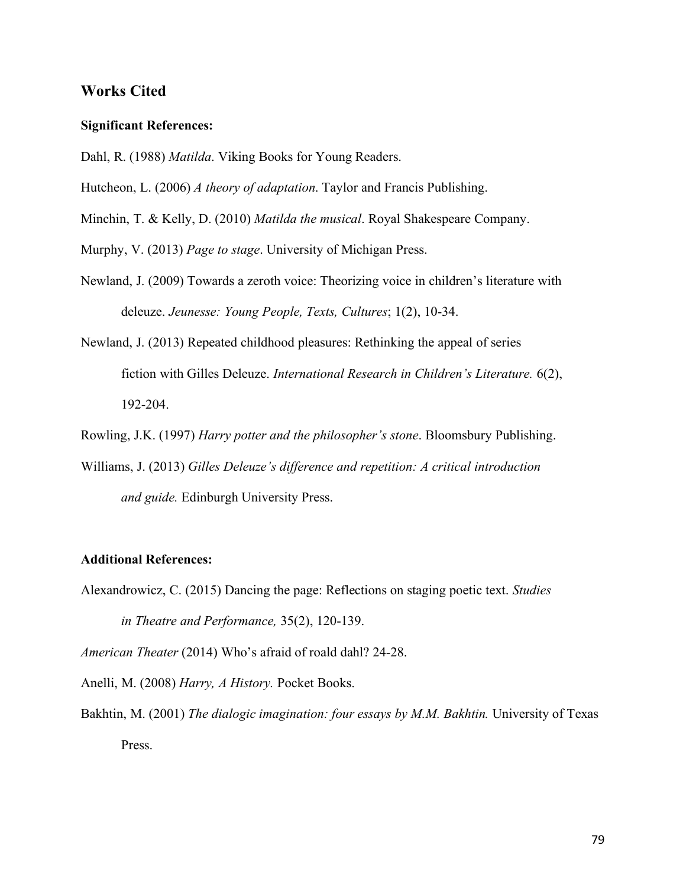# **Works Cited**

# **Significant References:**

- Dahl, R. (1988) *Matilda*. Viking Books for Young Readers.
- Hutcheon, L. (2006) *A theory of adaptation*. Taylor and Francis Publishing.
- Minchin, T. & Kelly, D. (2010) *Matilda the musical*. Royal Shakespeare Company.
- Murphy, V. (2013) *Page to stage*. University of Michigan Press.
- Newland, J. (2009) Towards a zeroth voice: Theorizing voice in children's literature with deleuze. *Jeunesse: Young People, Texts, Cultures*; 1(2), 10-34.
- Newland, J. (2013) Repeated childhood pleasures: Rethinking the appeal of series fiction with Gilles Deleuze. *International Research in Children's Literature.* 6(2), 192-204.
- Rowling, J.K. (1997) *Harry potter and the philosopher's stone*. Bloomsbury Publishing.
- Williams, J. (2013) *Gilles Deleuze's difference and repetition: A critical introduction and guide.* Edinburgh University Press.

### **Additional References:**

- Alexandrowicz, C. (2015) Dancing the page: Reflections on staging poetic text. *Studies in Theatre and Performance,* 35(2), 120-139.
- *American Theater* (2014) Who's afraid of roald dahl? 24-28.
- Anelli, M. (2008) *Harry, A History.* Pocket Books.
- Bakhtin, M. (2001) *The dialogic imagination: four essays by M.M. Bakhtin.* University of Texas Press.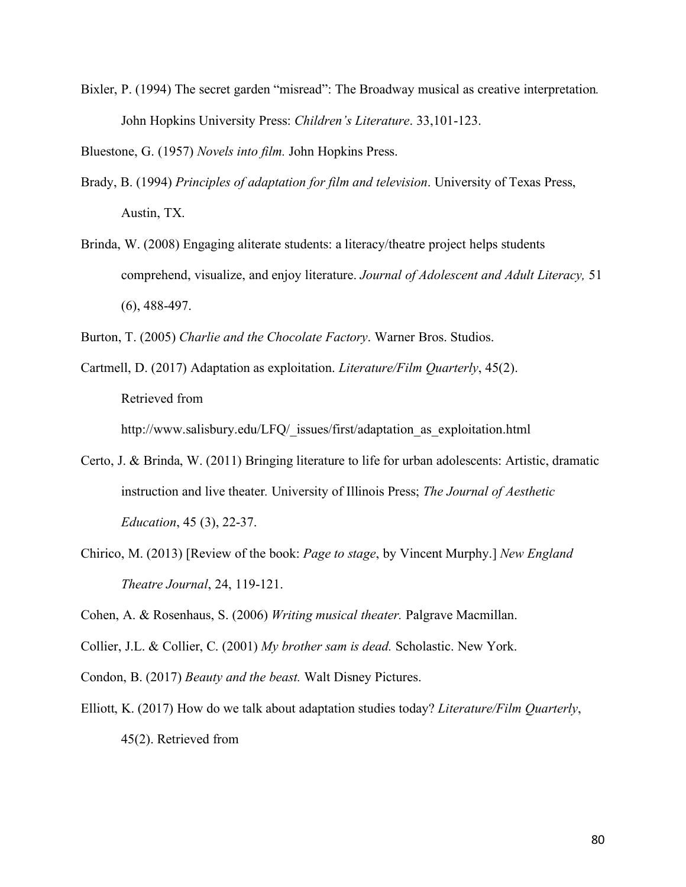Bixler, P. (1994) The secret garden "misread": The Broadway musical as creative interpretation*.*  John Hopkins University Press: *Children's Literature*. 33,101-123.

Bluestone, G. (1957) *Novels into film.* John Hopkins Press.

- Brady, B. (1994) *Principles of adaptation for film and television*. University of Texas Press, Austin, TX.
- Brinda, W. (2008) Engaging aliterate students: a literacy/theatre project helps students comprehend, visualize, and enjoy literature. *Journal of Adolescent and Adult Literacy,* 51 (6), 488-497.

Burton, T. (2005) *Charlie and the Chocolate Factory*. Warner Bros. Studios.

Cartmell, D. (2017) Adaptation as exploitation. *Literature/Film Quarterly*, 45(2). Retrieved from

http://www.salisbury.edu/LFQ/ issues/first/adaptation as exploitation.html

- Certo, J. & Brinda, W. (2011) Bringing literature to life for urban adolescents: Artistic, dramatic instruction and live theater*.* University of Illinois Press; *The Journal of Aesthetic Education*, 45 (3), 22-37.
- Chirico, M. (2013) [Review of the book: *Page to stage*, by Vincent Murphy.] *New England Theatre Journal*, 24, 119-121.

Cohen, A. & Rosenhaus, S. (2006) *Writing musical theater.* Palgrave Macmillan.

Collier, J.L. & Collier, C. (2001) *My brother sam is dead.* Scholastic. New York.

Condon, B. (2017) *Beauty and the beast.* Walt Disney Pictures.

Elliott, K. (2017) How do we talk about adaptation studies today? *Literature/Film Quarterly*, 45(2). Retrieved from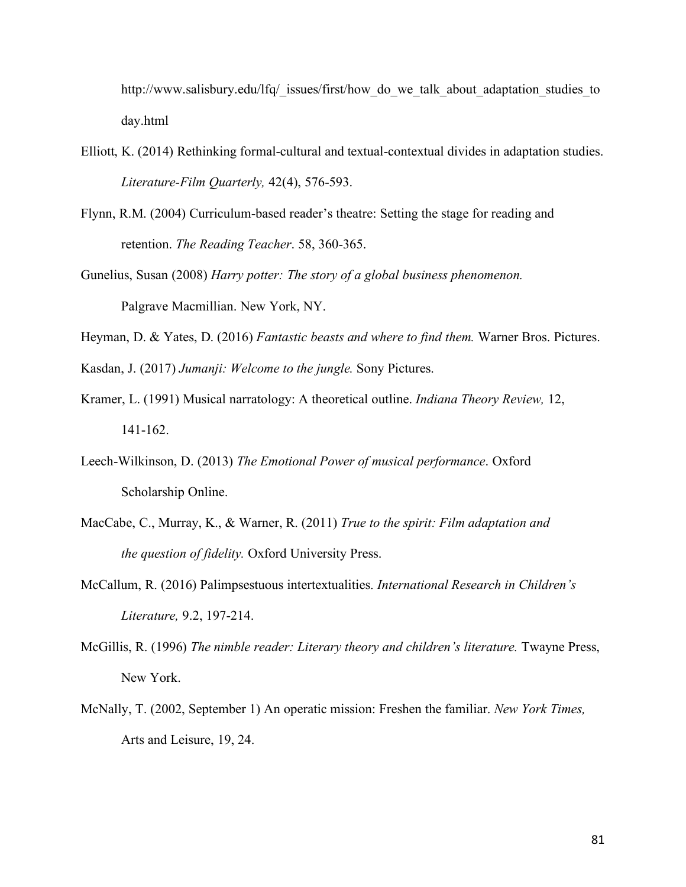http://www.salisbury.edu/lfq/\_issues/first/how\_do\_we\_talk\_about\_adaptation\_studies\_to day.html

- Elliott, K. (2014) Rethinking formal-cultural and textual-contextual divides in adaptation studies. *Literature-Film Quarterly,* 42(4), 576-593.
- Flynn, R.M. (2004) Curriculum-based reader's theatre: Setting the stage for reading and retention. *The Reading Teacher*. 58, 360-365.
- Gunelius, Susan (2008) *Harry potter: The story of a global business phenomenon.* Palgrave Macmillian. New York, NY.

Heyman, D. & Yates, D. (2016) *Fantastic beasts and where to find them.* Warner Bros. Pictures.

Kasdan, J. (2017) *Jumanji: Welcome to the jungle.* Sony Pictures.

- Kramer, L. (1991) Musical narratology: A theoretical outline. *Indiana Theory Review,* 12, 141-162.
- Leech-Wilkinson, D. (2013) *The Emotional Power of musical performance*. Oxford Scholarship Online.
- MacCabe, C., Murray, K., & Warner, R. (2011) *True to the spirit: Film adaptation and the question of fidelity.* Oxford University Press.
- McCallum, R. (2016) Palimpsestuous intertextualities. *International Research in Children's Literature,* 9.2, 197-214.
- McGillis, R. (1996) *The nimble reader: Literary theory and children's literature.* Twayne Press, New York.
- McNally, T. (2002, September 1) An operatic mission: Freshen the familiar. *New York Times,*  Arts and Leisure, 19, 24.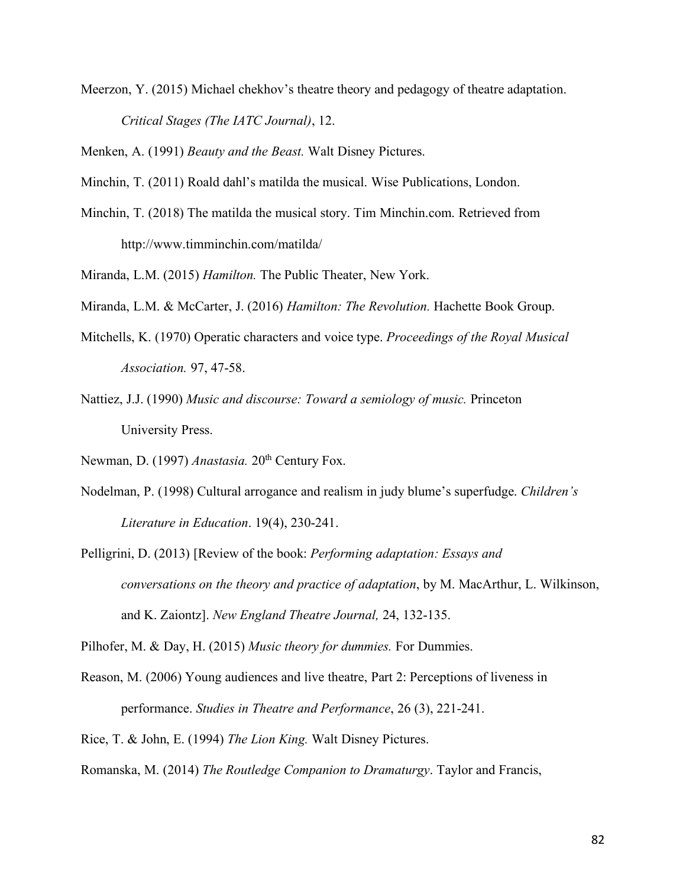Meerzon, Y. (2015) Michael chekhov's theatre theory and pedagogy of theatre adaptation. *Critical Stages (The IATC Journal)*, 12.

Menken, A. (1991) *Beauty and the Beast.* Walt Disney Pictures.

Minchin, T. (2011) Roald dahl's matilda the musical. Wise Publications, London.

Minchin, T. (2018) The matilda the musical story. Tim Minchin.com. Retrieved from http://www.timminchin.com/matilda/

Miranda, L.M. (2015) *Hamilton.* The Public Theater, New York.

Miranda, L.M. & McCarter, J. (2016) *Hamilton: The Revolution.* Hachette Book Group.

- Mitchells, K. (1970) Operatic characters and voice type. *Proceedings of the Royal Musical Association.* 97, 47-58.
- Nattiez, J.J. (1990) *Music and discourse: Toward a semiology of music.* Princeton University Press.
- Newman, D. (1997) *Anastasia*. 20<sup>th</sup> Century Fox.
- Nodelman, P. (1998) Cultural arrogance and realism in judy blume's superfudge. *Children's Literature in Education*. 19(4), 230-241.
- Pelligrini, D. (2013) [Review of the book: *Performing adaptation: Essays and conversations on the theory and practice of adaptation*, by M. MacArthur, L. Wilkinson, and K. Zaiontz]. *New England Theatre Journal,* 24, 132-135.

Pilhofer, M. & Day, H. (2015) *Music theory for dummies.* For Dummies.

- Reason, M. (2006) Young audiences and live theatre, Part 2: Perceptions of liveness in performance. *Studies in Theatre and Performance*, 26 (3), 221-241.
- Rice, T. & John, E. (1994) *The Lion King.* Walt Disney Pictures.

Romanska, M. (2014) *The Routledge Companion to Dramaturgy*. Taylor and Francis,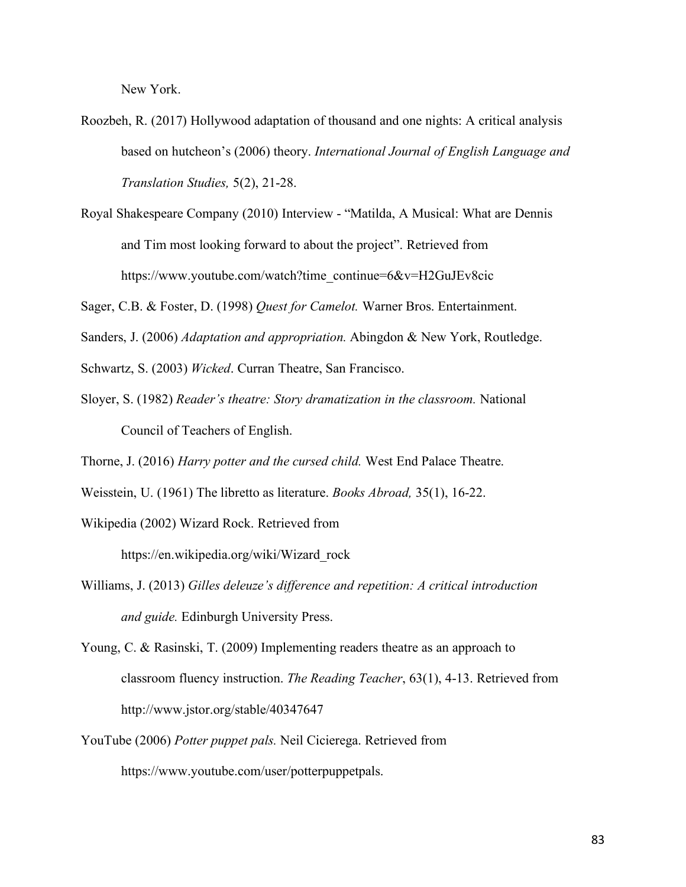New York.

- Roozbeh, R. (2017) Hollywood adaptation of thousand and one nights: A critical analysis based on hutcheon's (2006) theory. *International Journal of English Language and Translation Studies,* 5(2), 21-28.
- Royal Shakespeare Company (2010) Interview "Matilda, A Musical: What are Dennis and Tim most looking forward to about the project". Retrieved from https://www.youtube.com/watch?time\_continue=6&v=H2GuJEv8cic

Sager, C.B. & Foster, D. (1998) *Quest for Camelot.* Warner Bros. Entertainment.

- Sanders, J. (2006) *Adaptation and appropriation.* Abingdon & New York, Routledge.
- Schwartz, S. (2003) *Wicked*. Curran Theatre, San Francisco.
- Sloyer, S. (1982) *Reader's theatre: Story dramatization in the classroom.* National Council of Teachers of English.

Thorne, J. (2016) *Harry potter and the cursed child.* West End Palace Theatre.

Weisstein, U. (1961) The libretto as literature. *Books Abroad,* 35(1), 16-22.

Wikipedia (2002) Wizard Rock. Retrieved from

https://en.wikipedia.org/wiki/Wizard\_rock

- Williams, J. (2013) *Gilles deleuze's difference and repetition: A critical introduction and guide.* Edinburgh University Press.
- Young, C. & Rasinski, T. (2009) Implementing readers theatre as an approach to classroom fluency instruction. *The Reading Teacher*, 63(1), 4-13. Retrieved from http://www.jstor.org/stable/40347647
- YouTube (2006) *Potter puppet pals.* Neil Cicierega. Retrieved from https://www.youtube.com/user/potterpuppetpals.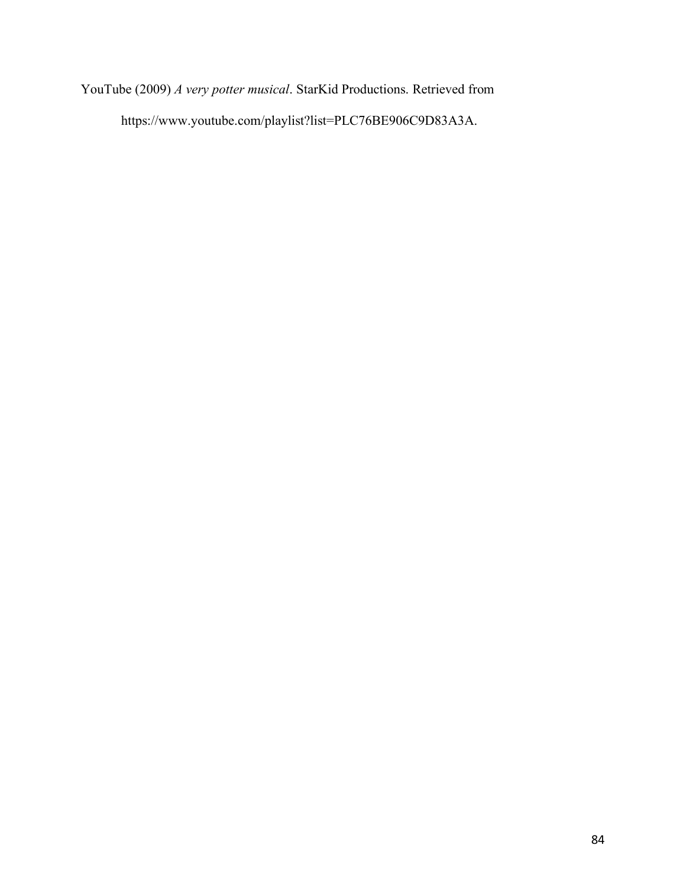YouTube (2009) *A very potter musical*. StarKid Productions. Retrieved from https://www.youtube.com/playlist?list=PLC76BE906C9D83A3A.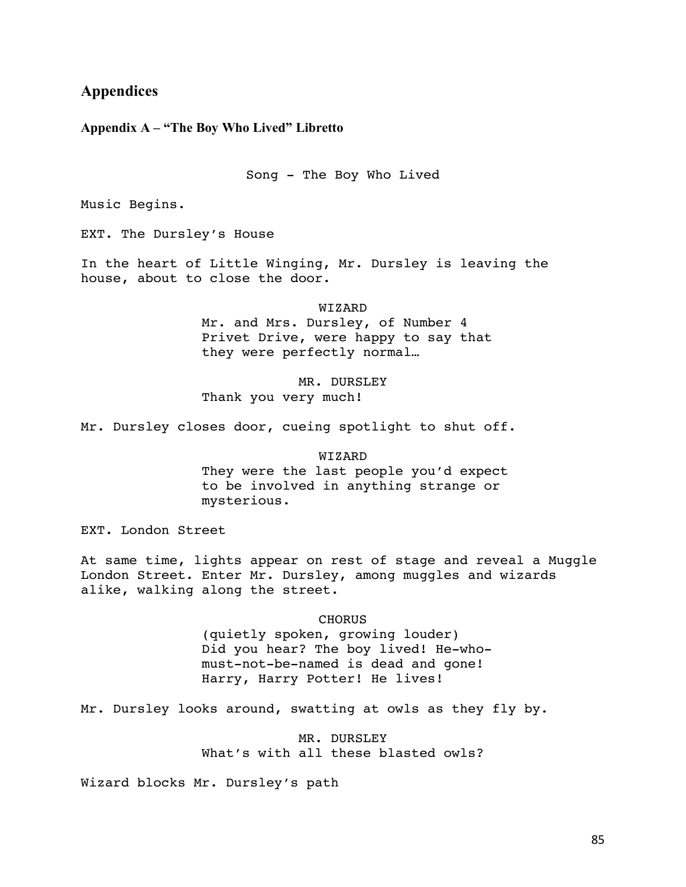# **Appendices**

**Appendix A – "The Boy Who Lived" Libretto**

Song - The Boy Who Lived

Music Begins.

EXT. The Dursley's House

In the heart of Little Winging, Mr. Dursley is leaving the house, about to close the door.

> WIZARD Mr. and Mrs. Dursley, of Number 4

Privet Drive, were happy to say that they were perfectly normal…

MR. DURSLEY Thank you very much!

Mr. Dursley closes door, cueing spotlight to shut off.

WIZARD They were the last people you'd expect to be involved in anything strange or mysterious.

EXT. London Street

At same time, lights appear on rest of stage and reveal a Muggle London Street. Enter Mr. Dursley, among muggles and wizards alike, walking along the street.

#### **CHORUS**

(quietly spoken, growing louder) Did you hear? The boy lived! He-whomust-not-be-named is dead and gone! Harry, Harry Potter! He lives!

Mr. Dursley looks around, swatting at owls as they fly by.

MR. DURSLEY What's with all these blasted owls?

Wizard blocks Mr. Dursley's path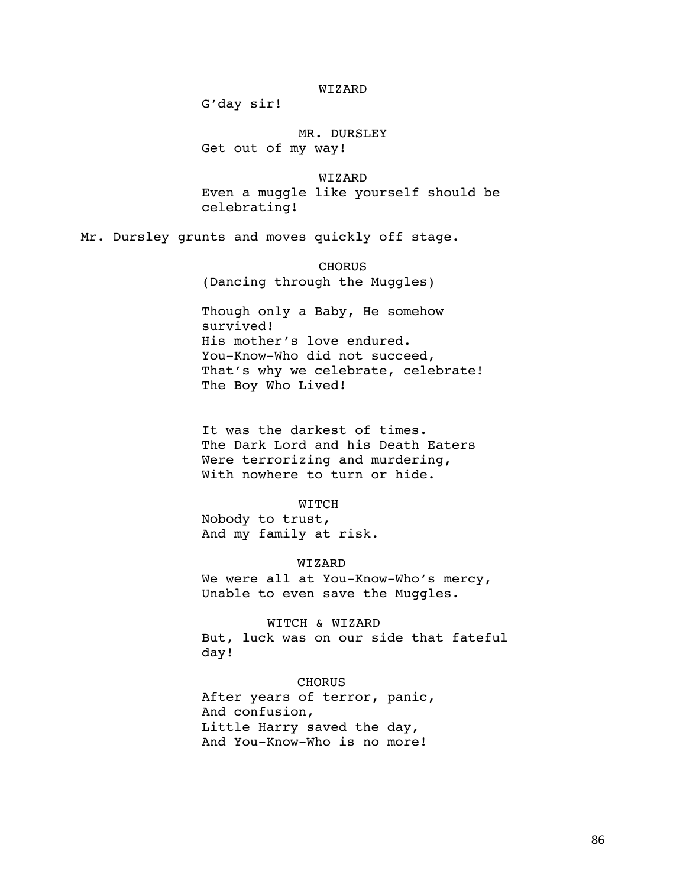#### WIZARD

G'day sir!

MR. DURSLEY Get out of my way!

WIZARD Even a muggle like yourself should be celebrating!

Mr. Dursley grunts and moves quickly off stage.

**CHORUS** (Dancing through the Muggles)

Though only a Baby, He somehow survived! His mother's love endured. You-Know-Who did not succeed, That's why we celebrate, celebrate! The Boy Who Lived!

It was the darkest of times. The Dark Lord and his Death Eaters Were terrorizing and murdering, With nowhere to turn or hide.

WITCH

Nobody to trust, And my family at risk.

WIZARD

We were all at You-Know-Who's mercy, Unable to even save the Muggles.

WITCH & WIZARD But, luck was on our side that fateful day!

CHORUS After years of terror, panic, And confusion, Little Harry saved the day, And You-Know-Who is no more!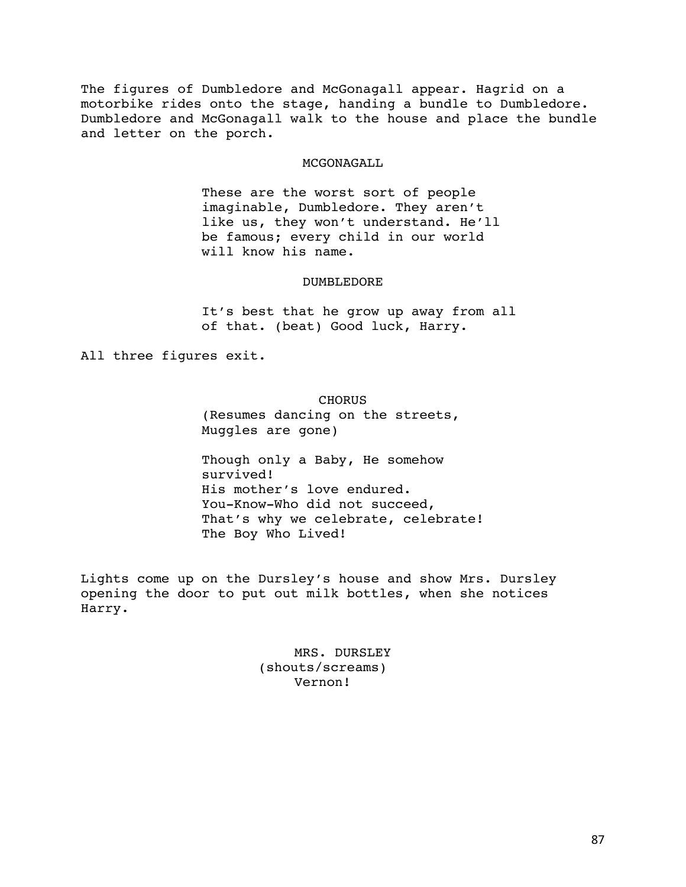The figures of Dumbledore and McGonagall appear. Hagrid on a motorbike rides onto the stage, handing a bundle to Dumbledore. Dumbledore and McGonagall walk to the house and place the bundle and letter on the porch.

#### MCGONAGALL

These are the worst sort of people imaginable, Dumbledore. They aren't like us, they won't understand. He'll be famous; every child in our world will know his name.

#### DUMBLEDORE

It's best that he grow up away from all of that. (beat) Good luck, Harry.

All three figures exit.

### **CHORUS**

(Resumes dancing on the streets, Muggles are gone)

Though only a Baby, He somehow survived! His mother's love endured. You-Know-Who did not succeed, That's why we celebrate, celebrate! The Boy Who Lived!

Lights come up on the Dursley's house and show Mrs. Dursley opening the door to put out milk bottles, when she notices Harry.

> MRS. DURSLEY (shouts/screams) Vernon!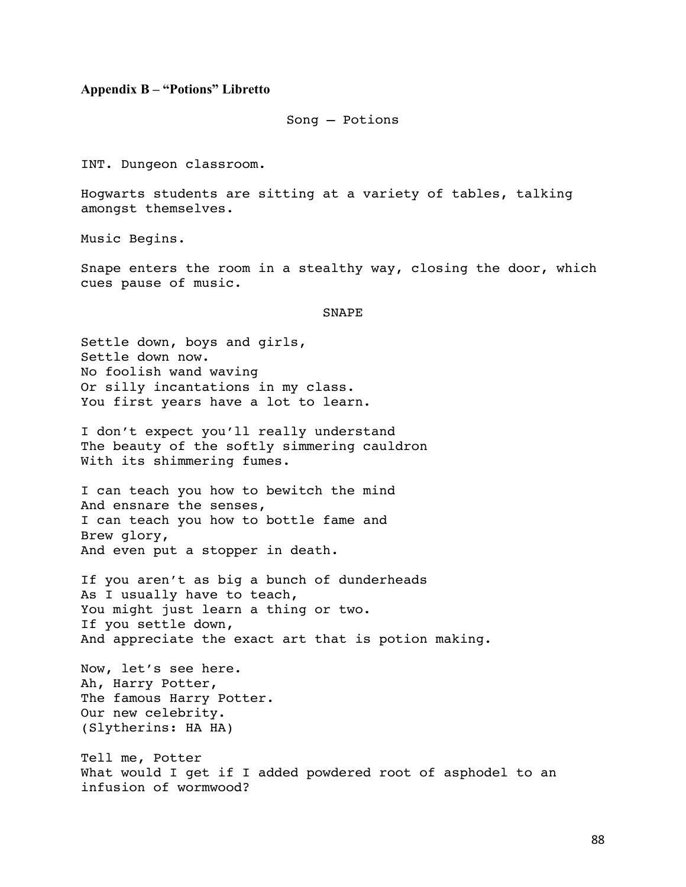#### **Appendix B – "Potions" Libretto**

#### Song – Potions

INT. Dungeon classroom.

Hogwarts students are sitting at a variety of tables, talking amongst themselves.

Music Begins.

Snape enters the room in a stealthy way, closing the door, which cues pause of music.

#### SNAPE

Settle down, boys and girls, Settle down now. No foolish wand waving Or silly incantations in my class. You first years have a lot to learn.

I don't expect you'll really understand The beauty of the softly simmering cauldron With its shimmering fumes.

I can teach you how to bewitch the mind And ensnare the senses, I can teach you how to bottle fame and Brew glory, And even put a stopper in death.

If you aren't as big a bunch of dunderheads As I usually have to teach, You might just learn a thing or two. If you settle down, And appreciate the exact art that is potion making.

Now, let's see here. Ah, Harry Potter, The famous Harry Potter. Our new celebrity. (Slytherins: HA HA)

Tell me, Potter What would I get if I added powdered root of asphodel to an infusion of wormwood?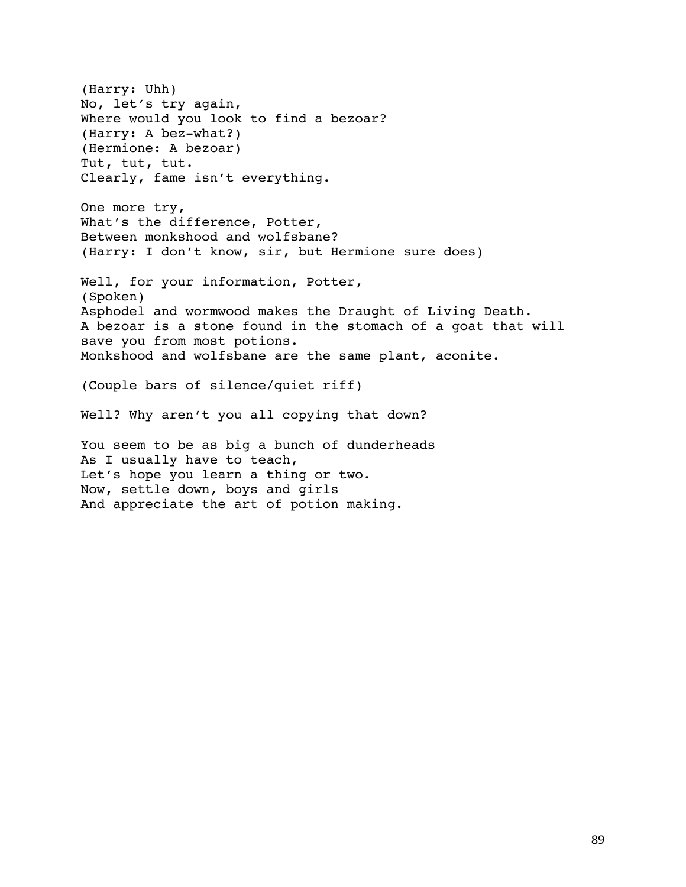(Harry: Uhh) No, let's try again, Where would you look to find a bezoar? (Harry: A bez-what?) (Hermione: A bezoar) Tut, tut, tut. Clearly, fame isn't everything. One more try, What's the difference, Potter, Between monkshood and wolfsbane? (Harry: I don't know, sir, but Hermione sure does) Well, for your information, Potter, (Spoken) Asphodel and wormwood makes the Draught of Living Death. A bezoar is a stone found in the stomach of a goat that will save you from most potions. Monkshood and wolfsbane are the same plant, aconite. (Couple bars of silence/quiet riff) Well? Why aren't you all copying that down? You seem to be as big a bunch of dunderheads As I usually have to teach, Let's hope you learn a thing or two. Now, settle down, boys and girls And appreciate the art of potion making.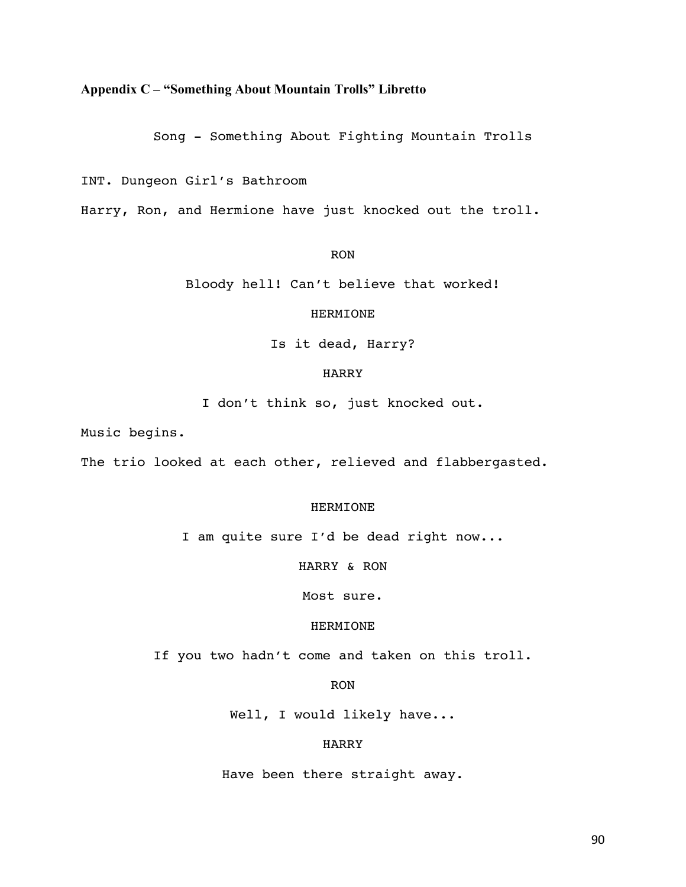## **Appendix C – "Something About Mountain Trolls" Libretto**

Song - Something About Fighting Mountain Trolls

INT. Dungeon Girl's Bathroom

Harry, Ron, and Hermione have just knocked out the troll.

RON

Bloody hell! Can't believe that worked!

HERMIONE

Is it dead, Harry?

## HARRY

I don't think so, just knocked out.

Music begins.

The trio looked at each other, relieved and flabbergasted.

### HERMIONE

I am quite sure I'd be dead right now...

HARRY & RON

Most sure.

#### HERMIONE

If you two hadn't come and taken on this troll.

RON

Well, I would likely have...

#### HARRY

Have been there straight away.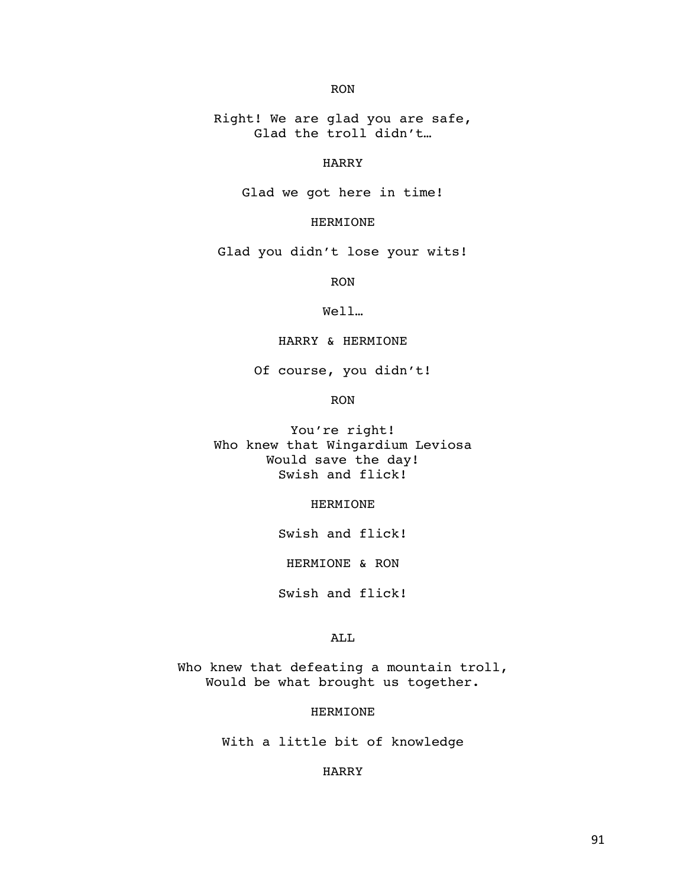RON

Right! We are glad you are safe, Glad the troll didn't…

#### HARRY

Glad we got here in time!

HERMIONE

Glad you didn't lose your wits!

RON

 $We11...$ 

#### HARRY & HERMIONE

Of course, you didn't!

RON

You're right! Who knew that Wingardium Leviosa Would save the day! Swish and flick!

HERMIONE

Swish and flick!

HERMIONE & RON

Swish and flick!

ALL

Who knew that defeating a mountain troll, Would be what brought us together.

HERMIONE

With a little bit of knowledge

#### HARRY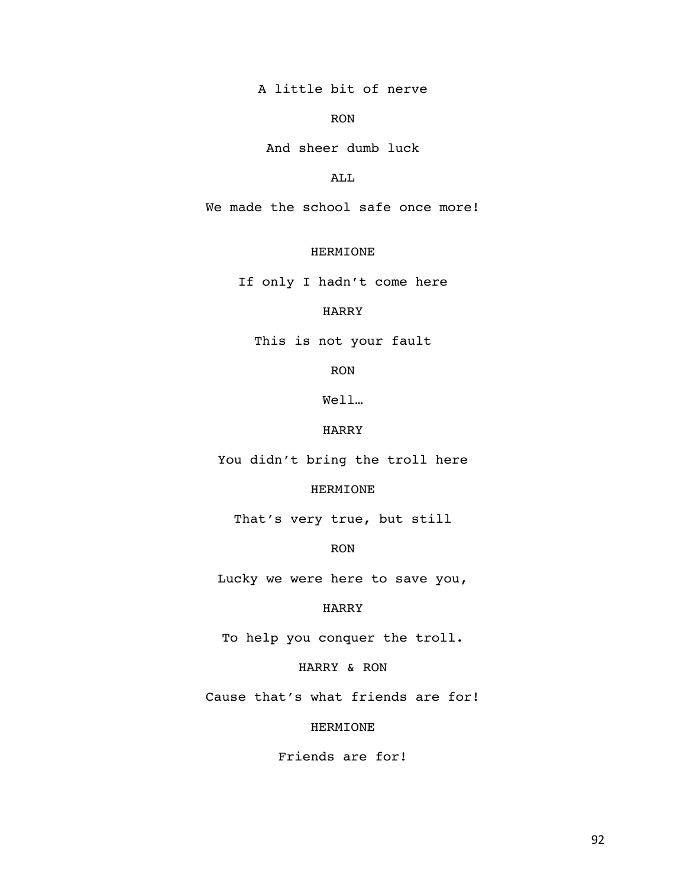A little bit of nerve

RON

And sheer dumb luck

#### ALL

We made the school safe once more!

#### HERMIONE

If only I hadn't come here

### HARRY

This is not your fault

RON

Well…

#### HARRY

You didn't bring the troll here

### HERMIONE

That's very true, but still

RON

Lucky we were here to save you,

## HARRY

To help you conquer the troll.

## HARRY & RON

Cause that's what friends are for!

## HERMIONE

Friends are for!